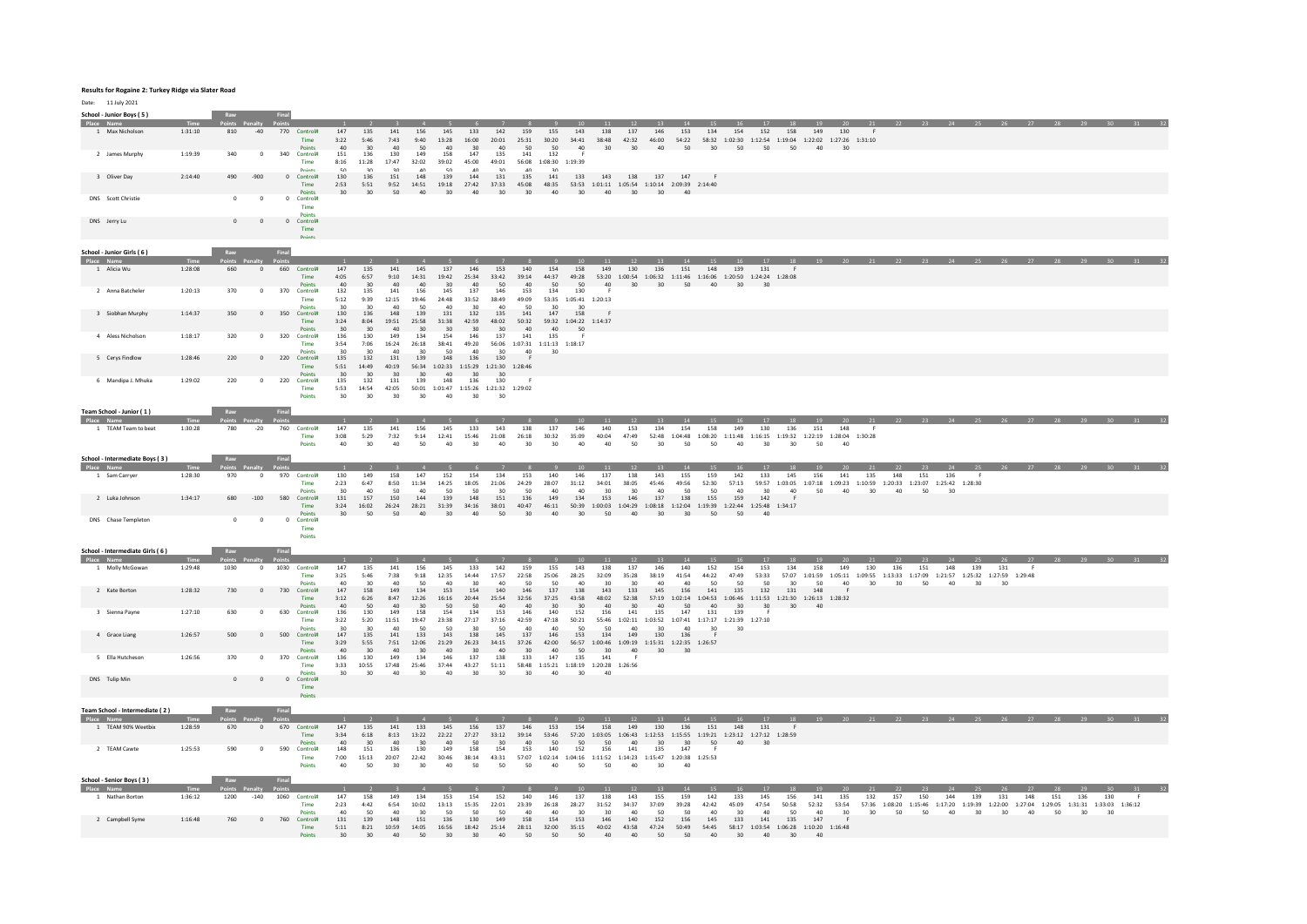## **Results for Rogaine 2: Turkey Ridge via Slater Road**

Date: 11 July 2021

| School - Junior Boys (5)<br>Place Name<br>1 Max Nicholson | 1:31:10            | Raw<br>810       | $-40$                | Final<br>770 Control#<br>Time<br>Points                    | 147<br>3:22<br>AD             | 135<br>5:46<br>30                | 141<br>7:43<br>40 <sup>1</sup>     | 156<br>9:40<br>50                  | 145<br>13:28<br>A <sub>0</sub>     | 133<br>16:00<br>30                                                           | 142<br>20:01<br>AD                 | 159<br>25:31 30:20<br>50                                    | 155<br>$50 - 50$                            | 143<br>34:41 38:48 42:32 46:00 54:22 58:32 1:02:30 1:12:54 1:19:04 1:22:02 1:27:26 1:31:10<br>$\triangle$ | 138                                      | 137<br>30 30                                               | 146                                | 153<br>$40 \quad 50$               | 134                                                                             | 154                       | 152<br>30 50 50 50                                                                                                                           | 18<br>158                 | 19<br>149<br>AD           | 130<br>30 <sup>2</sup>  |                                                                                            |              | 23        |           |               |           |           |           | 28 29 30 31                                                                                                                                    |     |     |
|-----------------------------------------------------------|--------------------|------------------|----------------------|------------------------------------------------------------|-------------------------------|----------------------------------|------------------------------------|------------------------------------|------------------------------------|------------------------------------------------------------------------------|------------------------------------|-------------------------------------------------------------|---------------------------------------------|-----------------------------------------------------------------------------------------------------------|------------------------------------------|------------------------------------------------------------|------------------------------------|------------------------------------|---------------------------------------------------------------------------------|---------------------------|----------------------------------------------------------------------------------------------------------------------------------------------|---------------------------|---------------------------|-------------------------|--------------------------------------------------------------------------------------------|--------------|-----------|-----------|---------------|-----------|-----------|-----------|------------------------------------------------------------------------------------------------------------------------------------------------|-----|-----|
| 2 James Murphy<br>3 Oliver Day                            | 1:19:39<br>2:14:40 | 340<br>490       | $^{\circ}$<br>$-900$ | 340 Control#<br>Time<br><b>Distant</b><br>0 Control#       | 151<br>8:16<br>50<br>130      | 136<br>11:28<br>20<br>136        | 130<br>17:47<br>20<br>151          | 149<br>32:02<br>$\Delta$ 0<br>148  | 158<br>39:02<br>$\epsilon$<br>139  | 147<br>45:00<br>$\sim$<br>144                                                | 135<br>49:01<br>20<br>131          | 141<br>$\Lambda$ <sup><math>\Omega</math></sup><br>135      | 132<br>56:08  1:08:30  1:19:39<br>20<br>141 | -F                                                                                                        |                                          | 133 143 138 137 147 F                                      |                                    |                                    |                                                                                 |                           |                                                                                                                                              |                           |                           |                         |                                                                                            |              |           |           |               |           |           |           |                                                                                                                                                |     |     |
| DNS Scott Christie                                        |                    | $\circ$          | $\circ$              | Time<br>Points<br>0 Control#                               | 2:53<br>30                    | 5:51<br>30 <sup>2</sup>          | 50                                 | 9:52 14:51<br>40                   | $30^{\circ}$                       | 40                                                                           | 30 <sup>2</sup>                    | 30 <sup>2</sup>                                             | 40                                          | 19:18 27:42 37:33 45:08 48:35 53:53 1:01:11 1:05:54 1:10:14 2:09:39 2:14:40<br>30 <sup>2</sup>            |                                          | $40 \t30$                                                  | $30 -$                             | A <sup>0</sup>                     |                                                                                 |                           |                                                                                                                                              |                           |                           |                         |                                                                                            |              |           |           |               |           |           |           |                                                                                                                                                |     |     |
|                                                           |                    |                  |                      | Time<br>Points                                             |                               |                                  |                                    |                                    |                                    |                                                                              |                                    |                                                             |                                             |                                                                                                           |                                          |                                                            |                                    |                                    |                                                                                 |                           |                                                                                                                                              |                           |                           |                         |                                                                                            |              |           |           |               |           |           |           |                                                                                                                                                |     |     |
| DNS Jerry Lu                                              |                    | $\overline{0}$   | $\circ$              | $\mathbf{0}$<br>Control#<br>Time<br>Points                 |                               |                                  |                                    |                                    |                                    |                                                                              |                                    |                                                             |                                             |                                                                                                           |                                          |                                                            |                                    |                                    |                                                                                 |                           |                                                                                                                                              |                           |                           |                         |                                                                                            |              |           |           |               |           |           |           |                                                                                                                                                |     |     |
| School - Junior Girls (6)<br>Place Name                   | Time               |                  |                      |                                                            |                               |                                  |                                    |                                    |                                    |                                                                              |                                    |                                                             |                                             |                                                                                                           |                                          |                                                            |                                    |                                    |                                                                                 |                           |                                                                                                                                              | 18                        |                           |                         |                                                                                            |              |           |           |               |           |           |           |                                                                                                                                                |     |     |
| 1 Alicia Wu                                               | 1:28:08            | 660              | $\circ$              | 660<br>Control#<br>Time<br><b>Points</b>                   | 147<br>4:05<br>40             | 135<br>6:57<br>30                | 141<br>9:10<br>40                  | 145<br>14:31<br>40                 | 137<br>19:42<br>30                 | 146<br>25:34<br>40                                                           | 153<br>33:42<br>50                 | 140<br>39:14 44:37<br>40                                    | 154<br>50                                   | 158<br>49:28<br>50                                                                                        | 149<br>40                                | 130<br>30 <sup>°</sup>                                     | 136<br>30                          | 151<br>50                          | 148<br>40                                                                       | 139<br>30                 | 131<br>53:20 1:00:54 1:06:32 1:11:46 1:16:06 1:20:50 1:24:24 1:28:08<br>30                                                                   |                           |                           |                         |                                                                                            |              |           |           |               |           |           |           |                                                                                                                                                |     |     |
| 2 Anna Batcheler                                          | 1:20:13            | 370              | $\mathbf 0$          | 370<br>Control#<br>Time<br><b>Points</b>                   | 132<br>5:12<br>30             | 135<br>9:39<br>30                | 141<br>12:15<br>$A \cap$           | 156<br>19:46<br>50                 | 145<br>24:48<br>A <sub>0</sub>     | 137<br>33:52<br>30                                                           | 146<br>38:49<br>40                 | 153<br>49:09<br>50                                          | 134<br>30 <sub>0</sub>                      | 130<br>53:35 1:05:41 1:20:13<br>30                                                                        |                                          |                                                            |                                    |                                    |                                                                                 |                           |                                                                                                                                              |                           |                           |                         |                                                                                            |              |           |           |               |           |           |           |                                                                                                                                                |     |     |
| 3 Siobhan Murphy                                          | 1:14:37            | 350              | $\circ$              | 350 Control#<br>Time<br><b>Points</b>                      | 130<br>3:24<br>30             | 136<br>8:04<br>30 <sup>2</sup>   | 148<br>19:51<br>40                 | 139<br>25:58<br>30                 | 131<br>31:38<br>30                 | 132<br>42:59<br>30                                                           | 135<br>48:02<br>30 <sup>2</sup>    | 141<br>50:32<br>AD                                          | 147<br>AD                                   | 158<br>59:32 1:04:22 1:14:37<br>50                                                                        |                                          |                                                            |                                    |                                    |                                                                                 |                           |                                                                                                                                              |                           |                           |                         |                                                                                            |              |           |           |               |           |           |           |                                                                                                                                                |     |     |
| 4 Aless Nicholson                                         | 1:18:17            | 320              | $^{\circ}$           | 320 Control#<br>Time                                       | 136<br>3:54                   | 130<br>7:06                      | 149<br>16:24                       | 134<br>26:18                       | 154<br>38:41<br>50                 | 146<br>49:20<br>40                                                           | 137<br>30                          | 141<br>$56:06 \qquad 1:07:31 \qquad 1:11:13 \qquad 1:18:17$ | 135                                         |                                                                                                           |                                          |                                                            |                                    |                                    |                                                                                 |                           |                                                                                                                                              |                           |                           |                         |                                                                                            |              |           |           |               |           |           |           |                                                                                                                                                |     |     |
| 5 Cerys Findlow                                           | 1:28:46            | 220              | $\circ$              | Points<br>220<br>Control#<br>Time                          | 135<br>5:51                   | 30<br>132<br>14:49<br>30         | 40<br>131<br>40:19<br>$30^{\circ}$ | 30<br>139<br>30                    | 148                                | 136<br>56:34  1:02:33  1:15:29  1:21:30  1:28:46<br>30                       | 130<br>30 <sup>2</sup>             | 40                                                          | 30                                          |                                                                                                           |                                          |                                                            |                                    |                                    |                                                                                 |                           |                                                                                                                                              |                           |                           |                         |                                                                                            |              |           |           |               |           |           |           |                                                                                                                                                |     |     |
| 6 Mandipa J. Mhuka                                        | 1:29:02            | 220              | $\mathbf 0$          | Points<br>220<br>Control#<br>Time<br>Dointe                | 30<br>135<br>5:53<br>30       | 132<br>14:54<br>30               | 131<br>42:05<br>30                 | 139<br>30                          | 40<br>148<br>A <sub>0</sub>        | 136<br>$50:01 \quad 1:01:47 \quad 1:15:26 \quad 1:21:32 \quad 1:29:02$<br>30 | 130<br>30                          |                                                             |                                             |                                                                                                           |                                          |                                                            |                                    |                                    |                                                                                 |                           |                                                                                                                                              |                           |                           |                         |                                                                                            |              |           |           |               |           |           |           |                                                                                                                                                |     |     |
| Team School - Junior (1)                                  |                    | Raw              |                      | Final                                                      |                               |                                  |                                    |                                    |                                    |                                                                              |                                    |                                                             |                                             |                                                                                                           |                                          |                                                            |                                    |                                    |                                                                                 |                           |                                                                                                                                              |                           |                           |                         |                                                                                            |              |           |           |               |           |           |           |                                                                                                                                                |     |     |
| Place Name<br>1 TEAM Team to beat                         | 1:30:28            | 780              | $-20$                | 760<br>Control#<br>Time                                    | 147<br>3:08                   | 135<br>5:29                      | 141<br>7:32                        | 156<br>9:14                        | 145<br>12:41                       | 133<br>15:46                                                                 | $\overline{7}$<br>143<br>21:08     | 138<br>26:18                                                | 137<br>30:32                                | 146<br>35:09                                                                                              | 11<br>140<br>40:04                       | 12<br>153<br>47:49                                         | 13<br>134                          | 14<br>154                          | 15<br>158                                                                       | 16<br>149                 | 130<br>52:48 1:04:48 1:08:20 1:11:48 1:16:15 1:19:32 1:22:19 1:28:04 1:30:28                                                                 | 18<br>136                 | 19<br>151                 | 148                     | 20 21                                                                                      |              |           |           |               |           |           |           | <b>28 29 30 31 3</b>                                                                                                                           |     |     |
| School - Intermediate Boys (3)                            |                    | Raw              |                      | <b>Points</b><br>Final                                     | 40                            | 30 <sup>°</sup>                  | $40^{1}$                           | 50                                 | 40                                 | 30 <sup>2</sup>                                                              | 40                                 | 30                                                          | 30 <sub>o</sub>                             | 40                                                                                                        | 40                                       | 50                                                         | 30 <sup>°</sup>                    | 50                                 | 50                                                                              | 40 <sup>°</sup>           | 30                                                                                                                                           | $30^{\circ}$              | 50                        | 40                      |                                                                                            |              |           |           |               |           |           |           |                                                                                                                                                |     |     |
| Place Name<br>1 Sam Carrver                               | Time<br>1:28:30    | Points Pa<br>970 | $\circ$              | 970 Control#<br>Time                                       | $\overline{1}$<br>130<br>2:23 | $\overline{2}$<br>149<br>6:47    | $\mathbf{R}$<br>158<br>8:50        | $\overline{4}$<br>147<br>11:34     | - 5 -<br>152<br>14:25              | - 6<br>154<br>18:05                                                          | $\overline{7}$<br>134<br>21:06     | $_{\rm 8}$<br>153<br>24:29                                  | $\overline{\phantom{a}}$<br>140<br>28:07    | 10<br>146<br>31:12                                                                                        | 11<br>137<br>34:01                       | 12<br>138<br>38:05                                         | 13<br>143<br>45:46                 | 14<br>155<br>49:56                 | 15<br>159<br>52:30                                                              | 16<br>142<br>57:13        | 17<br>133                                                                                                                                    | 18<br>145                 | 19<br>156                 | 20<br>141               | 21<br>135<br>59:57 1:03:05 1:07:18 1:09:23 1:10:59 1:20:33 1:23:07 1:25:42 1:28:30         | 22<br>148    | 23<br>151 | 24<br>136 | $25 -$<br>- F | 26        |           |           |                                                                                                                                                |     |     |
| 2 Luka Johnson                                            | 1:34:17            | 680              | $-100$               | Point<br>580<br>Control#<br>Time                           | 20<br>131<br>3:24             | $\Delta$ 0<br>157<br>16:02       | E <sub>O</sub><br>150<br>26:24     | $\Delta$ 0<br>144<br>28:21         | $\epsilon$<br>139<br>31:39         | $\epsilon$<br>148<br>34:16                                                   | 20<br>151<br>38:01                 | 50<br>136<br>40:47                                          | 40<br>149<br>46:11                          | 40<br>134                                                                                                 | 20<br>153                                | 30<br>146                                                  | $\Delta$ 0<br>137                  | E <sub>0</sub><br>138              | 50<br>155                                                                       | 40<br>159                 | 20<br>142<br>$50:39 \qquad 1:00:03 \qquad 1:04:29 \qquad 1:08:18 \qquad 1:12:04 \qquad 1:19:39 \qquad 1:22:44 \qquad 1:25:48 \qquad 1:34:17$ | 40<br>F                   | 50                        | $40\,$                  | 30                                                                                         | 40           | 50        | 30        |               |           |           |           |                                                                                                                                                |     |     |
| DNS Chase Templeton                                       |                    | $\circ$          | $\overline{0}$       | Points<br>0 Control#<br>Time                               | 30                            | $50 -$                           | 50                                 | 40                                 | 30 <sub>1</sub>                    | 40                                                                           | 50                                 | 30 <sup>2</sup>                                             | 40                                          | 30 <sub>o</sub>                                                                                           | 50                                       | 40                                                         | 30 <sup>2</sup>                    | 30                                 | 50                                                                              | 50                        | 40                                                                                                                                           |                           |                           |                         |                                                                                            |              |           |           |               |           |           |           |                                                                                                                                                |     |     |
| School - Intermediate Girls (6)                           |                    | Raw              |                      | Points                                                     |                               |                                  |                                    |                                    |                                    |                                                                              |                                    |                                                             |                                             |                                                                                                           |                                          |                                                            |                                    |                                    |                                                                                 |                           |                                                                                                                                              |                           |                           |                         |                                                                                            |              |           |           |               |           |           |           |                                                                                                                                                |     |     |
| e Name<br>1 Molly McGowan                                 | 1:29:48            | 1030             | $\overline{0}$       | 1030<br>Control#<br>Time                                   | 147<br>3:25                   | 135<br>5:46                      | 141<br>7:38                        | 156<br>9:18                        | 145<br>12:35                       | 133<br>14:44                                                                 | 142<br>17:57                       | 159<br>22:58                                                | 155<br>25:06                                | 10<br>143<br>28:25                                                                                        | 11<br>138<br>32:09                       | 12<br>137<br>35:28                                         | 13<br>146<br>38:19                 | 14<br>140<br>41:54                 | 15<br>152<br>44:22                                                              | 154<br>47:49              | 153<br>53:33                                                                                                                                 | 18<br>134                 | 19<br>158                 | 20<br>149               | 21<br>130<br>57:07 1:01:59 1:05:11 1:09:55 1:13:33 1:17:09 1:21:57 1:25:32 1:27:59 1:29:48 | 136          | 23<br>151 | 24<br>148 | 25<br>139     | 131       |           |           |                                                                                                                                                |     |     |
| 2 Kate Borton                                             | 1:28:32            | 730              | $\circ$              | Points<br>730 Control#<br>Time                             | $\Delta\Omega$<br>147<br>3:12 | 30<br>158<br>6:26                | 40<br>149<br>8:47                  | 50<br>134<br>12:26                 | 40<br>153<br>16:16                 | 154<br>20:44                                                                 | A <sub>0</sub><br>140<br>25:54     | 50<br>146<br>32:56                                          | 50<br>137<br>37:25                          | 40<br>138<br>43:58                                                                                        | 30<br>143<br>48:02                       | 30<br>133<br>52:38                                         | 40<br>145                          | 40<br>156                          | 50<br>141                                                                       | 50<br>135                 | 50<br>132<br>57:19 1:02:14 1:04:53 1:06:46 1:11:53 1:21:30 1:26:13 1:28:32                                                                   | 30<br>131                 | 50<br>148                 | 40                      | 30 <sup>°</sup>                                                                            | $30^{\circ}$ | 50        | 40        | 30            | 30        |           |           |                                                                                                                                                |     |     |
| 3 Sienna Payne                                            | 1:27:10            | 630              | $^{\circ}$           | <b>Points</b><br>630 Control#<br>Time                      | AD<br>136<br>3:22             | 50<br>130<br>5:20                | 40 <sup>1</sup><br>149<br>11:51    | 30<br>158<br>19:47                 | 50<br>154<br>23:38                 | 50<br>134<br>27:17                                                           | A <sub>0</sub><br>153<br>37:16     | 40<br>146<br>42:59                                          | 30 <sup>2</sup><br>140<br>47:18             | 30 <sup>2</sup><br>152<br>50:21                                                                           | 40 <sup>1</sup><br>156                   | 30 <sup>2</sup><br>141                                     | 40 <sup>1</sup><br>135             | 50<br>147                          | 40 <sup>1</sup><br>131<br>55:46 1:02:11 1:03:52 1:07:41 1:17:17 1:21:39 1:27:10 | 30 <sup>2</sup><br>139    | 30 <sup>2</sup><br>- 6                                                                                                                       | 30 <sup>°</sup>           | A <sup>0</sup>            |                         |                                                                                            |              |           |           |               |           |           |           |                                                                                                                                                |     |     |
| 4 Grace Liang                                             | 1:26:57            | 500              | $^{\circ}$           | <b>Points</b><br>500<br>Control#<br>Time                   | 30<br>147<br>3:29             | 30<br>135<br>5:55                | 40<br>141<br>7:51                  | 50<br>133<br>12:06                 | 50<br>143<br>21:29                 | 20<br>138<br>26:23                                                           | 50<br>145<br>34:15                 | 40<br>137<br>37:26                                          | $\Delta \Omega$<br>146<br>42:00             | 50<br>153                                                                                                 | 50<br>134                                | AD<br>149<br>56:57 1:00:46 1:09:19 1:15:31 1:22:35 1:26:57 | 30 <sup>2</sup><br>130             | $A \cap$<br>136                    | 30 <sub>0</sub><br>-F                                                           | 30                        |                                                                                                                                              |                           |                           |                         |                                                                                            |              |           |           |               |           |           |           |                                                                                                                                                |     |     |
| 5 Ella Hutcheson                                          | 1:26:56            | 370              | $^{\circ}$           | Points<br>370<br>Control#<br>Time                          | 40<br>136<br>3:33             | 30<br>130<br>10:55               | 40<br>149<br>17:48                 | 30<br>134<br>25:46                 | 40<br>146<br>37:44                 | 30<br>137<br>43:27                                                           | 40<br>138<br>51:11                 | 30<br>133                                                   | 40<br>147                                   | 50<br>135<br>58:48  1:15:21  1:18:19  1:20:28  1:26:56                                                    | 30 <sup>2</sup><br>141                   | 40                                                         | 30 <sub>2</sub>                    | 30                                 |                                                                                 |                           |                                                                                                                                              |                           |                           |                         |                                                                                            |              |           |           |               |           |           |           |                                                                                                                                                |     |     |
| DNS Tulip Min                                             |                    | 0                | $\circ$              | Points<br>0 Control#<br>Time                               | 30                            | 30                               | $40$                               | 30                                 | $4\Omega$                          | 30                                                                           | 30                                 | 30                                                          | $40\,$                                      | 30                                                                                                        | 40                                       |                                                            |                                    |                                    |                                                                                 |                           |                                                                                                                                              |                           |                           |                         |                                                                                            |              |           |           |               |           |           |           |                                                                                                                                                |     |     |
| Team School - Intermediate (2)                            |                    |                  |                      | Dointe                                                     |                               |                                  |                                    |                                    |                                    |                                                                              |                                    |                                                             |                                             |                                                                                                           |                                          |                                                            |                                    |                                    |                                                                                 |                           |                                                                                                                                              |                           |                           |                         |                                                                                            |              |           |           |               |           |           |           |                                                                                                                                                |     |     |
| Place Name<br>1 TEAM 90% Weetbix                          | 1:28:59            | 670              | $\circ$              | 670 Control#                                               | 147                           | 135                              | 141                                | 133                                | 145                                | 156                                                                          | 137                                | 146                                                         | 153                                         | 154                                                                                                       | 158                                      | 149                                                        | 130                                | 136                                | 151                                                                             | 16<br>148                 | 131                                                                                                                                          |                           |                           |                         |                                                                                            |              |           |           |               |           |           |           | 17 18 19 20 21 22 23 24 25 26 27 28 29 30 31 31                                                                                                |     |     |
| 2 TEAM Cawte                                              | 1:25:53            | 590              | $\circ$              | Time<br><b>Points</b><br>590 Control#                      | 3:34<br>40<br>148             | 6:18<br>30 <sup>2</sup><br>151   | 8:13<br>40<br>136                  | 13:22<br>30<br>130                 | 22:22<br>40<br>149                 | 27:27<br>50<br>158                                                           | 33:12<br>$30^{\circ}$<br>154       | 39:14<br>40<br>153                                          | 53:46<br>50<br>140                          | 50<br>152                                                                                                 | 50<br>156                                | 40<br>141                                                  | 30 <sup>2</sup><br>135             | 30 <sup>1</sup><br>147             | 50                                                                              | 40                        | 57:20  1:03:05  1:06:43  1:12:53  1:15:55  1:19:21  1:23:12  1:27:12  1:28:59<br>30                                                          |                           |                           |                         |                                                                                            |              |           |           |               |           |           |           |                                                                                                                                                |     |     |
|                                                           |                    |                  |                      | Time<br>Points                                             | 7:00<br>40                    | 15:13<br>50                      | 20:07<br>$30^{\circ}$              | 22:42<br>30                        | 30:46<br>40                        | 38:14<br>50                                                                  | 43:31<br>50                        | 50                                                          | 40                                          | 57:07 1:02:14 1:04:16 1:11:52 1:14:23 1:15:47 1:20:38 1:25:53<br>50                                       | 50                                       | 40                                                         | 30 <sub>2</sub>                    | 40                                 |                                                                                 |                           |                                                                                                                                              |                           |                           |                         |                                                                                            |              |           |           |               |           |           |           |                                                                                                                                                |     |     |
| School - Senior Boys (3)<br>Place Name                    | Time               |                  |                      | Final                                                      | $\blacksquare$                | $\overline{2}$                   | $\mathbf{R}$                       | $\overline{a}$                     | $-5$                               | - 6                                                                          | $\overline{7}$                     | $_{\rm 8}$                                                  | $\overline{9}$                              | 10 <sup>10</sup>                                                                                          | $-11$<br>138                             | 12                                                         | $-13$                              | 14                                 | 15                                                                              | 16                        | 17                                                                                                                                           | 18                        | $-19$                     | 20                      | 21                                                                                         | 22           | 23        | 144       | 25            |           | 27<br>148 | 28        |                                                                                                                                                | 130 | 31  |
| 1 Nathan Borton<br>2 Campbell Syme                        | 1:36:12<br>1:16:48 | 1200<br>760      | $-140$<br>$\circ$    | 1060 Control#<br>Time<br>Points<br>760<br>Control#<br>Time | 147<br>2:23<br>131<br>5:11    | 158<br>4:42<br>50<br>139<br>8:21 | 149<br>6:54<br>40<br>148<br>10:59  | 134<br>10:02<br>30<br>151<br>14:05 | 153<br>13:13<br>50<br>136<br>16:56 | 154<br>15:35<br>50<br>130<br>18:42                                           | 152<br>22:01<br>50<br>149<br>25:14 | 140<br>23:39<br>40<br>158<br>28:11                          | 146<br>26:18<br>40<br>154<br>32:00          | 137<br>28:27<br>30<br>153<br>35:15                                                                        | 31:52<br>30 <sub>0</sub><br>146<br>40:02 | 143<br>34:37<br>40<br>140<br>43:58                         | 155<br>37:09<br>50<br>152<br>47:24 | 159<br>39:28<br>50<br>156<br>50:49 | 142<br>42:42<br>40<br>145<br>54:45                                              | 133<br>45:09<br>20<br>133 | 145<br>47:54<br>40<br>141<br>58:17  1:03:54  1:06:28  1:10:20  1:16:48                                                                       | 156<br>50:58<br>50<br>135 | 141<br>52:32<br>40<br>147 | 135<br>53:54<br>30<br>F | 132<br>57:36<br>30                                                                         | 157<br>50    | 150<br>50 | 40        | 139<br>30     | 131<br>30 | 40        | 151<br>50 | 136<br>$1:08:20 \quad 1:15:46 \quad 1:17:20 \quad 1:19:39 \quad 1:22:00 \quad 1:27:04 \quad 1:29:05 \quad 1:31:31 \quad 1:33:03 \quad 1:36:12$ | 30  | - F |
|                                                           |                    |                  |                      | Points                                                     | 30 <sub>o</sub>               | 30 <sub>o</sub>                  | 40                                 | 50                                 | 30 <sub>o</sub>                    | 30 <sub>o</sub>                                                              | 40 <sub>1</sub>                    | 50                                                          | 50                                          | 50                                                                                                        | 40                                       | 40                                                         | 50                                 | 50                                 | $40$                                                                            | 30 <sub>o</sub>           | 40                                                                                                                                           | 30 <sub>o</sub>           | 40                        |                         |                                                                                            |              |           |           |               |           |           |           |                                                                                                                                                |     |     |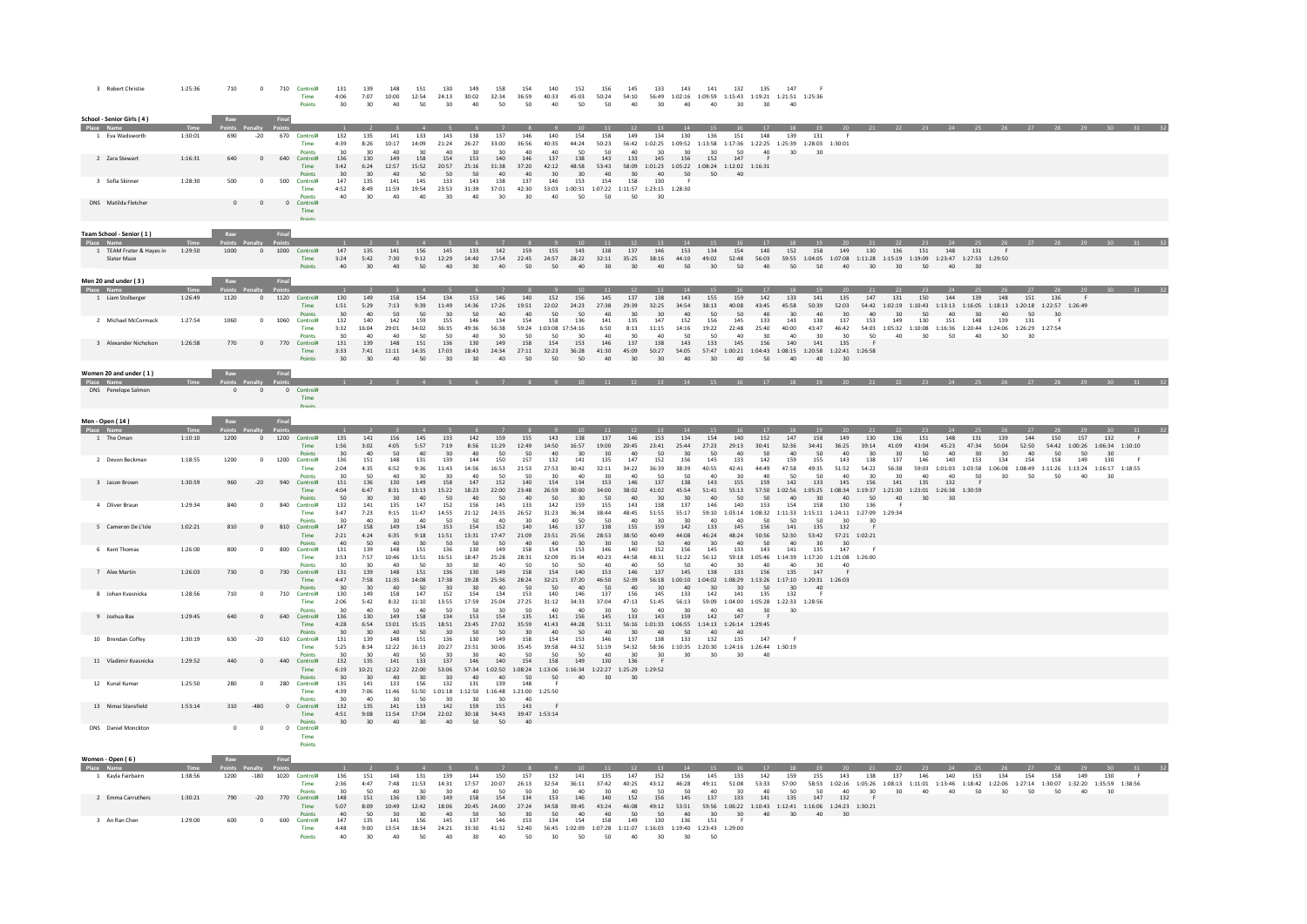| 3 Robert Christie                                           | 1:25:36            | 710         | $\mathbf 0$          | 710           | Control#<br>Time<br>Points             | 131<br>4:06<br>30              | 139<br>7:07<br>30 <sup>°</sup> | 148<br>10:00<br>40                  | 151<br>12:54<br>50              | 130<br>24:13<br>30                                   | 149<br>30:02<br>40          | 158<br>32:34<br>50                       | 154<br>36:59<br>50                   | 140<br>40:33<br>40                       | 152<br>45:03<br>50                   | 156<br>50:24<br>50                                                         | 145<br>54:10<br>40          | 133<br>30                       | 143<br>56:49 1:02:16 1:09:59 1:15:43 1:19:21 1:21:51 1:25:36<br>40                         | 141<br>40                  | 132<br>30 <sub>o</sub>         | 135<br>$30^{\circ}$                                                                                               | 147<br>40                       |                                                   |                                                                                    |                                         |                     |                                          |                    |                    |                                                                                       |                    |           |           |                                                                                              |  |
|-------------------------------------------------------------|--------------------|-------------|----------------------|---------------|----------------------------------------|--------------------------------|--------------------------------|-------------------------------------|---------------------------------|------------------------------------------------------|-----------------------------|------------------------------------------|--------------------------------------|------------------------------------------|--------------------------------------|----------------------------------------------------------------------------|-----------------------------|---------------------------------|--------------------------------------------------------------------------------------------|----------------------------|--------------------------------|-------------------------------------------------------------------------------------------------------------------|---------------------------------|---------------------------------------------------|------------------------------------------------------------------------------------|-----------------------------------------|---------------------|------------------------------------------|--------------------|--------------------|---------------------------------------------------------------------------------------|--------------------|-----------|-----------|----------------------------------------------------------------------------------------------|--|
| School - Senior Girls (4)                                   |                    | Raw         |                      | Final         |                                        |                                |                                |                                     |                                 |                                                      |                             |                                          |                                      |                                          |                                      |                                                                            |                             |                                 |                                                                                            |                            |                                |                                                                                                                   |                                 |                                                   |                                                                                    |                                         |                     |                                          |                    |                    |                                                                                       |                    |           |           |                                                                                              |  |
| Place Name<br>1 Eva Wadsworth                               | 1:30:01            | 690         | $\mbox{-}20$         | 670           | Control#<br>Time                       | 132<br>4:39                    | 135<br>8:26                    | 141<br>10:17                        | 133<br>14:09                    | 143<br>21:24                                         | 138<br>26:27                | 137<br>33:00                             | 146<br>36:56                         | 140<br>40:35                             | 154<br>44:24                         | 158<br>50:23                                                               | 12<br>149                   | 134                             | 14<br>130<br>56:42 1:02:25 1:09:52 1:13:58 1:17:36                                         | 136                        | 151                            | 148<br>1:22:25  1:25:39  1:28:03  1:30:01                                                                         | 139                             | 131                                               |                                                                                    |                                         |                     |                                          |                    |                    |                                                                                       |                    |           |           |                                                                                              |  |
| 2 Zara Stewart                                              | 1:16:31            | 640         | $\circ$              | 640           | Control#<br>Time                       | 136<br>3:42                    | 130<br>6:24<br>30              | 149<br>12:57<br>$\overline{A}$      | 158<br>15:52<br>50              | 154<br>20:57<br>$\epsilon$                           | 153<br>25:16<br>50          | 140<br>31:38                             | 146<br>37:20                         | 137<br>42:12                             | 50<br>138<br>48:58<br>$\mathfrak{a}$ | 143<br>53:43<br>A <sub>0</sub>                                             | 133<br>30                   | 145<br>$\Delta \Omega$          | 30<br>156<br>58:09  1:01:23  1:05:22  1:08:24  1:12:02  1:16:31<br>50                      | 152<br>50                  | 50<br>147                      | 40                                                                                                                | ٩n                              |                                                   |                                                                                    |                                         |                     |                                          |                    |                    |                                                                                       |                    |           |           |                                                                                              |  |
| 3 Sofia Skinner                                             | 1:28:30            | 500         | $\circ$              | 500           | Control#<br>Time<br><b>Points</b>      | $\frac{30}{147}$<br>4:52<br>40 | 135<br>8:49<br>30              | 141<br>11:59<br>40                  | 145<br>19:54<br>40              | 133<br>23:53<br>30                                   | 143<br>31:39<br>40          | A <sub>0</sub><br>138<br>37:01<br>30     | $\Delta\Omega$<br>137<br>42:30<br>30 | 30<br>146<br>40                          | 153<br>50                            | 154<br>53:03 1:00:31 1:07:22 1:11:57 1:23:15 1:28:30<br>50                 | 158<br>50                   | 130<br>30                       | - F                                                                                        |                            |                                |                                                                                                                   |                                 |                                                   |                                                                                    |                                         |                     |                                          |                    |                    |                                                                                       |                    |           |           |                                                                                              |  |
| DNS Matilda Fletcher                                        |                    | $\circ$     | $\overline{0}$       |               | 0 Control#<br>Time<br>Points           |                                |                                |                                     |                                 |                                                      |                             |                                          |                                      |                                          |                                      |                                                                            |                             |                                 |                                                                                            |                            |                                |                                                                                                                   |                                 |                                                   |                                                                                    |                                         |                     |                                          |                    |                    |                                                                                       |                    |           |           |                                                                                              |  |
| Team School - Senior (1)<br>Place Name                      |                    |             |                      | Final         |                                        |                                |                                |                                     |                                 |                                                      |                             |                                          |                                      |                                          |                                      | 11                                                                         | 12 <sup>°</sup>             | 13                              | 14                                                                                         | 15                         |                                | 17                                                                                                                | 18                              |                                                   |                                                                                    |                                         |                     |                                          |                    |                    |                                                                                       |                    |           |           |                                                                                              |  |
| 1 TEAM Frater & Hayes in<br>Slater Maze                     | 1:29:50            | 1000        | $\mathbf{0}$         | 1000 Control# | Time<br>Points                         | 147<br>3:24<br>40              | 135<br>5:42<br>30              | 141<br>7:30<br>40                   | 156<br>50                       | 145<br>$9:12$ $12:29$<br>40                          | 133<br>14:40<br>30          | 142<br>17:54<br>40                       | 159<br>50                            | 155<br>50                                | 143<br>40                            | 138<br>22:45 24:57 28:22 32:11 35:25 38:16<br>30                           | 137<br>30                   | 146<br>40                       | 153<br>44:10 49:02 52:48<br>50                                                             | 134<br>30                  | 154<br>50                      | 140<br>56:03<br>40                                                                                                | 152<br>50                       | 158<br>50                                         | 149<br>59:55 1:04:05 1:07:08 1:11:28 1:15:19 1:19:09 1:23:47 1:27:53 1:29:50<br>40 | 130<br>30 <sup>°</sup>                  | 136<br>30           | 151<br>50                                | 148<br>40          | 131<br>30          |                                                                                       |                    |           |           |                                                                                              |  |
| Men 20 and under (3)<br>1 Liam Stolberger                   | 1:26:49            | Raw<br>1120 | renaity.             | Final         | $0$ 1120 Control#                      | 130                            | 149                            | 158                                 | 154                             | 134                                                  | 153                         | 146                                      | 140                                  | 152                                      | 156                                  | 145                                                                        | 12<br>137                   | 138                             | 14<br>143                                                                                  | 155                        | 159                            | 142                                                                                                               | 133                             | 141                                               | 135                                                                                | 147                                     | 131                 | 23<br>150                                | 144                | 139                | 148                                                                                   | 151                | 136       |           |                                                                                              |  |
| 2 Michael McCormack                                         | 1:27:54            | 1060        | $\mathbf 0$          | 1060          | <b>Time</b><br>Points<br>Control#      | 1:51<br>30 <sup>°</sup><br>132 | 5:29<br>40<br>140              | 7:13<br>50<br>142                   | 9:39<br>50<br>159               | 11:49<br>155                                         | 14:36<br>50<br>146          | 17:26<br>40<br>134                       | 19:51<br>40<br>154                   | 22:02<br>50<br>158                       | 24:23<br>50<br>136                   | 27:38<br>40<br>141                                                         | 29:39<br>30<br>135          | 32:25<br>30 <sub>1</sub><br>147 | 34:54<br>40<br>152                                                                         | 38:13<br>50<br>156         | 40:08<br>50<br>$145\,$         | 43:45<br>40<br>133                                                                                                | 45:58<br>30<br>143              | 50:39<br>40<br>138                                | 52:03<br>30<br>137                                                                 | 40<br>153                               | 30<br>149           | 50<br>130                                | 40<br>151          | 30<br>148          | 54:42 1:02:19 1:10:43 1:13:13 1:16:05 1:18:13 1:20:18 1:22:57 1:26:49<br>40<br>139    | 50<br>131          | 30        |           |                                                                                              |  |
| 3 Alexander Nicholson                                       | 1:26:58            | 770         | $^{\circ}$           | 770           | Time<br>Control#<br>Time               | 3:32<br>131<br>3:33            | 16:04<br>139<br>7:41           | 29:01<br>$\Delta$ 0<br>148<br>11:11 | 34:02<br>50<br>151<br>14:35     | 36:35<br>co.<br>136<br>17:03                         | 49:36<br>40<br>130<br>18:43 | 56:38<br>20 <sub>0</sub><br>149<br>24:34 | 59:24<br>50<br>158<br>27:11          | 1:03:08 17:54:16<br>$50$<br>154<br>32:23 | 20<br>153<br>36:28                   | 6:50<br>$\Delta$ 0<br>146<br>41:30                                         | 8:13<br>30<br>137<br>45:09  | 11:15<br>40<br>138<br>50:27     | 14:16<br>$\epsilon$<br>143<br>54:05                                                        | 19:22<br>50<br>133         | 22:48<br>$\Delta$ 0<br>145     | 25:40<br>20<br>156<br>$57:47 \quad 1:00:21 \quad 1:04:43 \quad 1:08:15 \quad 1:20:58 \quad 1:22:41 \quad 1:26:58$ | 40:00<br>40<br>140              | 43:47<br>20<br>141                                | 46:42<br>30 <sub>o</sub><br>135                                                    | 54:03<br>50                             | 40                  | 30 <sup>°</sup>                          | 50                 | 40                 | $1:05:32 \quad 1:10:08 \quad 1:16:36 \quad 1:20:44 \quad 1:24:06 \quad 1:26:29$<br>30 | 30                 | 1:27:54   |           |                                                                                              |  |
| Women 20 and under (1)<br>Place Name<br>DNS Penelope Salmon |                    | $\circ$     | $\overline{0}$       |               | Points<br>0 Control#<br>Time<br>Points | 30                             | 30                             | 40                                  | 50                              | 30                                                   | $30^{\circ}$                | 40                                       | 50                                   | 50                                       | 50                                   | 40                                                                         | 30                          | 30                              | 40                                                                                         | 30 <sub>o</sub>            | 40                             | 50                                                                                                                | 40                              | 40                                                | 30                                                                                 |                                         |                     |                                          |                    |                    | 1 2 3 4 5 6 7 8 9 10 11 12 13 14 15 16 17 18 19 20 21 22 23 24 25 26 27 28            |                    |           |           |                                                                                              |  |
|                                                             |                    |             |                      |               |                                        |                                |                                |                                     |                                 |                                                      |                             |                                          |                                      |                                          |                                      |                                                                            |                             |                                 |                                                                                            |                            |                                |                                                                                                                   |                                 |                                                   |                                                                                    |                                         |                     |                                          |                    |                    |                                                                                       |                    |           |           |                                                                                              |  |
| Men - Open (14)<br>Place Name                               |                    |             |                      | <b>Final</b>  |                                        |                                |                                |                                     |                                 |                                                      |                             |                                          |                                      |                                          | 10 <sup>°</sup>                      | 11                                                                         | 12                          | 13                              | 14                                                                                         | 15                         | 16                             | 17                                                                                                                | 18                              | 19                                                | 20 <sup>°</sup>                                                                    | 21                                      | 22                  | 23                                       | 24                 | 25                 |                                                                                       |                    | 28        | 29        |                                                                                              |  |
| 1 The Oman                                                  | 1:10:10            | 1200        | $\mathbf 0$          | 1200 Control# | <b>Time</b><br>Points                  | 135<br>1:56<br>30              | 141<br>3:02<br>40              | 156<br>4:05<br>50                   | 145<br>5:57<br>40               | 133<br>7:19<br>30                                    | 142<br>8:56<br>40           | 159<br>11:29<br>50                       | 155<br>12:49<br>50                   | 143<br>14:50<br>40                       | 138<br>16:57<br>30                   | 137<br>19:00<br>30                                                         | 146<br>20:45<br>40          | 153<br>23:41<br>50              | 134<br>25:44<br>30                                                                         | 154<br>27:23<br>50         | 140<br>29:13<br>40             | 152<br>30:41<br>50                                                                                                | 147<br>32:36<br>40              | 158<br>34:41<br>50                                | 149<br>36:25<br>40                                                                 | 130<br>39:14<br>30                      | 136<br>41:09<br>30  | 151<br>43:04<br>50                       | 148<br>45:23<br>40 | 131<br>47:34<br>30 | 139<br>50:04<br>30                                                                    | 144<br>52:50<br>40 | 150<br>50 | 157<br>50 | 132<br>$54:42 \quad 1:00:26 \quad 1:06:34 \quad 1:10:10$<br>30                               |  |
| 2 Devon Beckma<br>3 Jason Brown                             | 1:18:55<br>1:30:59 | 1200<br>960 | $\mathbf 0$<br>$-20$ | 1200<br>940   | Control#<br>Time<br>Control#           | 136<br>2:04<br>151             | 151<br>4:35<br>136             | 148<br>6:52<br>130                  | $131\,$<br>9:36<br>149          | 139<br>11:43<br>158                                  | 144<br>14:56<br>147         | 150<br>16:53<br>152                      | 157<br>21:53<br>140                  | 132<br>27:53<br>154                      | 141<br>30:42<br>134                  | 135<br>32:11<br>153                                                        | 147<br>34:22<br>146         | 152<br>36:39<br>137             | 156<br>38:39<br>138                                                                        | 145<br>40:55<br>143        | 133<br>42:41<br>155            | 142<br>44:49<br>$\overline{a}$<br>159                                                                             | 159<br>47:58<br>142             | 155<br>49:35<br>133                               | 143<br>51:52<br>145                                                                | 138<br>54:22<br>30<br>156               | 137<br>56:38<br>141 | 146<br>135                               | 140<br>132         | 153<br>50          | 134                                                                                   | 154<br>50          | 158<br>50 | 149<br>40 | 130<br>59:03 1:01:03 1:03:58 1:06:08 1:08:49 1:11:26 1:13:24 1:16:17 1:18:55                 |  |
| 4 Oliver Braun                                              | 1:29:34            | 840         | $\overline{0}$       | 840           | Time<br>Points<br>Control#             | 4:04<br>50<br>132              | 6:47<br>30<br>141              | 8:31<br>30<br>135                   | 13:13<br>40<br>147              | 15:22<br>50<br>152                                   | 18:23<br>40<br>156          | 22:00<br>50<br>145                       | 23:48<br>40<br>133                   | 26:59<br>$50$<br>142                     | 30:00<br>30 <sub>o</sub><br>159      | 34:00<br>50<br>155                                                         | 38:02<br>40<br>143          | 41:02<br>30<br>138              | 45:54<br>30<br>137                                                                         | 51:41<br>40<br>146         | 55:13<br>50<br>140             | 57:50<br>50<br>153                                                                                                | 40<br>154                       | 1:02:56 1:05:25 1:08:34<br>30 <sub>o</sub><br>158 | 40<br>130                                                                          | 1:19:37<br>$50 -$<br>136                | 40                  | 1:21:30  1:23:01  1:26:38  1:30:59<br>30 |                    |                    |                                                                                       |                    |           |           |                                                                                              |  |
| 5 Cameron De L'Isle                                         | 1:02:21            | 810         | $\mathbf{0}$         | 810           | Time<br><b>Points</b><br>Control#      | 3:47<br>147                    | 7:23<br>158                    | 9:15<br>20<br>149                   | 11:47<br>134                    | 14:55<br>153                                         | 21:12<br><b>CC</b><br>154   | 24:35<br>$\Delta$ 0<br>152               | 26:52<br>140                         | 31:23<br>$\Delta$ 0<br>146               | 36:34<br>$\mathbf{c}$<br>137         | 38:44<br>50<br>138                                                         | 48:45<br>155                | 51:55<br>20<br>159              | 55:17<br>20<br>142                                                                         | 133                        | 145                            | 59:10 1:03:14 1:08:32 1:11:33 1:15:11 1:24:11 1:27:09 1:29:34<br>50<br>156                                        | co.<br>141                      | 135                                               | 30 <sub>0</sub><br>132                                                             | 30                                      |                     |                                          |                    |                    |                                                                                       |                    |           |           |                                                                                              |  |
| 6 Kent Thomas                                               | 1:26:00            | 800         | $\circ$              | 800           | Time<br><b>Points</b><br>Control#      | 2:21<br>40 <sup>2</sup><br>131 | 4:24<br>50<br>139              | 6:35<br>40<br>148                   | 9:18<br>30 <sub>0</sub><br>151  | 11:51<br>50<br>136                                   | 13:31<br>50<br>130          | 17:47<br>50<br>149                       | 21:09<br>AD<br>158                   | 23:51<br>40<br>154                       | 25:56<br>30 <sub>0</sub><br>153      | 28:53<br>30 <sub>0</sub><br>146                                            | 38:50<br>50<br>140          | 40:49<br>50<br>152              | 44:08<br>40<br>156                                                                         | 46:24<br>30<br>145         | 48:24<br>A <sub>0</sub><br>133 | 50:56<br>50<br>143                                                                                                | 52:30<br>40<br>141              | 53:42<br>30 <sub>2</sub><br>135                   | 57:21 1:02:21<br>30 <sup>2</sup><br>147                                            |                                         |                     |                                          |                    |                    |                                                                                       |                    |           |           |                                                                                              |  |
| 7 Alex Martin                                               | 1:26:03            | 730         | $\mathbf{0}$         | 730           | Time<br>Points<br>Control#<br>Time     | 3:53<br>30<br>131<br>4:47      | 7:57<br>30<br>139<br>7:58      | 10:46<br>40<br>$148\,$<br>11:35     | 13:51<br>50<br>151<br>14:08     | 16:51<br>30<br>136<br>17:38                          | 18:47<br>30<br>130<br>19:28 | 25:28<br>40<br>149<br>25:36              | 28:31<br>50<br>158<br>28:24          | 32:09<br>-50<br>154<br>32:21             | 35:34<br>50<br>140<br>37:20          | 40:23<br>40<br>153<br>46:50                                                | 44:58<br>40<br>146<br>52:39 | 48:31<br>50<br>137              | 51:22<br>50<br>145<br>56:18  1:00:10  1:04:02  1:08:29  1:13:26  1:17:10  1:20:31  1:26:03 | 56:12<br>40<br>138         | 30<br>133                      | 59:18 1:05:46 1:14:39 1:17:20 1:21:08<br>A <sub>0</sub><br>156                                                    | 40<br>135                       | 30<br>147                                         | 40                                                                                 | 1:26:00                                 |                     |                                          |                    |                    |                                                                                       |                    |           |           |                                                                                              |  |
| 8 Johan Kvasnicka                                           | 1:28:56            | 710         | $\,$ 0               | 710           | Points<br>Control#<br>Time             | 30<br>130<br>2:06              | 30<br>149<br>5:42              | 40<br>158<br>8:32                   | 50<br>147<br>11:10              | 152<br>13:55                                         | 30<br>154<br>17:59          | 40<br>134<br>25:04                       | 50<br>153<br>27:25                   | 50<br>140<br>31:12                       | 40<br>146<br>34:33                   | 137<br>37:04                                                               | 40<br>156<br>47:13          | 30<br>145<br>51:45              | 40<br>133<br>56:13                                                                         | 142<br>59:09               | 30<br>141<br>1:04:00           | 135<br>1:05:28  1:22:33  1:28:56                                                                                  | 30<br>132                       | 40                                                |                                                                                    |                                         |                     |                                          |                    |                    |                                                                                       |                    |           |           |                                                                                              |  |
| 9 Joshua Bax                                                | 1:29:45            | 640         | $\mathbf 0$          | 640           | Paints<br>Control#<br>Time             | 30<br>136<br>4:28              | 40<br>130<br>6:54              | 149<br>13:01                        | 158<br>15:15                    | 134<br>18:51                                         | 153<br>23:45<br>50          | 154<br>27:02                             | 50<br>135<br>35:59                   | 141<br>41:43                             | 156<br>44:28                         | 145<br>51:11                                                               | 133                         | 143                             | 159<br>56:16  1:01:33  1:06:55  1:14:13  1:26:14  1:29:45<br>50                            | 40<br>142                  | 147                            | ٩O                                                                                                                | 30                              |                                                   |                                                                                    |                                         |                     |                                          |                    |                    |                                                                                       |                    |           |           |                                                                                              |  |
| 10 Brendan Coffey                                           | 1:30:19            | 630         | $-20$                | 610           | Points<br>Control#<br>Time             | 30<br>131<br>5:25<br>30        | 30<br>139<br>8:34<br>30        | 40<br>148<br>12:22<br>$\Delta$ 0    | 50<br>151<br>16:13<br>50        | 30<br>136<br>20:27                                   | 130<br>23:51<br>30          | 50<br>149<br>30:06<br>40                 | 30<br>158<br>35:45<br>50             | 40<br>154<br>39:58<br>50                 | 50<br>153<br>44:32<br>50             | 40<br>146<br>51:19<br>40                                                   | 30<br>137<br>54:32<br>30    | 40<br>138<br>30                 | 133<br>58:36 1:10:35 1:20:30 1:24:16 1:26:44 1:30:19<br>30                                 | 40<br>132<br>30            | 40<br>135<br>30                | 147<br>40                                                                                                         |                                 |                                                   |                                                                                    |                                         |                     |                                          |                    |                    |                                                                                       |                    |           |           |                                                                                              |  |
| 11 Vladimir Kvasnicka                                       | 1:29:52            | 440         | $\circ$              | 440           | Control#<br>Time<br>Points             | 132<br>6:19<br>30              | 135<br>10:21<br>30             | 141<br>12:22<br>40                  | 133<br>22:00<br>30              | 137<br>53:06<br>30                                   | 146<br>40                   | 140<br>40                                | 154<br>50                            | 158<br>50                                | 149<br>40                            | 130<br>57:34 1:02:50 1:08:24 1:13:06 1:16:34 1:22:27 1:25:29 1:29:52<br>30 | 136<br>30                   |                                 |                                                                                            |                            |                                |                                                                                                                   |                                 |                                                   |                                                                                    |                                         |                     |                                          |                    |                    |                                                                                       |                    |           |           |                                                                                              |  |
| 12 Kunal Kumar                                              | 1:25:50            | 280         | $\mathbf 0$          | 280           | Control#<br>Time<br>Points             | 135<br>4:39<br>30              | 141<br>7:06<br>40              | 133<br>11:46<br>30                  | 156<br>51:50<br>50              | 132<br>1:01:18 1:12:50 1:16:48 1:21:00 1:25:50<br>30 | 131<br>30                   | 139<br>30 <sub>o</sub>                   | 148<br>40                            |                                          |                                      |                                                                            |                             |                                 |                                                                                            |                            |                                |                                                                                                                   |                                 |                                                   |                                                                                    |                                         |                     |                                          |                    |                    |                                                                                       |                    |           |           |                                                                                              |  |
| 13 Nimai Stansfield                                         | 1:53:14            | 310         | $-480$               |               | 0 Control#<br><b>Time</b><br>Points    | 132<br>4:51<br>30 <sub>o</sub> | 135<br>9:08<br>30 <sub>1</sub> | 141<br>11:54<br>40                  | 133<br>17:04<br>30              | 142<br>22:02 30:18 34:43 39:47 1:53:14<br>40         | 159<br>50 <sup>5</sup>      | 155<br>50 <sub>50</sub>                  | 143<br>40                            |                                          |                                      |                                                                            |                             |                                 |                                                                                            |                            |                                |                                                                                                                   |                                 |                                                   |                                                                                    |                                         |                     |                                          |                    |                    |                                                                                       |                    |           |           |                                                                                              |  |
| DNS Daniel Moncktor                                         |                    | $^{\circ}$  | $\overline{0}$       | $\mathbf{0}$  | Control#<br>Time<br>Points             |                                |                                |                                     |                                 |                                                      |                             |                                          |                                      |                                          |                                      |                                                                            |                             |                                 |                                                                                            |                            |                                |                                                                                                                   |                                 |                                                   |                                                                                    |                                         |                     |                                          |                    |                    |                                                                                       |                    |           |           |                                                                                              |  |
| Women - Open (6)                                            |                    |             |                      |               |                                        |                                |                                |                                     |                                 |                                                      |                             |                                          |                                      |                                          |                                      |                                                                            |                             |                                 |                                                                                            |                            |                                |                                                                                                                   |                                 |                                                   |                                                                                    |                                         |                     |                                          |                    |                    |                                                                                       |                    |           |           |                                                                                              |  |
| Place Name<br>1 Kayla Fairbairn                             | 1:38:56            | 1200        | $-180$               | 1020 Control# | Time<br><b>Points</b>                  | 136<br>2:36                    | 151<br>4:47<br>50              | 148<br>7:48<br>$\Delta$ 0           | 131<br>11:53<br>30 <sub>0</sub> | 139<br>14:31                                         | 144<br>17:57<br>AC          | 150<br>20:07<br>50                       | 157<br>26:13<br>50                   | 132<br>32:54<br>30                       | 141<br>36:11<br>40 <sup>2</sup>      | 135<br>37:42<br>30 <sub>0</sub>                                            | 147<br>40:25<br>$\Delta$ 0  | 152<br>43:12<br>50              | 14<br>156<br>46:28<br>50                                                                   | 145<br>49:11<br>$\Delta$ 0 | 133<br>51:08<br>30             | 142<br>53:33<br>40                                                                                                | <b>18</b><br>159<br>57:00<br>50 | 155<br>50                                         | 143<br>58:53 1:02:16<br>40                                                         | 21<br>138<br>1:05:26<br>30 <sub>0</sub> | 137<br>30           | 146<br>40                                | 140<br>40          | 153<br>50          | 134<br>30                                                                             | 154<br>50          | 158<br>50 | 149<br>40 | 130<br>1:08:13 1:11:01 1:13:46 1:18:42 1:22:06 1:27:14 1:30:07 1:32:20 1:35:59 1:38:56<br>30 |  |
| 2 Emma Carruthers                                           | 1:30:21            | 790         | $-20$                | 770           | Control#<br>Time<br><b>Points</b>      | 148<br>5:07<br>40              | 151<br>8:09<br>50              | 136<br>10:49<br>30                  | 130<br>12:42<br>30 <sup>2</sup> | 149<br>18:06<br>AC                                   | 158<br>20:45<br>50          | 154<br>24:00<br>50                       | 134<br>27:24<br>20                   | 153<br>34:58<br>50                       | 146<br>39:45<br>AD                   | 140<br>43:24<br>40                                                         | 152<br>46:08<br>50          | 156<br>49:12<br>50              | 145<br>53:51<br>40                                                                         | 137<br>30 <sup>2</sup>     | 133<br>30 <sup>2</sup>         | 141<br>59:56 1:06:22 1:10:43 1:12:41 1:16:06 1:24:23 1:30:21<br>40 <sup>1</sup>                                   | 135<br>20                       | 147<br>AD                                         | 132<br>20                                                                          |                                         |                     |                                          |                    |                    |                                                                                       |                    |           |           |                                                                                              |  |
| 3 An Ran Chen                                               | 1:29:00            | 600         | $\mathbf{0}$         | 600           | Control#<br>Time<br>Points             | 147<br>4:48<br>40              | 135<br>9:00<br>$30^{\circ}$    | 141<br>13:54<br>40                  | 156<br>18:34<br>50              | 145<br>24:21<br>40                                   | 137<br>33:30<br>30          | 146<br>41:32<br>40                       | 153<br>52:40<br>50                   | 134<br>30 <sub>1</sub>                   | 154<br>50                            | 158<br>50                                                                  | 149<br>40                   | 130<br>30 <sup>2</sup>          | 136<br>56:45 1:02:09 1:07:28 1:11:07 1:16:03 1:19:40 1:23:43 1:29:00<br>30                 | 151<br>50                  |                                |                                                                                                                   |                                 |                                                   |                                                                                    |                                         |                     |                                          |                    |                    |                                                                                       |                    |           |           |                                                                                              |  |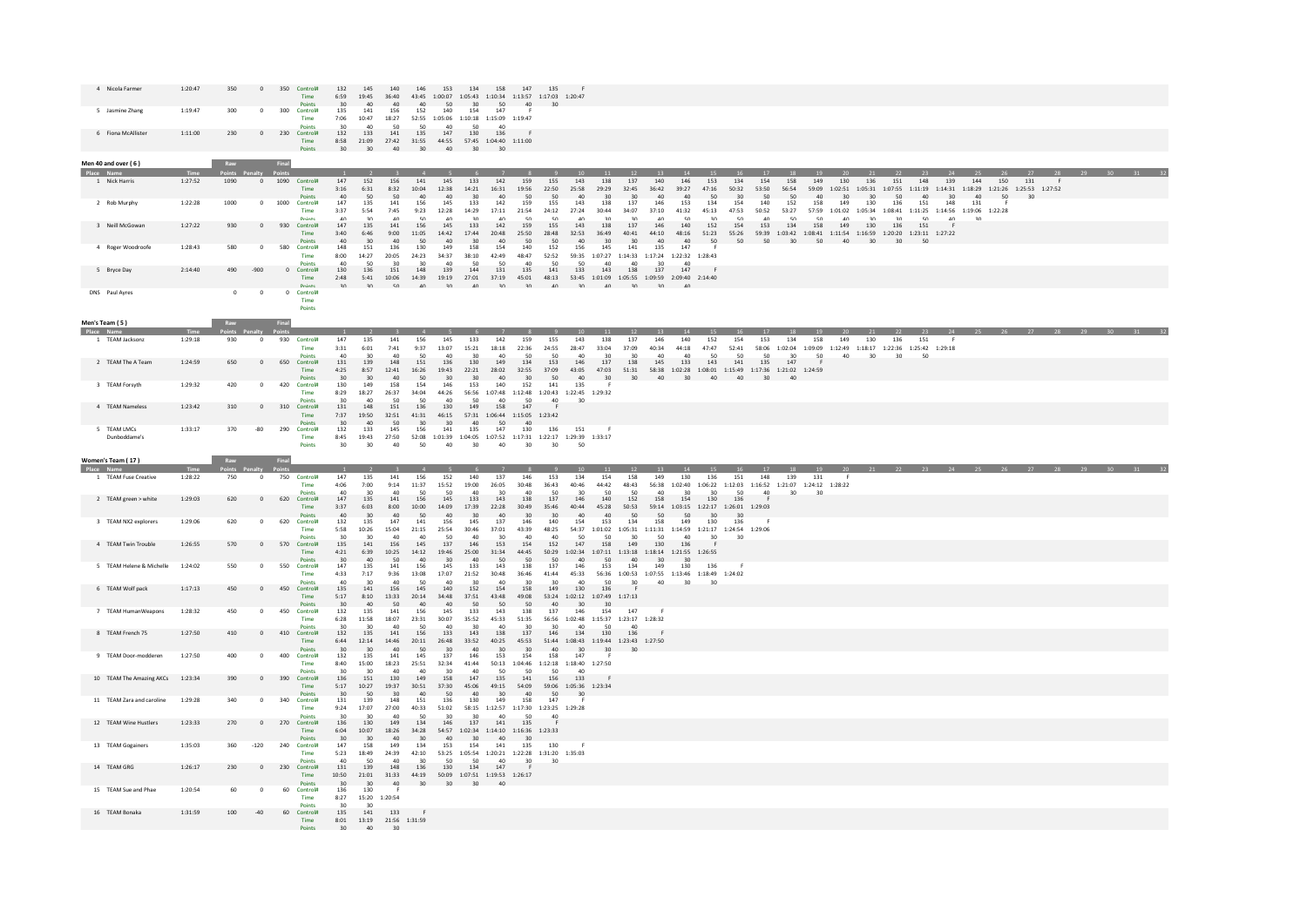| 4 Nicola Farmer              | 1:20:47 | 350         | $\circ$        | 350<br>Control#<br>Time                  | 132<br>6:59                            | 145<br>19:45                    | 140<br>36:40                   | 146                             | 153                                   | 134                             | 158<br>43:45 1:00:07 1:05:43 1:10:34 1:13:57 1:17:03 1:20:47                                                           | 147<br>135                                 |                                      |                                                                                                    |                                                                                                     |                    |                        |                                                                                                                                     |                                 |                    |                    |               |                        |                 |                                                                                                                                                                         |                   |           |           |           |                                                                                                                                                                 |                        |  |
|------------------------------|---------|-------------|----------------|------------------------------------------|----------------------------------------|---------------------------------|--------------------------------|---------------------------------|---------------------------------------|---------------------------------|------------------------------------------------------------------------------------------------------------------------|--------------------------------------------|--------------------------------------|----------------------------------------------------------------------------------------------------|-----------------------------------------------------------------------------------------------------|--------------------|------------------------|-------------------------------------------------------------------------------------------------------------------------------------|---------------------------------|--------------------|--------------------|---------------|------------------------|-----------------|-------------------------------------------------------------------------------------------------------------------------------------------------------------------------|-------------------|-----------|-----------|-----------|-----------------------------------------------------------------------------------------------------------------------------------------------------------------|------------------------|--|
| 5 Jasmine Zhang              | 1:19:47 | 300         |                | 300<br><b>Control#</b><br>Time           | 135<br>7:06                            | 141<br>10:47                    | 156<br>18:27                   | 152<br>52:55                    | 140                                   | 30<br>154                       | 50<br>147<br>$1:05:06 \qquad 1:10:18 \qquad 1:15:09 \qquad 1:19:47$                                                    | 40                                         |                                      |                                                                                                    |                                                                                                     |                    |                        |                                                                                                                                     |                                 |                    |                    |               |                        |                 |                                                                                                                                                                         |                   |           |           |           |                                                                                                                                                                 |                        |  |
| 6 Fiona McAllister           | 1:11:00 | 230         | $\circ$        | 230 Control#<br>Time                     | 132                                    | 133                             | sr.<br>141                     | 50<br>135                       | 147                                   | 130                             | 136<br>8:58  21:09  27:42  31:55  44:55  57:45  1:04:40  1:11:00                                                       |                                            |                                      |                                                                                                    |                                                                                                     |                    |                        |                                                                                                                                     |                                 |                    |                    |               |                        |                 |                                                                                                                                                                         |                   |           |           |           |                                                                                                                                                                 |                        |  |
| Men 40 and over (6)          |         | Raw         |                | Points<br>Final                          | 30                                     | 30                              | 40                             | 30                              | 40                                    | 30                              | 30                                                                                                                     |                                            |                                      |                                                                                                    |                                                                                                     |                    |                        |                                                                                                                                     |                                 |                    |                    |               |                        |                 |                                                                                                                                                                         |                   |           |           |           |                                                                                                                                                                 |                        |  |
| Place Name                   |         |             |                |                                          |                                        | $\overline{\phantom{a}}$        | $\rightarrow$                  | $\overline{4}$                  | - 50                                  | $\overline{a}$                  |                                                                                                                        | - 8                                        |                                      | 11                                                                                                 | 12                                                                                                  | 13                 | 14                     | 15                                                                                                                                  | 16                              | 17                 | 18                 | 19            | 20                     |                 | 22                                                                                                                                                                      | 23                | 24        |           |           |                                                                                                                                                                 |                        |  |
| 1 Nick Harris                | 1:27:52 | 1090        | $\overline{0}$ | 1090 Control#<br>Time<br>Points          | 147<br>3:16                            | 152<br>6:31                     | 156<br>8:32                    | 141<br>10:04                    | 145<br>12:38<br>40                    | 133<br>14:21<br>30              | 142<br>16:31<br>40                                                                                                     | 159<br>155<br>19:56<br>22:50<br>50         | 143<br>25:58<br>AD                   | 138<br>29:29<br>30                                                                                 | 137<br>32:45<br>30 <sub>0</sub>                                                                     | 140<br>36:42       | 146<br>39:27<br>40     | 153<br>47:16<br>50                                                                                                                  | 134<br>50:32<br>30 <sup>2</sup> | 154<br>53:50<br>50 | 158<br>56:54<br>50 | 149           | 130<br>30 <sub>0</sub> | 136<br>30       | 151<br>50                                                                                                                                                               | 148<br>$\Delta$ 0 | 139<br>30 | 144<br>40 | 150<br>50 | 131<br>$59:09 \quad 1:02:51 \quad 1:05:31 \quad 1:07:55 \quad 1:11:19 \quad 1:14:31 \quad 1:18:29 \quad 1:21:26 \quad 1:25:53 \quad 1:27:52$<br>30 <sub>o</sub> |                        |  |
| 2 Rob Murphy                 | 1:22:28 | 1000        | $^{\circ}$     | 1000<br>Control#<br>Time                 | 40<br>147<br>3:37                      | 50<br>135<br>5:54               | $50$<br>141<br>7:45            | 40<br>156<br>9:23               | 145<br>12:28                          | 133<br>14:29                    | 142<br>17:11                                                                                                           | 159<br>155<br>21:54<br>24:12               | $\varsigma_0$<br>143<br>27:24        | 138<br>30:44                                                                                       | 137<br>34:07                                                                                        | 40<br>146<br>37:10 | 153<br>41:32           | 134<br>45:13                                                                                                                        | 154<br>47:53                    | 140<br>50:52       | 152<br>53:27       | $40\,$<br>158 | 149                    | 130             | 136<br>${\bf 57:59} \qquad {\bf 1:01:02} \qquad {\bf 1:05:34} \qquad {\bf 1:08:41} \qquad {\bf 1:11:25} \qquad {\bf 1:14:56} \qquad {\bf 1:19:06} \qquad {\bf 1:22:28}$ | 151               | 148       | 131       |           |                                                                                                                                                                 |                        |  |
| 3 Neill McGowan              | 1:27:22 | 930         | $\mathbf{0}$   | <b>Points</b><br>930 Control#<br>Time    | $\Delta$ 0<br>147<br>3:40              | 30<br>135<br>6:46               | $\Delta \Omega$<br>141<br>9:00 | 50<br>156<br>11:05              | 145<br>14:42                          | 30<br>133<br>17:44              | A <sub>0</sub><br>142<br>20:48                                                                                         | 50<br>159<br>155<br>25:50<br>28:48         | 50<br>$\Delta$ 0<br>143<br>32:53     | 20<br>138<br>36:49                                                                                 | 20 <sub>0</sub><br>137<br>40:41                                                                     | 40<br>146<br>44:10 | 50<br>140<br>48:16     | 20<br>152<br>51:23                                                                                                                  | 50<br>154<br>55:26              | 40<br>153          | 50<br>134          | 50<br>158     | A <sub>0</sub><br>149  | 20<br>130       | 30<br>136<br>${\bf 59:39 \quad 1:03:42 \quad 1:08:41 \quad 1:11:54 \quad 1:16:59 \quad 1:20:20 \quad 1:23:11 \quad 1:27:22 }$                                           | 50<br>151         | 40        | 30        |           |                                                                                                                                                                 |                        |  |
| 4 Roger Woodroofe            | 1:28:43 | 580         | $^{\circ}$     | <b>Points</b><br>580<br>Control#<br>Time | $40\,$<br>148<br>8:00                  | 30 <sup>2</sup><br>151<br>14:27 | 40<br>136<br>20:05             | 50<br>130<br>24:23              | 40<br>149<br>34:37                    | 30 <sup>°</sup><br>158<br>38:10 | AD<br>154<br>42:49                                                                                                     | 50<br>152<br>140<br>48:47<br>52:52         | 50<br>AD<br>156                      | 30 <sup>2</sup><br>145<br>59:35 1:07:27 1:14:33 1:17:24 1:22:32 1:28:43                            | 30 <sub>o</sub><br>141                                                                              | 40<br>135          | 40<br>147              | 50                                                                                                                                  | 50                              | 50                 | 30 <sup>°</sup>    | 50            | 40 <sup>2</sup>        | 30 <sup>2</sup> | 30 <sup>1</sup>                                                                                                                                                         | 50                |           |           |           |                                                                                                                                                                 |                        |  |
| 5 Bryce Day                  | 2:14:40 | 490         | $-900$         | Points<br>0 Control#<br>Time             | 40<br>130<br>2:48                      | 50<br>136<br>5:41               | 30<br>151<br>10:06             | 30 <sub>0</sub><br>148<br>14:39 | $\Delta$ 0<br>139                     | 50<br>144                       | 50<br>131<br>19:19 27:01 37:19 45:01                                                                                   | 40<br>135<br>141                           | 50<br>50<br>133                      | 40<br>143<br>48:13  53:45  1:01:09  1:05:55  1:09:59  2:09:40  2:14:40                             | 40<br>138                                                                                           | 30<br>137          | 40<br>147              |                                                                                                                                     |                                 |                    |                    |               |                        |                 |                                                                                                                                                                         |                   |           |           |           |                                                                                                                                                                 |                        |  |
| DNS Paul Ayres               |         | $\mathbb O$ | $\circ$        | Points<br>0 Control#<br>Time             | 30 <sup>1</sup>                        | $30^{\circ}$                    | 50                             | 40                              | 30 <sup>7</sup>                       | 40                              | $30^{\circ}$                                                                                                           | $30^{\circ}$                               | 40<br>30 <sup>1</sup>                | 40                                                                                                 | 30 <sup>°</sup>                                                                                     | 30 <sup>2</sup>    | 40                     |                                                                                                                                     |                                 |                    |                    |               |                        |                 |                                                                                                                                                                         |                   |           |           |           |                                                                                                                                                                 |                        |  |
|                              |         |             |                | <b>Points</b>                            |                                        |                                 |                                |                                 |                                       |                                 |                                                                                                                        |                                            |                                      |                                                                                                    |                                                                                                     |                    |                        |                                                                                                                                     |                                 |                    |                    |               |                        |                 |                                                                                                                                                                         |                   |           |           |           |                                                                                                                                                                 |                        |  |
| Men's Team (5)<br>Place Name |         | Raw         |                | Final                                    |                                        |                                 |                                | $-4$                            |                                       |                                 |                                                                                                                        |                                            | $10-10$                              | $-11$                                                                                              | 12                                                                                                  | 13                 | 14                     | 15                                                                                                                                  |                                 |                    | 16 17 18           | 19            |                        |                 | 20 21 22 23 24                                                                                                                                                          |                   |           |           |           |                                                                                                                                                                 | 25 26 27 28 29 30 31 3 |  |
| 1 TEAM Jacksonz              | 1:29:18 | 930         | $\mathbf 0$    | 930<br>Control#<br>Time                  | 147<br>3:31                            | 135<br>6:01                     | 141<br>7:41                    | 156<br>9:37                     | 145<br>13:07                          | 133<br>15:21                    | 142<br>18:18                                                                                                           | 159<br>155<br>24:55<br>22:36               | 143<br>28:47                         | 138<br>33:04                                                                                       | 137<br>37:09                                                                                        | 146<br>40:34       | 140<br>44:18           | 152<br>47:47                                                                                                                        | 154<br>52:41                    | 153                | 134                | 158           | 149                    | 130             | 136<br>58:06 1:02:04 1:09:09 1:12:49 1:18:17 1:22:36 1:25:42 1:29:18                                                                                                    | 151               |           |           |           |                                                                                                                                                                 |                        |  |
| 2 TEAM The A Team            | 1:24:59 | 650         | $\circ$        | <b>Points</b><br>650<br>Control#<br>Time | $\Delta$ 0<br>131<br>4:25              | 139<br>8:57                     | $\Delta$ 0<br>148<br>12:41     | 50<br>151<br>16:26              | 136                                   | 30<br>130                       | $\Delta \Omega$<br>149<br>19:43 22:21 28:02 32:55                                                                      | 50<br>134<br>153<br>37:09                  | 50<br>40<br>146<br>43:05             | 30<br>137                                                                                          | 30 <sub>0</sub><br>138<br>47:03  51:31  58:38  1:02:28  1:08:01  1:15:49  1:17:36  1:21:02  1:24:59 | 40<br>145          | 40<br>133              | 50<br>143                                                                                                                           | 50<br>141                       | 50<br>135          | 30<br>147          | 50            | 40                     | 30              | 30                                                                                                                                                                      | 50                |           |           |           |                                                                                                                                                                 |                        |  |
| 3 TEAM Forsyth               | 1:29:32 | 420         | $\circ$        | <b>Points</b><br>420<br>Control#<br>Time | 30<br>130<br>8:29                      | 30<br>149<br>18:27              | 40<br>158<br>26:37             | 50<br>154<br>34:04              | 30<br>146<br>44:26                    | 30<br>153                       | 40<br>140<br>56:56 1:07:48 1:12:48 1:20:43 1:22:45 1:29:32                                                             | 30<br>152<br>141                           | 50<br>40<br>135                      | 30                                                                                                 | 30                                                                                                  | 40                 | 30 <sub>1</sub>        | 40                                                                                                                                  | 40                              | 30 <sup>2</sup>    | 40                 |               |                        |                 |                                                                                                                                                                         |                   |           |           |           |                                                                                                                                                                 |                        |  |
| 4 TEAM Nameless              | 1:23:42 | 310         | $\mathbf 0$    | Points<br>310<br>Control#<br>Time        | 30<br>131<br>7:37                      | 40<br>148<br>19:50              | 50<br>151<br>32:51             | 50<br>136<br>41:31              | 40<br>130<br>46:15                    | 50<br>149                       | 40<br>158<br>$57:31 \quad 1:06:44 \quad 1:15:05 \quad 1:23:42$                                                         | 50<br>147                                  | 40<br>30                             |                                                                                                    |                                                                                                     |                    |                        |                                                                                                                                     |                                 |                    |                    |               |                        |                 |                                                                                                                                                                         |                   |           |           |           |                                                                                                                                                                 |                        |  |
| 5 TEAM LMCs<br>Dunboddame's  | 1:33:17 | 370         | $-80$          | Pnints<br>290<br>Control#<br>Time        | $30$<br>132<br>8:45                    | $40$<br>133<br>19:43            | 50<br>145<br>27:50             | 30<br>156                       | 30<br>141                             | 40<br>135                       | 50<br>147<br>$52:08 \quad 1:01:39 \quad 1:04:05 \quad 1:07:52 \quad 1:17:31 \quad 1:22:17 \quad 1:29:39 \quad 1:33:17$ | 40<br>130<br>136                           | 151                                  |                                                                                                    |                                                                                                     |                    |                        |                                                                                                                                     |                                 |                    |                    |               |                        |                 |                                                                                                                                                                         |                   |           |           |           |                                                                                                                                                                 |                        |  |
|                              |         |             |                | Points                                   | 3U                                     | $30$                            | 40                             | 50                              | 40                                    | 30                              | 40                                                                                                                     | 3U                                         |                                      |                                                                                                    |                                                                                                     |                    |                        |                                                                                                                                     |                                 |                    |                    |               |                        |                 |                                                                                                                                                                         |                   |           |           |           |                                                                                                                                                                 |                        |  |
|                              |         |             |                |                                          |                                        |                                 |                                |                                 |                                       |                                 |                                                                                                                        |                                            |                                      |                                                                                                    |                                                                                                     |                    |                        |                                                                                                                                     |                                 |                    |                    |               |                        |                 |                                                                                                                                                                         |                   |           |           |           |                                                                                                                                                                 |                        |  |
| Women's Team (17)            |         |             |                |                                          |                                        |                                 |                                |                                 |                                       |                                 |                                                                                                                        |                                            |                                      |                                                                                                    |                                                                                                     |                    |                        |                                                                                                                                     |                                 |                    |                    |               |                        |                 |                                                                                                                                                                         |                   |           |           |           |                                                                                                                                                                 |                        |  |
| Place Name                   | Time    |             |                |                                          |                                        |                                 |                                | $\overline{A}$                  | $-5$                                  | $-6$                            | $\overline{z}$                                                                                                         | $\overline{\mathbf{R}}$<br>$\mathbf{q}$    | $10^{-1}$                            | 11                                                                                                 | 12                                                                                                  | 13                 | 14                     | $-15$                                                                                                                               | 16                              | 17                 | 18                 | $-19$         |                        |                 |                                                                                                                                                                         |                   |           |           |           |                                                                                                                                                                 |                        |  |
| 1 TEAM Fuse Creative         | 1:28:22 | 750         | $\circ$        | 750 Control#<br>Time                     | 147<br>4:06                            | 135<br>7:00                     | 141<br>9:14<br>$\Delta$ 0      | 156<br>11:37<br>$\epsilon$      | 152<br>15:52<br>$\epsilon$            | 140<br>19:00<br>$\overline{A}$  | 137<br>26:05<br>20 <sub>0</sub>                                                                                        | 146<br>153<br>30:48<br>36:43<br>$\Delta$ 0 | 134<br>40:46<br>50<br>20             | 154<br>44:42<br>$\epsilon$                                                                         | 158<br>48:43<br>$\epsilon$                                                                          | 149                | 130<br>20              | 136<br>$56:38 \quad 1:02:40 \quad 1:06:22 \quad 1:12:03 \quad 1:16:52 \quad 1:21:07 \quad 1:24:12 \quad 1:28:22$<br>20 <sub>0</sub> | 151<br>50 <sub>0</sub>          | 148<br>40          | 139<br>30          | 131<br>30     |                        |                 |                                                                                                                                                                         |                   |           |           |           |                                                                                                                                                                 |                        |  |
| 2 TEAM green > white         | 1:29:03 | 620         | $^{\circ}$     | 620<br>Control#<br>Time<br>Dointe        | $\frac{40}{147}$<br>3:37<br>$\Delta$ 0 | 135<br>6:03<br>20               | 141<br>8:00<br>$\Delta$ 0      | 156<br>10:00<br>50              | 145<br>14:09                          | 133<br>17:39<br>20              | 143<br>22:28                                                                                                           | 138<br>137<br>30:49<br>35:46<br>20         | 146<br>40:44<br>20<br>$\overline{a}$ | 140<br>45:28<br>$\Lambda$ <sup>0</sup>                                                             | 152<br>50:53<br>50                                                                                  | 158<br>50          | 154<br>E <sub>0</sub>  | 130<br>59:14 1:03:15 1:22:17 1:26:01 1:29:03                                                                                        | 136                             | $\mathbf{r}$       |                    |               |                        |                 |                                                                                                                                                                         |                   |           |           |           |                                                                                                                                                                 |                        |  |
| 3 TEAM NX2 explorers         | 1:29:06 | 620         | $^{\circ}$     | 620 Control#<br>Time<br><b>Points</b>    | 132<br>5:58<br>30                      | 135<br>10:26<br>30              | 147<br>15:04<br>40             | 141<br>21:15<br>$\Delta$ 0      | 156<br>25:54<br>$\epsilon$            | 145<br>30:46<br>$\Delta$ 0      | 137<br>37:01<br>30 <sub>0</sub>                                                                                        | 140<br>146<br>43:39<br>48:25<br>$\Delta$ 0 | 154<br>40<br>50                      | 153<br>54:37 1:01:02 1:05:31 1:11:31 1:14:59 1:21:17 1:24:54 1:29:06<br>50                         | 134<br>30 <sub>0</sub>                                                                              | 158<br>50          | 149<br>$\Delta$ 0      | 130<br>30 <sub>1</sub>                                                                                                              | 136<br>30 <sub>o</sub>          |                    |                    |               |                        |                 |                                                                                                                                                                         |                   |           |           |           |                                                                                                                                                                 |                        |  |
| 4 TEAM Twin Trouble          | 1:26:55 | 570         | $^{\circ}$     | 570<br>Control#<br>Time                  | 135<br>4:21                            | 141<br>6:39                     | 156<br>10:25                   | 145                             | 137<br>14:12 19:46                    | 146<br>25:00                    | 153<br>31:34                                                                                                           | 152<br>154<br>44:45                        | 147                                  | 158<br>$50:29 \quad 1:02:34 \quad 1:07:11 \quad 1:13:18 \quad 1:18:14 \quad 1:21:55 \quad 1:26:55$ | 149                                                                                                 | 130<br>30          | 136                    |                                                                                                                                     |                                 |                    |                    |               |                        |                 |                                                                                                                                                                         |                   |           |           |           |                                                                                                                                                                 |                        |  |
| 5 TEAM Helene & Michelle     | 1:24:02 | 550         | $\circ$        | Points<br>550<br>Control#<br>Time        | 30<br>147<br>4:33                      | 40<br>135<br>7:17               | 50<br>141<br>9:36              | 40<br>156<br>13:08              | 30<br>145<br>17:07                    | 40<br>133<br>21:52              | 50<br>143<br>30:48                                                                                                     | 50<br>137<br>138<br>36:46<br>41:44         | $50^{\circ}$<br>40<br>146<br>45:33   | 50<br>153                                                                                          | 40<br>134<br>56:36 1:00:53 1:07:55 1:13:46 1:18:49 1:24:02                                          | 149                | 30 <sub>o</sub><br>130 | 136                                                                                                                                 |                                 |                    |                    |               |                        |                 |                                                                                                                                                                         |                   |           |           |           |                                                                                                                                                                 |                        |  |
| 6 TEAM Wolf pack             | 1:17:13 | 450         | $^{\circ}$     | Points<br>450<br>Control#<br>Time        | 40<br>135<br>5:17                      | 30<br>141<br>8:10               | 40<br>156<br>13:33             | $\epsilon$<br>145<br>20:14      | 140<br>34.48                          | 30<br>152<br>37:51              | 40<br>154<br>43:48                                                                                                     | 30<br>149<br>158<br>49:08                  | 30<br>40<br>130                      | 50<br>136<br>53:24 1:02:12 1:07:49 1:17:13                                                         | 30 <sub>o</sub>                                                                                     | 40                 | 30                     | 30                                                                                                                                  |                                 |                    |                    |               |                        |                 |                                                                                                                                                                         |                   |           |           |           |                                                                                                                                                                 |                        |  |
| 7 TEAM HumanWeapons          | 1:28:32 | 450         | $\mathbf 0$    | Points<br>450<br><b>Control#</b><br>Time | 30<br>132<br>6:28                      | 40<br>135<br>11:58              | 50<br>141<br>18:07             | 40<br>156<br>23:31              | 40<br>145<br>30:07                    | 50<br>133<br>35:52              | 50<br>143<br>45:33                                                                                                     | 50<br>138<br>137<br>51:35                  | 40<br>30<br>146                      | 30 <sup>°</sup><br>154<br>56:56 1:02:48 1:15:37 1:23:17 1:28:32                                    | 147                                                                                                 |                    |                        |                                                                                                                                     |                                 |                    |                    |               |                        |                 |                                                                                                                                                                         |                   |           |           |           |                                                                                                                                                                 |                        |  |
| 8 TEAM French 75             | 1:27:50 | 410         | $\circ$        | <b>Points</b><br>410<br>Control#<br>Time | 30<br>132<br>6:44                      | 30<br>135<br>12:14              | 40<br>141<br>14:46             | 50<br>156                       | 40 <sup>2</sup><br>133<br>20:11 26:48 | 30<br>143<br>33:52              | 40<br>138<br>40:25 45:53                                                                                               | 30 <sup>2</sup><br>137<br>146              | 30<br>$\Delta$ 0<br>134              | 50<br>130<br>51:44 1:08:43 1:19:44 1:23:43 1:27:50                                                 | A <sub>0</sub><br>136                                                                               |                    |                        |                                                                                                                                     |                                 |                    |                    |               |                        |                 |                                                                                                                                                                         |                   |           |           |           |                                                                                                                                                                 |                        |  |
| 9 TEAM Door-modderen         | 1:27:50 | 400         | $\mathbf 0$    | Points<br>400<br>Control#<br>Time        | 30<br>$132\,$<br>8:40                  | 30<br>135<br>15:00              | 40<br>141<br>18:23             | 50<br>145<br>25:51              | 30<br>137<br>32:34                    | 40<br>146<br>41:44              | 30<br>153<br>50:13  1:04:46  1:12:18  1:18:40  1:27:50                                                                 | 30<br>154<br>158                           | 40<br>30 <sup>°</sup><br>147         | 30                                                                                                 | 30                                                                                                  |                    |                        |                                                                                                                                     |                                 |                    |                    |               |                        |                 |                                                                                                                                                                         |                   |           |           |           |                                                                                                                                                                 |                        |  |
| 10 TEAM The Amazing AKCs     | 1:23:34 | 390         | $\circ$        | Points<br>390<br>Control#<br>Time        | 30<br>136                              | 151                             | 40<br>130                      | 149                             | 158                                   | 147                             | 50<br>135                                                                                                              | 141<br>156                                 | 50<br>133                            |                                                                                                    |                                                                                                     |                    |                        |                                                                                                                                     |                                 |                    |                    |               |                        |                 |                                                                                                                                                                         |                   |           |           |           |                                                                                                                                                                 |                        |  |
| 11 TEAM Zara and caroline    | 1:29:28 | 340         | $\mathbf 0$    | Points<br>340<br>Control#                | 5:17<br>$30$<br>131                    | 10:27<br>$50$<br>139            | 19:37<br>30<br>148             | 30:51<br>40<br>$151\,$          | 37:30<br>50<br>136                    | 45:06<br>40<br>130              | 49:15<br>30 <sub>2</sub><br>149                                                                                        | 54:09<br>40<br>158<br>147                  | 59:06 1:05:36 1:23:34<br>50<br>30    |                                                                                                    |                                                                                                     |                    |                        |                                                                                                                                     |                                 |                    |                    |               |                        |                 |                                                                                                                                                                         |                   |           |           |           |                                                                                                                                                                 |                        |  |
| 12 TFAM Wine Hustlers        | 1:23:33 | 270         | $\Omega$       | Time<br>Point<br>270 Control#            | 9:24<br>136                            | 17:07<br>130                    | 27:00<br>149                   | 40:33<br>134                    | 51:02<br>146                          | 137                             | 58:15  1:12:57  1:17:30  1:23:25  1:29:28<br>141                                                                       | $\epsilon$<br>135                          |                                      |                                                                                                    |                                                                                                     |                    |                        |                                                                                                                                     |                                 |                    |                    |               |                        |                 |                                                                                                                                                                         |                   |           |           |           |                                                                                                                                                                 |                        |  |
| 13 TEAM Gogainers            | 1:35:03 | 360         | $-120$         | Time<br>Points<br>240<br>Control#        | 6:04<br>30<br>147                      | 10:07<br>30<br>158              | 18:26<br>40<br>149             | 34:28<br>30<br>134              | 40<br>153                             | 30<br>154                       | 54:57 1:02:34 1:14:10 1:16:36 1:23:33<br>40<br>141                                                                     | 30<br>135<br>130                           |                                      |                                                                                                    |                                                                                                     |                    |                        |                                                                                                                                     |                                 |                    |                    |               |                        |                 |                                                                                                                                                                         |                   |           |           |           |                                                                                                                                                                 |                        |  |
| 14 TEAM GRG                  | 1:26:17 | 230         | $\overline{0}$ | Time<br><b>Points</b><br>230 Control#    | 5:23<br>131                            | 18:49<br>50<br>139              | 24:39<br>$\Delta$ 0<br>148     | 42:10<br>30 <sub>o</sub><br>136 | 50<br>130                             | 50<br>134                       | $53:25 \quad 1:05:54 \quad 1:20:21 \quad 1:22:28 \quad 1:31:20 \quad 1:35:03$<br>A <sub>0</sub><br>147                 | 30                                         | 30                                   |                                                                                                    |                                                                                                     |                    |                        |                                                                                                                                     |                                 |                    |                    |               |                        |                 |                                                                                                                                                                         |                   |           |           |           |                                                                                                                                                                 |                        |  |
| 15 TEAM Sue and Phae         | 1:20:54 | 60          | $^{\circ}$     | Time<br>Points<br>60 Control#            | 10:50<br>30 <sub>o</sub><br>136        | 21:01<br>30 <sup>2</sup><br>130 | 31:33<br>40                    | 44:19<br>30                     | 30 <sup>1</sup>                       | 30                              | 50:09  1:07:51  1:19:53  1:26:17<br>A <sub>0</sub>                                                                     |                                            |                                      |                                                                                                    |                                                                                                     |                    |                        |                                                                                                                                     |                                 |                    |                    |               |                        |                 |                                                                                                                                                                         |                   |           |           |           |                                                                                                                                                                 |                        |  |
| 16 TEAM Bonaka               | 1:31:59 | 100         | $-40$          | Time<br><b>Points</b><br>60 Control#     | 8:27<br>30<br>135                      | 20<br>141                       | 15:20 1:20:54<br>133           | F                               |                                       |                                 |                                                                                                                        |                                            |                                      |                                                                                                    |                                                                                                     |                    |                        |                                                                                                                                     |                                 |                    |                    |               |                        |                 |                                                                                                                                                                         |                   |           |           |           |                                                                                                                                                                 |                        |  |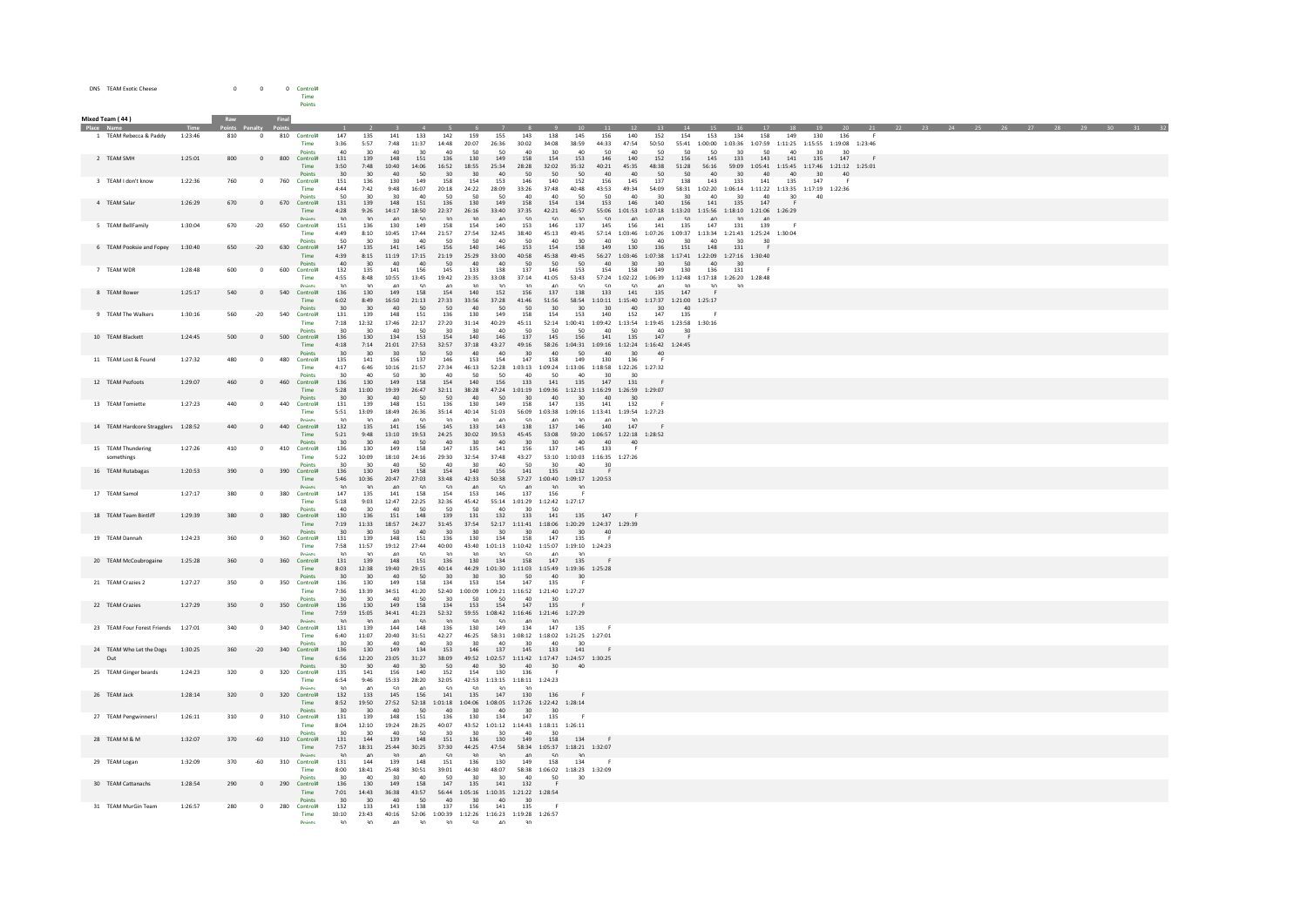| DNS TEAM Exotic Cheese | $\Omega$ | $\Omega$ | Control# |
|------------------------|----------|----------|----------|
|                        |          |          | Time     |
|                        |          |          | Points   |

| Place Name<br>1 TEAM Rebecca & Paddy<br>1:23:46<br>810<br>810 Control#<br>152<br>$\circ$<br>147<br>135<br>141<br>133<br>142<br>159<br>155<br>143<br>138<br>145<br>156<br>140<br>154<br>153<br>134<br>158<br>149<br>130<br>136<br>3:36<br>5:57<br>7:48<br>11:37<br>14:48<br>20:07<br>26:36<br>30:02<br>34:08<br>38:59<br>44:33<br>47:54<br>50:50<br>55:41 1:00:00 1:03:36 1:07:59 1:11:25 1:15:55 1:19:08 1:23:46<br>Time<br>30<br>40<br>$\Delta$ 0<br>50<br>40<br>30<br>40<br>$\Delta f$<br>50<br>50<br>50<br>Point<br>50<br>A <sub>0</sub><br>2 TEAM SMH<br>1:25:01<br>800<br>800<br>131<br>148<br>151<br>136<br>158<br>154<br>153<br>140<br>152<br>156<br>$\Omega$<br>139<br>130<br>149<br>146<br>145<br>133<br>141<br>135<br>147<br>Control#<br>143<br>Time<br>3:50<br>7:48<br>10:40<br>14:06<br>16:52<br>18:55<br>25:34<br>28:28<br>32:02<br>35:32<br>40:21<br>45:35<br>48:38<br>51:28<br>56:16<br>59:09  1:05:41  1:15:45  1:17:46  1:21:12  1:25:01<br>30<br>20<br>$\Delta$ 0<br>50<br>$\overline{A}$<br>50<br>50<br>$\Delta$ 0<br>50<br>50<br>AC<br>20<br>3 TEAM I don't know<br>1:22:36<br>760<br>760<br>Control#<br>151<br>136<br>130<br>149<br>158<br>154<br>153<br>146<br>140<br>152<br>156<br>145<br>137<br>138<br>143<br>133<br>141<br>135<br>147<br>$\Omega$<br>7:42<br>9:48<br>16:07<br>20:18<br>24:22<br>28:09<br>33:26<br>37:48<br>40:48<br>43:53<br>49:34<br>54:09<br>58:31 1:02:20<br>1:06:14 1:11:22 1:13:35 1:17:19 1:22:36<br>Time<br>4:44<br>30<br>50<br>50<br>30<br>50<br>30<br>50<br>50<br>40<br>50<br>40<br>30<br>40<br>$30^{\circ}$<br>40<br>30<br>40<br>Points<br>40<br>40<br>136<br>158<br>134<br>4 TEAM Salar<br>1:26:29<br>670<br>$\overline{0}$<br>670<br>Control#<br>131<br>139<br>148<br>151<br>130<br>149<br>154<br>153<br>146<br>140<br>156<br>141<br>135<br>147<br>22:37<br>37:35<br>42:21<br>46:57<br>55:06 1:01:53 1:07:18 1:13:20 1:15:56 1:18:10 1:21:06 1:26:29<br>Time<br>4:28<br>9:26<br>14:17<br>18:50<br>26:16<br>33:40<br>Points<br>30 <sub>2</sub><br>30 <sup>2</sup><br>40<br>50<br>30 <sub>o</sub><br>30<br>40<br>50<br>50<br>30 <sub>2</sub><br>50<br>40<br>40<br>50<br>40<br>$30^{\circ}$<br>40<br>650<br>158<br>153<br>137<br>5 TEAM BellFamily<br>1:30:04<br>670<br>$-20$<br>130<br>149<br>154<br>140<br>146<br>156<br>141<br>135<br>147<br>Control#<br>151<br>136<br>145<br>131<br>139<br>Time<br>4:49<br>8:10<br>10:45<br>17:44<br>21:57<br>27:54<br>32:45<br>38:40<br>45:13<br>49:45<br>57:14 1:03:46 1:07:26 1:09:37 1:13:34 1:21:43 1:25:24 1:30:04<br>50<br>40<br>50<br>40<br>Points<br>6 TEAM Pooksie and Fopey<br>1:30:40<br>630<br>147<br>141<br>145<br>156<br>140<br>146<br>153<br>154<br>158<br>130<br>136<br>151<br>148<br>650<br>$-20$<br>Control#<br>135<br>149<br>131<br>11:19 17:15<br>21:19<br>25:29<br>33:00<br>40:58<br>45:38<br>49:45<br>56:27  1:03:46  1:07:38  1:17:41  1:22:09  1:27:16  1:30:40<br>Time<br>4:39<br>8:15<br>50<br>50<br>40<br>50<br>50<br>50<br>Points<br>40<br>30<br>40<br>40<br>40<br>40<br>30<br>30 <sup>2</sup><br>40<br>30<br>7 TEAM WDR<br>1:28:48<br>600<br>600<br>132<br>145<br>133<br>138<br>137<br>153<br>158<br>149<br>130<br>136<br>$\mathbf 0$<br>Control#<br>135<br>141<br>156<br>146<br>154<br>131<br>Time<br>4:55<br>8:48<br>10:55<br>13:45<br>19:42<br>23:35<br>33:08<br>37:14<br>41:05<br>53:43<br>57:24 1:02:22 1:06:39 1:12:48 1:17:18 1:26:20<br>1:28:48<br>30<br>40<br>50<br>40<br>30<br>40<br>50<br>50<br>50<br>40<br>30<br>30<br>30<br>Points<br>8 TEAM Bower<br>1:25:17<br>540<br>540<br>Control#<br>136<br>130<br>149<br>158<br>154<br>140<br>152<br>156<br>137<br>138<br>133<br>141<br>135<br>147<br>$\circ$<br>8:49<br>16:50<br>27:33<br>33:56<br>37:28<br>41:46<br>58:54   1:10:11   1:15:40   1:17:37   1:21:00   1:25:17<br>Time<br>6:02<br>21:13<br>51:56<br>30<br>50<br>$50 -$<br>50<br>30 <sub>o</sub><br>30<br>40<br>50<br>30<br>40<br>40<br>$30^{\circ}$<br>40<br>Points<br>30<br>9 TEAM The Walkers<br>1:30:16<br>$-20$<br>540<br>Control#<br>131<br>139<br>148<br>151<br>136<br>130<br>149<br>158<br>154<br>153<br>140<br>152<br>147<br>135<br>560<br>12:32<br>17:46<br>22:17<br>27:20<br>$52:14 \quad 1:00:41 \quad 1:09:42 \quad 1:13:54 \quad 1:19:45 \quad 1:23:58 \quad 1:30:16$<br>Time<br>7:18<br>31:14<br>40:29<br>45:11<br>50<br>Doint<br>50<br>AC<br>50<br>co.<br>c.<br>30<br>134<br>137<br>156<br>147<br>10 TEAM Blackett<br>1:24:45<br>500<br>153<br>154<br>145<br>135<br>500<br>$\overline{0}$<br>136<br>130<br>140<br>146<br>141<br>Control#<br>4:18<br>7:14<br>21:01<br>27:53<br>32:57<br>37:18<br>43:27<br>49:16<br>58:26 1:04:31<br>1:09:16<br>1:12:24 1:16:42 1:24:45<br>Time<br>30<br>30<br>30<br>50<br>50<br>40<br>40<br>30<br>$40\,$<br>50<br>40<br>30<br>40<br>Points<br>11 TEAM Lost & Found<br>1:27:32<br>480<br>156<br>137<br>146<br>153<br>154<br>147<br>158<br>149<br>130<br>480<br>$\circ$<br>Control#<br>135<br>141<br>136<br>4:17<br>6:46<br>10:16<br>21:57<br>27:34<br>46:13<br>52:28 1:03:13 1:09:24 1:13:06 1:18:58 1:22:26 1:27:32<br>Time<br>50<br>50<br>50<br>40<br>Points<br>30<br>AC<br>30<br>$\Delta$ 0<br>50<br>40<br>12 TEAM Pezfoots<br>1:29:07<br>460<br>460<br>136<br>130<br>149<br>158<br>154<br>140<br>156<br>133<br>141<br>135<br>147<br>131<br>$\circ$<br>Control#<br>Time<br>5:28<br>11:00<br>19:39<br>26:47<br>32:11<br>38:28<br>47:24 1:01:19 1:09:36 1:12:13 1:16:29 1:26:59 1:29:07<br>50<br>50<br>Points<br>30 <sup>2</sup><br>30<br>40<br>50<br>40<br>30<br>40<br>30<br>40<br>20<br>13 TEAM Tomiette<br>1:27:23<br>440<br>Control#<br>131<br>139<br>148<br>151<br>136<br>130<br>149<br>158<br>147<br>135<br>141<br>132<br>440<br>$\circ$<br>13:09<br>18:49<br>26:36<br>35:14<br>40:14<br>51:03<br>56:09<br>$1:03:38 \quad 1:09:16 \quad 1:13:41 \quad 1:19:54 \quad 1:27:23$<br>Time<br>5:51<br>50<br>50<br>30<br>30<br>30<br>40<br>40<br>40<br>30<br>Points<br>40<br>14 TEAM Hardcore Stragglers 1:28:52<br>440<br>132<br>141<br>156<br>$145\,$<br>143<br>138<br>137<br>146<br>147<br>440<br>$\mathbf{0}$<br>Control#<br>135<br>133<br>140<br>5:21<br>9:48<br>13:10<br>19:53<br>24:25<br>30:02<br>39:53<br>45:45<br>53:08<br>59:20 1:06:57 1:22:18 1:28:52<br>Time<br>30 <sup>2</sup><br>30 <sup>2</sup><br>40 <sup>1</sup><br>50<br>40<br>30 <sup>°</sup><br>AD<br>30 <sup>2</sup><br>30 <sup>2</sup><br>40<br>40 <sup>1</sup><br><b>Points</b><br>AD<br>147<br>15 TFAM Thundering<br>1:27:26<br>410<br>$\Omega$<br>410<br>Control#<br>136<br>130<br>149<br>158<br>135<br>141<br>156<br>137<br>145<br>133<br>Time<br>5:22<br>10:09<br>18:10<br>24:16<br>29:30<br>32:54<br>37:48<br>43:27<br>53:10 1:10:03 1:16:35 1:27:26<br>somethings<br>20<br>50<br>30<br>AC<br>50<br>30<br>Point<br>16 TEAM Rutabagas<br>1:20:53<br>390<br>Control#<br>136<br>130<br>149<br>158<br>154<br>140<br>156<br>141<br>135<br>132<br>390<br>$\mathbf{0}$<br>10:36<br>20:47<br>27:03<br>33:48<br>42:33<br>50:38<br>57:27 1:00:40 1:09:17 1:20:53<br>5:46<br>Time<br>30<br>30<br>$\Lambda$<br>∣ 5∩<br>50<br>50<br>$A \cap$<br>30<br>30<br>Points<br>$A \Omega$<br>137<br>17 TEAM Samol<br>1:27:17<br>380<br>147<br>135<br>141<br>158<br>154<br>153<br>146<br>156<br>380<br>Control#<br>$^{\circ}$<br>32:36<br>Time<br>5:18<br>9:03<br>12:47<br>22:25<br>45:42<br>55:14 1:01:29 1:12:42 1:27:17<br>40<br>50<br>50<br>50<br>Points<br>40<br>30<br>50<br>40<br>30 <sub>0</sub><br>18 TEAM Team Bintliff<br>1:29:39<br>380<br>$\circ$<br>380<br>Control#<br>130<br>136<br>151<br>148<br>139<br>131<br>132<br>133<br>141<br>135<br>147<br>52:17 1:11:41 1:18:06 1:20:29 1:24:37 1:29:39<br>Time<br>7:19<br>11:33<br>18:57<br>24:27<br>31:45<br>37:54<br>50<br>30 <sub>o</sub><br>30<br>30 <sub>o</sub><br>30<br>40<br>30<br>30<br>40<br>30<br>Points<br>40<br>19 TEAM Dannah<br>139<br>148<br>151<br>136<br>130<br>134<br>158<br>147<br>1:24:23<br>360<br>$\mathbf{0}$<br>360<br>Control#<br>131<br>135<br>11:57<br>7:58<br>19:12<br>27:44<br>40:00<br>43:40 1:01:13 1:10:42 1:15:07 1:19:10 1:24:23<br>Time<br>30<br>50<br>50<br>Points<br>30<br>$\Lambda$ <sup>0</sup><br>30<br>20<br>20<br>40<br>30<br>20 TEAM McCoubrogaine<br>1:25:28<br>360<br>131<br>148<br>136<br>134<br>158<br>147<br>135<br>360<br>$\overline{0}$<br>Control#<br>139<br>151<br>130<br>Time<br>8:03<br>12:38<br>19:40<br>29:15<br>40:14<br>44:29 1:01:30 1:11:03 1:15:49 1:19:36 1:25:28<br>40<br>50<br>30 <sub>o</sub><br>Points<br>30<br>30<br>30<br>30 <sub>o</sub><br>50<br>40<br>30<br>21 TEAM Crazies 2<br>1:27:27<br>350<br>$\circ$<br>350<br>Control#<br>136<br>130<br>149<br>158<br>134<br>153<br>154<br>147<br>135<br>7:36<br>13:39<br>34:51<br>41:20<br>52:40 1:00:09 1:09:21 1:16:52 1:21:40 1:27:27<br>Time<br>Points<br>30<br>40<br>50<br>30<br>50<br>50<br>40<br>30<br>30<br>1:27:29<br>350<br>149<br>134<br>147<br>22 TEAM Crazies<br>350<br>136<br>130<br>158<br>153<br>154<br>$\circ$<br>Control#<br>135<br>15:05<br>52:32<br>59:55 1:08:42 1:16:46 1:21:46 1:27:29<br>Time<br>7:59<br>34:41 41:23<br>30<br>30<br>40 <sup>1</sup><br>50<br>30<br>50<br>50<br>AD<br><b>Points</b><br>30<br>23 TEAM Four Forest Friends<br>1:27:01<br>340<br>340<br>Control#<br>131<br>139<br>144<br>148<br>136<br>130<br>149<br>134<br>147<br>135<br>$\Omega$<br>11:07<br>20:40<br>31:51<br>42:27<br>58:31  1:08:12  1:18:02  1:21:25  1:27:01<br>Time<br>6:40<br>46:25<br>٩n<br>24 TEAM Who Let the Dogs<br>1:30:25<br>360<br>$-20$<br>340<br>Control#<br>136<br>130<br>149<br>134<br>153<br>146<br>137<br>145<br>133<br>141<br>49:52 1:02:57 1:11:42 1:17:47 1:24:57 1:30:25<br>6:56<br>12:20<br>23:05<br>31:27<br>38:09<br>Out<br>Time<br><b>Points</b><br>30 <sub>2</sub><br>30 <sup>2</sup><br>40 <sup>1</sup><br>30<br>$50 - 50$<br>AD<br>30 <sup>2</sup><br>AD<br>30 <sup>2</sup><br>40<br>25 TEAM Ginger beards<br>1:24:23<br>320<br>152<br>320<br>$^{\circ}$<br>Control#<br>135<br>141<br>156<br>140<br>154<br>130<br>136<br>- 6<br>Time<br>9:46<br>15:33<br>28:20<br>32:05<br>$42:53 \quad 1:13:15 \quad 1:18:11 \quad 1:24:23$<br>6:54<br>Point<br>20<br>AC<br>$\epsilon$<br>$\Delta$ 0<br>50<br>$\epsilon$<br>20<br>26 TEAM Jack<br>1:28:14<br>320<br>$\overline{0}$<br>320<br>Control#<br>132<br>133<br>145<br>156<br>141<br>135<br>147<br>130<br>136<br>Time<br>8:52<br>19:50<br>27:52<br>52:18 1:01:18 1:04:06 1:08:05 1:17:26 1:22:42 1:28:14<br>50<br>Points<br>$30^{\circ}$<br>30<br>40<br>40<br>30<br>40<br>30<br>30 <sup>2</sup><br>148<br>136<br>130<br>147<br>27 TEAM Pengwinners!<br>1:26:11<br>310<br>310 Control#<br>131<br>139<br>151<br>134<br>$\circ$<br>135<br>40:07<br>43:52 1:01:12 1:14:43 1:18:11 1:26:11<br>12:10<br>19:24<br>Time<br>8:04<br>28:25<br>$\Delta$ 0<br>50<br>40 <sup>2</sup><br><b>Points</b><br>30<br>30<br>30<br>30<br>30<br>30<br>1:32:07<br>310<br>139<br>151<br>149<br>134<br>28 TFAMM & M<br>370<br>$-60$<br>Control#<br>131<br>144<br>148<br>136<br>130<br>158<br>18:31<br>25:44<br>30:25<br>37:30<br>44:25<br>47:54<br>58:34    1:05:37    1:18:21    1:32:07<br>Time<br>7:57<br>30<br>50<br>30<br>30<br>40<br>40<br>30<br>40<br>$50^{\circ}$<br>Points<br>29 TEAM Logan<br>1:32:09<br>370<br>$-60$<br>310<br>Control#<br>131<br>144<br>139<br>148<br>151<br>136<br>130<br>149<br>158<br>134<br>48:07<br>58:38 1:06:02 1:18:23 1:32:09<br>18:41<br>25:48<br>30:51<br>39:01<br>44:30<br>Time<br>8:00<br>Points<br>50<br>30<br>40<br>50<br>30<br>30<br>$\Lambda$ <sup>C</sup><br>30<br>40<br>30<br>30 TEAM Cattanachs<br>149<br>147<br>132<br>1:28:54<br>290<br>136<br>130<br>158<br>135<br>141<br>290<br>$\circ$<br>Control#<br>7:01<br>14:43<br>36:38<br>43:57<br>56:44<br>1:05:16<br>1:10:35 1:21:22 1:28:54<br>Time<br>$\Lambda$ <sup><math>\Omega</math></sup><br>50<br>40 <sup>2</sup><br>$30^{\circ}$<br>31 TEAM MurGin Team<br>1:26:57<br>280<br>280<br>Control#<br>132<br>133<br>143<br>138<br>137<br>156<br>141<br>135<br>$^{\circ}$<br>Time<br>10:10<br>23:43<br>40:16<br>52:06 1:00:39 1:12:26 1:16:23 1:19:28 1:26:57 | Mixed Team (44) |  |  |  |  |  |  |  |  |  |  |  |  |  |  |  |  |  |  |
|--------------------------------------------------------------------------------------------------------------------------------------------------------------------------------------------------------------------------------------------------------------------------------------------------------------------------------------------------------------------------------------------------------------------------------------------------------------------------------------------------------------------------------------------------------------------------------------------------------------------------------------------------------------------------------------------------------------------------------------------------------------------------------------------------------------------------------------------------------------------------------------------------------------------------------------------------------------------------------------------------------------------------------------------------------------------------------------------------------------------------------------------------------------------------------------------------------------------------------------------------------------------------------------------------------------------------------------------------------------------------------------------------------------------------------------------------------------------------------------------------------------------------------------------------------------------------------------------------------------------------------------------------------------------------------------------------------------------------------------------------------------------------------------------------------------------------------------------------------------------------------------------------------------------------------------------------------------------------------------------------------------------------------------------------------------------------------------------------------------------------------------------------------------------------------------------------------------------------------------------------------------------------------------------------------------------------------------------------------------------------------------------------------------------------------------------------------------------------------------------------------------------------------------------------------------------------------------------------------------------------------------------------------------------------------------------------------------------------------------------------------------------------------------------------------------------------------------------------------------------------------------------------------------------------------------------------------------------------------------------------------------------------------------------------------------------------------------------------------------------------------------------------------------------------------------------------------------------------------------------------------------------------------------------------------------------------------------------------------------------------------------------------------------------------------------------------------------------------------------------------------------------------------------------------------------------------------------------------------------------------------------------------------------------------------------------------------------------------------------------------------------------------------------------------------------------------------------------------------------------------------------------------------------------------------------------------------------------------------------------------------------------------------------------------------------------------------------------------------------------------------------------------------------------------------------------------------------------------------------------------------------------------------------------------------------------------------------------------------------------------------------------------------------------------------------------------------------------------------------------------------------------------------------------------------------------------------------------------------------------------------------------------------------------------------------------------------------------------------------------------------------------------------------------------------------------------------------------------------------------------------------------------------------------------------------------------------------------------------------------------------------------------------------------------------------------------------------------------------------------------------------------------------------------------------------------------------------------------------------------------------------------------------------------------------------------------------------------------------------------------------------------------------------------------------------------------------------------------------------------------------------------------------------------------------------------------------------------------------------------------------------------------------------------------------------------------------------------------------------------------------------------------------------------------------------------------------------------------------------------------------------------------------------------------------------------------------------------------------------------------------------------------------------------------------------------------------------------------------------------------------------------------------------------------------------------------------------------------------------------------------------------------------------------------------------------------------------------------------------------------------------------------------------------------------------------------------------------------------------------------------------------------------------------------------------------------------------------------------------------------------------------------------------------------------------------------------------------------------------------------------------------------------------------------------------------------------------------------------------------------------------------------------------------------------------------------------------------------------------------------------------------------------------------------------------------------------------------------------------------------------------------------------------------------------------------------------------------------------------------------------------------------------------------------------------------------------------------------------------------------------------------------------------------------------------------------------------------------------------------------------------------------------------------------------------------------------------------------------------------------------------------------------------------------------------------------------------------------------------------------------------------------------------------------------------------------------------------------------------------------------------------------------------------------------------------------------------------------------------------------------------------------------------------------------------------------------------------------------------------------------------------------------------------------------------------------------------------------------------------------------------------------------------------------------------------------------------------------------------------------------------------------------------------------------------------------------------------------------------------------------------------------------------------------------------------------------------------------------------------------------------------------------------------------------------------------------------------------------------------------------------------------------------------------------------------------------------------------------------------------------------------------------------------------------------------------------------------------------------------------------------------------------------------------------------------------------------------------------------------------------------------------------------------------------------------------------------------------------------------------------------------------------------------------------------------------------------------------------------------------------------------------------------------------------------------------------------------------------------------------------------------------------------------------------------------------------------------------------------------------------------------------------------------------------------------------------------------------------------------------------------------------------------------------------------------------------------------------------------------------------------------------------------------------------------------------------------------------------------------------------------------------------------------------------------------------------------------------------------------------------------------------------------------------------------------------------------------------------------------------------------------------------------------------------------------------------------------------------------------------------------------------------------------------------------------------------------------------------------------------------------------------------------------------------------------------------------------------------------------------------------------------------------------------------------------------------------------------------------------------------------------------------------------------------------------------------------------------------------------------------------------------------------------------------------------------------------------------------------------------------------------------------------------------------------------------------------------------------------------------------------------------------------------------------------------------------------------------------------------------------------------------------------------------------------------------------------------------------------------------------------------------------------------------------------------------------------------------------------------------------------------------------------------------------------------------------------------------------------------------------------------------------------------------------------------------------------------------------------------------------------------------------------------------------------------------------------------------------------------------------------------------------------------------------------|-----------------|--|--|--|--|--|--|--|--|--|--|--|--|--|--|--|--|--|--|
|                                                                                                                                                                                                                                                                                                                                                                                                                                                                                                                                                                                                                                                                                                                                                                                                                                                                                                                                                                                                                                                                                                                                                                                                                                                                                                                                                                                                                                                                                                                                                                                                                                                                                                                                                                                                                                                                                                                                                                                                                                                                                                                                                                                                                                                                                                                                                                                                                                                                                                                                                                                                                                                                                                                                                                                                                                                                                                                                                                                                                                                                                                                                                                                                                                                                                                                                                                                                                                                                                                                                                                                                                                                                                                                                                                                                                                                                                                                                                                                                                                                                                                                                                                                                                                                                                                                                                                                                                                                                                                                                                                                                                                                                                                                                                                                                                                                                                                                                                                                                                                                                                                                                                                                                                                                                                                                                                                                                                                                                                                                                                                                                                                                                                                                                                                                                                                                                                                                                                                                                                                                                                                                                                                                                                                                                                                                                                                                                                                                                                                                                                                                                                                                                                                                                                                                                                                                                                                                                                                                                                                                                                                                                                                                                                                                                                                                                                                                                                                                                                                                                                                                                                                                                                                                                                                                                                                                                                                                                                                                                                                                                                                                                                                                                                                                                                                                                                                                                                                                                                                                                                                                                                                                                                                                                                                                                                                                                                                                                                                                                                                                                                                                                                                                                                                                                                                                                                                                                                                                                                                                                                                                                                                                                                                                                                                                                                                                                                                                                                                                                                                                                                                                                                                                                                                                                                                                                                                                                                                                                                                                                                                                                                                                                                                                                                                                                                                                                                                                                                                                                                                                                                                                                                                                                                                                                                                                                                                                                                                                                                                                                                                                                                                                                                                                                                                                                                                                                                                                                      |                 |  |  |  |  |  |  |  |  |  |  |  |  |  |  |  |  |  |  |
|                                                                                                                                                                                                                                                                                                                                                                                                                                                                                                                                                                                                                                                                                                                                                                                                                                                                                                                                                                                                                                                                                                                                                                                                                                                                                                                                                                                                                                                                                                                                                                                                                                                                                                                                                                                                                                                                                                                                                                                                                                                                                                                                                                                                                                                                                                                                                                                                                                                                                                                                                                                                                                                                                                                                                                                                                                                                                                                                                                                                                                                                                                                                                                                                                                                                                                                                                                                                                                                                                                                                                                                                                                                                                                                                                                                                                                                                                                                                                                                                                                                                                                                                                                                                                                                                                                                                                                                                                                                                                                                                                                                                                                                                                                                                                                                                                                                                                                                                                                                                                                                                                                                                                                                                                                                                                                                                                                                                                                                                                                                                                                                                                                                                                                                                                                                                                                                                                                                                                                                                                                                                                                                                                                                                                                                                                                                                                                                                                                                                                                                                                                                                                                                                                                                                                                                                                                                                                                                                                                                                                                                                                                                                                                                                                                                                                                                                                                                                                                                                                                                                                                                                                                                                                                                                                                                                                                                                                                                                                                                                                                                                                                                                                                                                                                                                                                                                                                                                                                                                                                                                                                                                                                                                                                                                                                                                                                                                                                                                                                                                                                                                                                                                                                                                                                                                                                                                                                                                                                                                                                                                                                                                                                                                                                                                                                                                                                                                                                                                                                                                                                                                                                                                                                                                                                                                                                                                                                                                                                                                                                                                                                                                                                                                                                                                                                                                                                                                                                                                                                                                                                                                                                                                                                                                                                                                                                                                                                                                                                                                                                                                                                                                                                                                                                                                                                                                                                                                                                                                      |                 |  |  |  |  |  |  |  |  |  |  |  |  |  |  |  |  |  |  |
|                                                                                                                                                                                                                                                                                                                                                                                                                                                                                                                                                                                                                                                                                                                                                                                                                                                                                                                                                                                                                                                                                                                                                                                                                                                                                                                                                                                                                                                                                                                                                                                                                                                                                                                                                                                                                                                                                                                                                                                                                                                                                                                                                                                                                                                                                                                                                                                                                                                                                                                                                                                                                                                                                                                                                                                                                                                                                                                                                                                                                                                                                                                                                                                                                                                                                                                                                                                                                                                                                                                                                                                                                                                                                                                                                                                                                                                                                                                                                                                                                                                                                                                                                                                                                                                                                                                                                                                                                                                                                                                                                                                                                                                                                                                                                                                                                                                                                                                                                                                                                                                                                                                                                                                                                                                                                                                                                                                                                                                                                                                                                                                                                                                                                                                                                                                                                                                                                                                                                                                                                                                                                                                                                                                                                                                                                                                                                                                                                                                                                                                                                                                                                                                                                                                                                                                                                                                                                                                                                                                                                                                                                                                                                                                                                                                                                                                                                                                                                                                                                                                                                                                                                                                                                                                                                                                                                                                                                                                                                                                                                                                                                                                                                                                                                                                                                                                                                                                                                                                                                                                                                                                                                                                                                                                                                                                                                                                                                                                                                                                                                                                                                                                                                                                                                                                                                                                                                                                                                                                                                                                                                                                                                                                                                                                                                                                                                                                                                                                                                                                                                                                                                                                                                                                                                                                                                                                                                                                                                                                                                                                                                                                                                                                                                                                                                                                                                                                                                                                                                                                                                                                                                                                                                                                                                                                                                                                                                                                                                                                                                                                                                                                                                                                                                                                                                                                                                                                                                                                                      |                 |  |  |  |  |  |  |  |  |  |  |  |  |  |  |  |  |  |  |
|                                                                                                                                                                                                                                                                                                                                                                                                                                                                                                                                                                                                                                                                                                                                                                                                                                                                                                                                                                                                                                                                                                                                                                                                                                                                                                                                                                                                                                                                                                                                                                                                                                                                                                                                                                                                                                                                                                                                                                                                                                                                                                                                                                                                                                                                                                                                                                                                                                                                                                                                                                                                                                                                                                                                                                                                                                                                                                                                                                                                                                                                                                                                                                                                                                                                                                                                                                                                                                                                                                                                                                                                                                                                                                                                                                                                                                                                                                                                                                                                                                                                                                                                                                                                                                                                                                                                                                                                                                                                                                                                                                                                                                                                                                                                                                                                                                                                                                                                                                                                                                                                                                                                                                                                                                                                                                                                                                                                                                                                                                                                                                                                                                                                                                                                                                                                                                                                                                                                                                                                                                                                                                                                                                                                                                                                                                                                                                                                                                                                                                                                                                                                                                                                                                                                                                                                                                                                                                                                                                                                                                                                                                                                                                                                                                                                                                                                                                                                                                                                                                                                                                                                                                                                                                                                                                                                                                                                                                                                                                                                                                                                                                                                                                                                                                                                                                                                                                                                                                                                                                                                                                                                                                                                                                                                                                                                                                                                                                                                                                                                                                                                                                                                                                                                                                                                                                                                                                                                                                                                                                                                                                                                                                                                                                                                                                                                                                                                                                                                                                                                                                                                                                                                                                                                                                                                                                                                                                                                                                                                                                                                                                                                                                                                                                                                                                                                                                                                                                                                                                                                                                                                                                                                                                                                                                                                                                                                                                                                                                                                                                                                                                                                                                                                                                                                                                                                                                                                                                                                      |                 |  |  |  |  |  |  |  |  |  |  |  |  |  |  |  |  |  |  |
|                                                                                                                                                                                                                                                                                                                                                                                                                                                                                                                                                                                                                                                                                                                                                                                                                                                                                                                                                                                                                                                                                                                                                                                                                                                                                                                                                                                                                                                                                                                                                                                                                                                                                                                                                                                                                                                                                                                                                                                                                                                                                                                                                                                                                                                                                                                                                                                                                                                                                                                                                                                                                                                                                                                                                                                                                                                                                                                                                                                                                                                                                                                                                                                                                                                                                                                                                                                                                                                                                                                                                                                                                                                                                                                                                                                                                                                                                                                                                                                                                                                                                                                                                                                                                                                                                                                                                                                                                                                                                                                                                                                                                                                                                                                                                                                                                                                                                                                                                                                                                                                                                                                                                                                                                                                                                                                                                                                                                                                                                                                                                                                                                                                                                                                                                                                                                                                                                                                                                                                                                                                                                                                                                                                                                                                                                                                                                                                                                                                                                                                                                                                                                                                                                                                                                                                                                                                                                                                                                                                                                                                                                                                                                                                                                                                                                                                                                                                                                                                                                                                                                                                                                                                                                                                                                                                                                                                                                                                                                                                                                                                                                                                                                                                                                                                                                                                                                                                                                                                                                                                                                                                                                                                                                                                                                                                                                                                                                                                                                                                                                                                                                                                                                                                                                                                                                                                                                                                                                                                                                                                                                                                                                                                                                                                                                                                                                                                                                                                                                                                                                                                                                                                                                                                                                                                                                                                                                                                                                                                                                                                                                                                                                                                                                                                                                                                                                                                                                                                                                                                                                                                                                                                                                                                                                                                                                                                                                                                                                                                                                                                                                                                                                                                                                                                                                                                                                                                                                                                                      |                 |  |  |  |  |  |  |  |  |  |  |  |  |  |  |  |  |  |  |
|                                                                                                                                                                                                                                                                                                                                                                                                                                                                                                                                                                                                                                                                                                                                                                                                                                                                                                                                                                                                                                                                                                                                                                                                                                                                                                                                                                                                                                                                                                                                                                                                                                                                                                                                                                                                                                                                                                                                                                                                                                                                                                                                                                                                                                                                                                                                                                                                                                                                                                                                                                                                                                                                                                                                                                                                                                                                                                                                                                                                                                                                                                                                                                                                                                                                                                                                                                                                                                                                                                                                                                                                                                                                                                                                                                                                                                                                                                                                                                                                                                                                                                                                                                                                                                                                                                                                                                                                                                                                                                                                                                                                                                                                                                                                                                                                                                                                                                                                                                                                                                                                                                                                                                                                                                                                                                                                                                                                                                                                                                                                                                                                                                                                                                                                                                                                                                                                                                                                                                                                                                                                                                                                                                                                                                                                                                                                                                                                                                                                                                                                                                                                                                                                                                                                                                                                                                                                                                                                                                                                                                                                                                                                                                                                                                                                                                                                                                                                                                                                                                                                                                                                                                                                                                                                                                                                                                                                                                                                                                                                                                                                                                                                                                                                                                                                                                                                                                                                                                                                                                                                                                                                                                                                                                                                                                                                                                                                                                                                                                                                                                                                                                                                                                                                                                                                                                                                                                                                                                                                                                                                                                                                                                                                                                                                                                                                                                                                                                                                                                                                                                                                                                                                                                                                                                                                                                                                                                                                                                                                                                                                                                                                                                                                                                                                                                                                                                                                                                                                                                                                                                                                                                                                                                                                                                                                                                                                                                                                                                                                                                                                                                                                                                                                                                                                                                                                                                                                                                                                      |                 |  |  |  |  |  |  |  |  |  |  |  |  |  |  |  |  |  |  |
|                                                                                                                                                                                                                                                                                                                                                                                                                                                                                                                                                                                                                                                                                                                                                                                                                                                                                                                                                                                                                                                                                                                                                                                                                                                                                                                                                                                                                                                                                                                                                                                                                                                                                                                                                                                                                                                                                                                                                                                                                                                                                                                                                                                                                                                                                                                                                                                                                                                                                                                                                                                                                                                                                                                                                                                                                                                                                                                                                                                                                                                                                                                                                                                                                                                                                                                                                                                                                                                                                                                                                                                                                                                                                                                                                                                                                                                                                                                                                                                                                                                                                                                                                                                                                                                                                                                                                                                                                                                                                                                                                                                                                                                                                                                                                                                                                                                                                                                                                                                                                                                                                                                                                                                                                                                                                                                                                                                                                                                                                                                                                                                                                                                                                                                                                                                                                                                                                                                                                                                                                                                                                                                                                                                                                                                                                                                                                                                                                                                                                                                                                                                                                                                                                                                                                                                                                                                                                                                                                                                                                                                                                                                                                                                                                                                                                                                                                                                                                                                                                                                                                                                                                                                                                                                                                                                                                                                                                                                                                                                                                                                                                                                                                                                                                                                                                                                                                                                                                                                                                                                                                                                                                                                                                                                                                                                                                                                                                                                                                                                                                                                                                                                                                                                                                                                                                                                                                                                                                                                                                                                                                                                                                                                                                                                                                                                                                                                                                                                                                                                                                                                                                                                                                                                                                                                                                                                                                                                                                                                                                                                                                                                                                                                                                                                                                                                                                                                                                                                                                                                                                                                                                                                                                                                                                                                                                                                                                                                                                                                                                                                                                                                                                                                                                                                                                                                                                                                                                                                                      |                 |  |  |  |  |  |  |  |  |  |  |  |  |  |  |  |  |  |  |
|                                                                                                                                                                                                                                                                                                                                                                                                                                                                                                                                                                                                                                                                                                                                                                                                                                                                                                                                                                                                                                                                                                                                                                                                                                                                                                                                                                                                                                                                                                                                                                                                                                                                                                                                                                                                                                                                                                                                                                                                                                                                                                                                                                                                                                                                                                                                                                                                                                                                                                                                                                                                                                                                                                                                                                                                                                                                                                                                                                                                                                                                                                                                                                                                                                                                                                                                                                                                                                                                                                                                                                                                                                                                                                                                                                                                                                                                                                                                                                                                                                                                                                                                                                                                                                                                                                                                                                                                                                                                                                                                                                                                                                                                                                                                                                                                                                                                                                                                                                                                                                                                                                                                                                                                                                                                                                                                                                                                                                                                                                                                                                                                                                                                                                                                                                                                                                                                                                                                                                                                                                                                                                                                                                                                                                                                                                                                                                                                                                                                                                                                                                                                                                                                                                                                                                                                                                                                                                                                                                                                                                                                                                                                                                                                                                                                                                                                                                                                                                                                                                                                                                                                                                                                                                                                                                                                                                                                                                                                                                                                                                                                                                                                                                                                                                                                                                                                                                                                                                                                                                                                                                                                                                                                                                                                                                                                                                                                                                                                                                                                                                                                                                                                                                                                                                                                                                                                                                                                                                                                                                                                                                                                                                                                                                                                                                                                                                                                                                                                                                                                                                                                                                                                                                                                                                                                                                                                                                                                                                                                                                                                                                                                                                                                                                                                                                                                                                                                                                                                                                                                                                                                                                                                                                                                                                                                                                                                                                                                                                                                                                                                                                                                                                                                                                                                                                                                                                                                                                                                      |                 |  |  |  |  |  |  |  |  |  |  |  |  |  |  |  |  |  |  |
|                                                                                                                                                                                                                                                                                                                                                                                                                                                                                                                                                                                                                                                                                                                                                                                                                                                                                                                                                                                                                                                                                                                                                                                                                                                                                                                                                                                                                                                                                                                                                                                                                                                                                                                                                                                                                                                                                                                                                                                                                                                                                                                                                                                                                                                                                                                                                                                                                                                                                                                                                                                                                                                                                                                                                                                                                                                                                                                                                                                                                                                                                                                                                                                                                                                                                                                                                                                                                                                                                                                                                                                                                                                                                                                                                                                                                                                                                                                                                                                                                                                                                                                                                                                                                                                                                                                                                                                                                                                                                                                                                                                                                                                                                                                                                                                                                                                                                                                                                                                                                                                                                                                                                                                                                                                                                                                                                                                                                                                                                                                                                                                                                                                                                                                                                                                                                                                                                                                                                                                                                                                                                                                                                                                                                                                                                                                                                                                                                                                                                                                                                                                                                                                                                                                                                                                                                                                                                                                                                                                                                                                                                                                                                                                                                                                                                                                                                                                                                                                                                                                                                                                                                                                                                                                                                                                                                                                                                                                                                                                                                                                                                                                                                                                                                                                                                                                                                                                                                                                                                                                                                                                                                                                                                                                                                                                                                                                                                                                                                                                                                                                                                                                                                                                                                                                                                                                                                                                                                                                                                                                                                                                                                                                                                                                                                                                                                                                                                                                                                                                                                                                                                                                                                                                                                                                                                                                                                                                                                                                                                                                                                                                                                                                                                                                                                                                                                                                                                                                                                                                                                                                                                                                                                                                                                                                                                                                                                                                                                                                                                                                                                                                                                                                                                                                                                                                                                                                                                                                                      |                 |  |  |  |  |  |  |  |  |  |  |  |  |  |  |  |  |  |  |
|                                                                                                                                                                                                                                                                                                                                                                                                                                                                                                                                                                                                                                                                                                                                                                                                                                                                                                                                                                                                                                                                                                                                                                                                                                                                                                                                                                                                                                                                                                                                                                                                                                                                                                                                                                                                                                                                                                                                                                                                                                                                                                                                                                                                                                                                                                                                                                                                                                                                                                                                                                                                                                                                                                                                                                                                                                                                                                                                                                                                                                                                                                                                                                                                                                                                                                                                                                                                                                                                                                                                                                                                                                                                                                                                                                                                                                                                                                                                                                                                                                                                                                                                                                                                                                                                                                                                                                                                                                                                                                                                                                                                                                                                                                                                                                                                                                                                                                                                                                                                                                                                                                                                                                                                                                                                                                                                                                                                                                                                                                                                                                                                                                                                                                                                                                                                                                                                                                                                                                                                                                                                                                                                                                                                                                                                                                                                                                                                                                                                                                                                                                                                                                                                                                                                                                                                                                                                                                                                                                                                                                                                                                                                                                                                                                                                                                                                                                                                                                                                                                                                                                                                                                                                                                                                                                                                                                                                                                                                                                                                                                                                                                                                                                                                                                                                                                                                                                                                                                                                                                                                                                                                                                                                                                                                                                                                                                                                                                                                                                                                                                                                                                                                                                                                                                                                                                                                                                                                                                                                                                                                                                                                                                                                                                                                                                                                                                                                                                                                                                                                                                                                                                                                                                                                                                                                                                                                                                                                                                                                                                                                                                                                                                                                                                                                                                                                                                                                                                                                                                                                                                                                                                                                                                                                                                                                                                                                                                                                                                                                                                                                                                                                                                                                                                                                                                                                                                                                                                                                      |                 |  |  |  |  |  |  |  |  |  |  |  |  |  |  |  |  |  |  |
|                                                                                                                                                                                                                                                                                                                                                                                                                                                                                                                                                                                                                                                                                                                                                                                                                                                                                                                                                                                                                                                                                                                                                                                                                                                                                                                                                                                                                                                                                                                                                                                                                                                                                                                                                                                                                                                                                                                                                                                                                                                                                                                                                                                                                                                                                                                                                                                                                                                                                                                                                                                                                                                                                                                                                                                                                                                                                                                                                                                                                                                                                                                                                                                                                                                                                                                                                                                                                                                                                                                                                                                                                                                                                                                                                                                                                                                                                                                                                                                                                                                                                                                                                                                                                                                                                                                                                                                                                                                                                                                                                                                                                                                                                                                                                                                                                                                                                                                                                                                                                                                                                                                                                                                                                                                                                                                                                                                                                                                                                                                                                                                                                                                                                                                                                                                                                                                                                                                                                                                                                                                                                                                                                                                                                                                                                                                                                                                                                                                                                                                                                                                                                                                                                                                                                                                                                                                                                                                                                                                                                                                                                                                                                                                                                                                                                                                                                                                                                                                                                                                                                                                                                                                                                                                                                                                                                                                                                                                                                                                                                                                                                                                                                                                                                                                                                                                                                                                                                                                                                                                                                                                                                                                                                                                                                                                                                                                                                                                                                                                                                                                                                                                                                                                                                                                                                                                                                                                                                                                                                                                                                                                                                                                                                                                                                                                                                                                                                                                                                                                                                                                                                                                                                                                                                                                                                                                                                                                                                                                                                                                                                                                                                                                                                                                                                                                                                                                                                                                                                                                                                                                                                                                                                                                                                                                                                                                                                                                                                                                                                                                                                                                                                                                                                                                                                                                                                                                                                                                                      |                 |  |  |  |  |  |  |  |  |  |  |  |  |  |  |  |  |  |  |
|                                                                                                                                                                                                                                                                                                                                                                                                                                                                                                                                                                                                                                                                                                                                                                                                                                                                                                                                                                                                                                                                                                                                                                                                                                                                                                                                                                                                                                                                                                                                                                                                                                                                                                                                                                                                                                                                                                                                                                                                                                                                                                                                                                                                                                                                                                                                                                                                                                                                                                                                                                                                                                                                                                                                                                                                                                                                                                                                                                                                                                                                                                                                                                                                                                                                                                                                                                                                                                                                                                                                                                                                                                                                                                                                                                                                                                                                                                                                                                                                                                                                                                                                                                                                                                                                                                                                                                                                                                                                                                                                                                                                                                                                                                                                                                                                                                                                                                                                                                                                                                                                                                                                                                                                                                                                                                                                                                                                                                                                                                                                                                                                                                                                                                                                                                                                                                                                                                                                                                                                                                                                                                                                                                                                                                                                                                                                                                                                                                                                                                                                                                                                                                                                                                                                                                                                                                                                                                                                                                                                                                                                                                                                                                                                                                                                                                                                                                                                                                                                                                                                                                                                                                                                                                                                                                                                                                                                                                                                                                                                                                                                                                                                                                                                                                                                                                                                                                                                                                                                                                                                                                                                                                                                                                                                                                                                                                                                                                                                                                                                                                                                                                                                                                                                                                                                                                                                                                                                                                                                                                                                                                                                                                                                                                                                                                                                                                                                                                                                                                                                                                                                                                                                                                                                                                                                                                                                                                                                                                                                                                                                                                                                                                                                                                                                                                                                                                                                                                                                                                                                                                                                                                                                                                                                                                                                                                                                                                                                                                                                                                                                                                                                                                                                                                                                                                                                                                                                                                                                      |                 |  |  |  |  |  |  |  |  |  |  |  |  |  |  |  |  |  |  |
|                                                                                                                                                                                                                                                                                                                                                                                                                                                                                                                                                                                                                                                                                                                                                                                                                                                                                                                                                                                                                                                                                                                                                                                                                                                                                                                                                                                                                                                                                                                                                                                                                                                                                                                                                                                                                                                                                                                                                                                                                                                                                                                                                                                                                                                                                                                                                                                                                                                                                                                                                                                                                                                                                                                                                                                                                                                                                                                                                                                                                                                                                                                                                                                                                                                                                                                                                                                                                                                                                                                                                                                                                                                                                                                                                                                                                                                                                                                                                                                                                                                                                                                                                                                                                                                                                                                                                                                                                                                                                                                                                                                                                                                                                                                                                                                                                                                                                                                                                                                                                                                                                                                                                                                                                                                                                                                                                                                                                                                                                                                                                                                                                                                                                                                                                                                                                                                                                                                                                                                                                                                                                                                                                                                                                                                                                                                                                                                                                                                                                                                                                                                                                                                                                                                                                                                                                                                                                                                                                                                                                                                                                                                                                                                                                                                                                                                                                                                                                                                                                                                                                                                                                                                                                                                                                                                                                                                                                                                                                                                                                                                                                                                                                                                                                                                                                                                                                                                                                                                                                                                                                                                                                                                                                                                                                                                                                                                                                                                                                                                                                                                                                                                                                                                                                                                                                                                                                                                                                                                                                                                                                                                                                                                                                                                                                                                                                                                                                                                                                                                                                                                                                                                                                                                                                                                                                                                                                                                                                                                                                                                                                                                                                                                                                                                                                                                                                                                                                                                                                                                                                                                                                                                                                                                                                                                                                                                                                                                                                                                                                                                                                                                                                                                                                                                                                                                                                                                                                                                                      |                 |  |  |  |  |  |  |  |  |  |  |  |  |  |  |  |  |  |  |
|                                                                                                                                                                                                                                                                                                                                                                                                                                                                                                                                                                                                                                                                                                                                                                                                                                                                                                                                                                                                                                                                                                                                                                                                                                                                                                                                                                                                                                                                                                                                                                                                                                                                                                                                                                                                                                                                                                                                                                                                                                                                                                                                                                                                                                                                                                                                                                                                                                                                                                                                                                                                                                                                                                                                                                                                                                                                                                                                                                                                                                                                                                                                                                                                                                                                                                                                                                                                                                                                                                                                                                                                                                                                                                                                                                                                                                                                                                                                                                                                                                                                                                                                                                                                                                                                                                                                                                                                                                                                                                                                                                                                                                                                                                                                                                                                                                                                                                                                                                                                                                                                                                                                                                                                                                                                                                                                                                                                                                                                                                                                                                                                                                                                                                                                                                                                                                                                                                                                                                                                                                                                                                                                                                                                                                                                                                                                                                                                                                                                                                                                                                                                                                                                                                                                                                                                                                                                                                                                                                                                                                                                                                                                                                                                                                                                                                                                                                                                                                                                                                                                                                                                                                                                                                                                                                                                                                                                                                                                                                                                                                                                                                                                                                                                                                                                                                                                                                                                                                                                                                                                                                                                                                                                                                                                                                                                                                                                                                                                                                                                                                                                                                                                                                                                                                                                                                                                                                                                                                                                                                                                                                                                                                                                                                                                                                                                                                                                                                                                                                                                                                                                                                                                                                                                                                                                                                                                                                                                                                                                                                                                                                                                                                                                                                                                                                                                                                                                                                                                                                                                                                                                                                                                                                                                                                                                                                                                                                                                                                                                                                                                                                                                                                                                                                                                                                                                                                                                                                                                      |                 |  |  |  |  |  |  |  |  |  |  |  |  |  |  |  |  |  |  |
|                                                                                                                                                                                                                                                                                                                                                                                                                                                                                                                                                                                                                                                                                                                                                                                                                                                                                                                                                                                                                                                                                                                                                                                                                                                                                                                                                                                                                                                                                                                                                                                                                                                                                                                                                                                                                                                                                                                                                                                                                                                                                                                                                                                                                                                                                                                                                                                                                                                                                                                                                                                                                                                                                                                                                                                                                                                                                                                                                                                                                                                                                                                                                                                                                                                                                                                                                                                                                                                                                                                                                                                                                                                                                                                                                                                                                                                                                                                                                                                                                                                                                                                                                                                                                                                                                                                                                                                                                                                                                                                                                                                                                                                                                                                                                                                                                                                                                                                                                                                                                                                                                                                                                                                                                                                                                                                                                                                                                                                                                                                                                                                                                                                                                                                                                                                                                                                                                                                                                                                                                                                                                                                                                                                                                                                                                                                                                                                                                                                                                                                                                                                                                                                                                                                                                                                                                                                                                                                                                                                                                                                                                                                                                                                                                                                                                                                                                                                                                                                                                                                                                                                                                                                                                                                                                                                                                                                                                                                                                                                                                                                                                                                                                                                                                                                                                                                                                                                                                                                                                                                                                                                                                                                                                                                                                                                                                                                                                                                                                                                                                                                                                                                                                                                                                                                                                                                                                                                                                                                                                                                                                                                                                                                                                                                                                                                                                                                                                                                                                                                                                                                                                                                                                                                                                                                                                                                                                                                                                                                                                                                                                                                                                                                                                                                                                                                                                                                                                                                                                                                                                                                                                                                                                                                                                                                                                                                                                                                                                                                                                                                                                                                                                                                                                                                                                                                                                                                                                                                                      |                 |  |  |  |  |  |  |  |  |  |  |  |  |  |  |  |  |  |  |
|                                                                                                                                                                                                                                                                                                                                                                                                                                                                                                                                                                                                                                                                                                                                                                                                                                                                                                                                                                                                                                                                                                                                                                                                                                                                                                                                                                                                                                                                                                                                                                                                                                                                                                                                                                                                                                                                                                                                                                                                                                                                                                                                                                                                                                                                                                                                                                                                                                                                                                                                                                                                                                                                                                                                                                                                                                                                                                                                                                                                                                                                                                                                                                                                                                                                                                                                                                                                                                                                                                                                                                                                                                                                                                                                                                                                                                                                                                                                                                                                                                                                                                                                                                                                                                                                                                                                                                                                                                                                                                                                                                                                                                                                                                                                                                                                                                                                                                                                                                                                                                                                                                                                                                                                                                                                                                                                                                                                                                                                                                                                                                                                                                                                                                                                                                                                                                                                                                                                                                                                                                                                                                                                                                                                                                                                                                                                                                                                                                                                                                                                                                                                                                                                                                                                                                                                                                                                                                                                                                                                                                                                                                                                                                                                                                                                                                                                                                                                                                                                                                                                                                                                                                                                                                                                                                                                                                                                                                                                                                                                                                                                                                                                                                                                                                                                                                                                                                                                                                                                                                                                                                                                                                                                                                                                                                                                                                                                                                                                                                                                                                                                                                                                                                                                                                                                                                                                                                                                                                                                                                                                                                                                                                                                                                                                                                                                                                                                                                                                                                                                                                                                                                                                                                                                                                                                                                                                                                                                                                                                                                                                                                                                                                                                                                                                                                                                                                                                                                                                                                                                                                                                                                                                                                                                                                                                                                                                                                                                                                                                                                                                                                                                                                                                                                                                                                                                                                                                                                                                      |                 |  |  |  |  |  |  |  |  |  |  |  |  |  |  |  |  |  |  |
|                                                                                                                                                                                                                                                                                                                                                                                                                                                                                                                                                                                                                                                                                                                                                                                                                                                                                                                                                                                                                                                                                                                                                                                                                                                                                                                                                                                                                                                                                                                                                                                                                                                                                                                                                                                                                                                                                                                                                                                                                                                                                                                                                                                                                                                                                                                                                                                                                                                                                                                                                                                                                                                                                                                                                                                                                                                                                                                                                                                                                                                                                                                                                                                                                                                                                                                                                                                                                                                                                                                                                                                                                                                                                                                                                                                                                                                                                                                                                                                                                                                                                                                                                                                                                                                                                                                                                                                                                                                                                                                                                                                                                                                                                                                                                                                                                                                                                                                                                                                                                                                                                                                                                                                                                                                                                                                                                                                                                                                                                                                                                                                                                                                                                                                                                                                                                                                                                                                                                                                                                                                                                                                                                                                                                                                                                                                                                                                                                                                                                                                                                                                                                                                                                                                                                                                                                                                                                                                                                                                                                                                                                                                                                                                                                                                                                                                                                                                                                                                                                                                                                                                                                                                                                                                                                                                                                                                                                                                                                                                                                                                                                                                                                                                                                                                                                                                                                                                                                                                                                                                                                                                                                                                                                                                                                                                                                                                                                                                                                                                                                                                                                                                                                                                                                                                                                                                                                                                                                                                                                                                                                                                                                                                                                                                                                                                                                                                                                                                                                                                                                                                                                                                                                                                                                                                                                                                                                                                                                                                                                                                                                                                                                                                                                                                                                                                                                                                                                                                                                                                                                                                                                                                                                                                                                                                                                                                                                                                                                                                                                                                                                                                                                                                                                                                                                                                                                                                                                                                                      |                 |  |  |  |  |  |  |  |  |  |  |  |  |  |  |  |  |  |  |
|                                                                                                                                                                                                                                                                                                                                                                                                                                                                                                                                                                                                                                                                                                                                                                                                                                                                                                                                                                                                                                                                                                                                                                                                                                                                                                                                                                                                                                                                                                                                                                                                                                                                                                                                                                                                                                                                                                                                                                                                                                                                                                                                                                                                                                                                                                                                                                                                                                                                                                                                                                                                                                                                                                                                                                                                                                                                                                                                                                                                                                                                                                                                                                                                                                                                                                                                                                                                                                                                                                                                                                                                                                                                                                                                                                                                                                                                                                                                                                                                                                                                                                                                                                                                                                                                                                                                                                                                                                                                                                                                                                                                                                                                                                                                                                                                                                                                                                                                                                                                                                                                                                                                                                                                                                                                                                                                                                                                                                                                                                                                                                                                                                                                                                                                                                                                                                                                                                                                                                                                                                                                                                                                                                                                                                                                                                                                                                                                                                                                                                                                                                                                                                                                                                                                                                                                                                                                                                                                                                                                                                                                                                                                                                                                                                                                                                                                                                                                                                                                                                                                                                                                                                                                                                                                                                                                                                                                                                                                                                                                                                                                                                                                                                                                                                                                                                                                                                                                                                                                                                                                                                                                                                                                                                                                                                                                                                                                                                                                                                                                                                                                                                                                                                                                                                                                                                                                                                                                                                                                                                                                                                                                                                                                                                                                                                                                                                                                                                                                                                                                                                                                                                                                                                                                                                                                                                                                                                                                                                                                                                                                                                                                                                                                                                                                                                                                                                                                                                                                                                                                                                                                                                                                                                                                                                                                                                                                                                                                                                                                                                                                                                                                                                                                                                                                                                                                                                                                                                                                      |                 |  |  |  |  |  |  |  |  |  |  |  |  |  |  |  |  |  |  |
|                                                                                                                                                                                                                                                                                                                                                                                                                                                                                                                                                                                                                                                                                                                                                                                                                                                                                                                                                                                                                                                                                                                                                                                                                                                                                                                                                                                                                                                                                                                                                                                                                                                                                                                                                                                                                                                                                                                                                                                                                                                                                                                                                                                                                                                                                                                                                                                                                                                                                                                                                                                                                                                                                                                                                                                                                                                                                                                                                                                                                                                                                                                                                                                                                                                                                                                                                                                                                                                                                                                                                                                                                                                                                                                                                                                                                                                                                                                                                                                                                                                                                                                                                                                                                                                                                                                                                                                                                                                                                                                                                                                                                                                                                                                                                                                                                                                                                                                                                                                                                                                                                                                                                                                                                                                                                                                                                                                                                                                                                                                                                                                                                                                                                                                                                                                                                                                                                                                                                                                                                                                                                                                                                                                                                                                                                                                                                                                                                                                                                                                                                                                                                                                                                                                                                                                                                                                                                                                                                                                                                                                                                                                                                                                                                                                                                                                                                                                                                                                                                                                                                                                                                                                                                                                                                                                                                                                                                                                                                                                                                                                                                                                                                                                                                                                                                                                                                                                                                                                                                                                                                                                                                                                                                                                                                                                                                                                                                                                                                                                                                                                                                                                                                                                                                                                                                                                                                                                                                                                                                                                                                                                                                                                                                                                                                                                                                                                                                                                                                                                                                                                                                                                                                                                                                                                                                                                                                                                                                                                                                                                                                                                                                                                                                                                                                                                                                                                                                                                                                                                                                                                                                                                                                                                                                                                                                                                                                                                                                                                                                                                                                                                                                                                                                                                                                                                                                                                                                                                                      |                 |  |  |  |  |  |  |  |  |  |  |  |  |  |  |  |  |  |  |
|                                                                                                                                                                                                                                                                                                                                                                                                                                                                                                                                                                                                                                                                                                                                                                                                                                                                                                                                                                                                                                                                                                                                                                                                                                                                                                                                                                                                                                                                                                                                                                                                                                                                                                                                                                                                                                                                                                                                                                                                                                                                                                                                                                                                                                                                                                                                                                                                                                                                                                                                                                                                                                                                                                                                                                                                                                                                                                                                                                                                                                                                                                                                                                                                                                                                                                                                                                                                                                                                                                                                                                                                                                                                                                                                                                                                                                                                                                                                                                                                                                                                                                                                                                                                                                                                                                                                                                                                                                                                                                                                                                                                                                                                                                                                                                                                                                                                                                                                                                                                                                                                                                                                                                                                                                                                                                                                                                                                                                                                                                                                                                                                                                                                                                                                                                                                                                                                                                                                                                                                                                                                                                                                                                                                                                                                                                                                                                                                                                                                                                                                                                                                                                                                                                                                                                                                                                                                                                                                                                                                                                                                                                                                                                                                                                                                                                                                                                                                                                                                                                                                                                                                                                                                                                                                                                                                                                                                                                                                                                                                                                                                                                                                                                                                                                                                                                                                                                                                                                                                                                                                                                                                                                                                                                                                                                                                                                                                                                                                                                                                                                                                                                                                                                                                                                                                                                                                                                                                                                                                                                                                                                                                                                                                                                                                                                                                                                                                                                                                                                                                                                                                                                                                                                                                                                                                                                                                                                                                                                                                                                                                                                                                                                                                                                                                                                                                                                                                                                                                                                                                                                                                                                                                                                                                                                                                                                                                                                                                                                                                                                                                                                                                                                                                                                                                                                                                                                                                                                                                      |                 |  |  |  |  |  |  |  |  |  |  |  |  |  |  |  |  |  |  |
|                                                                                                                                                                                                                                                                                                                                                                                                                                                                                                                                                                                                                                                                                                                                                                                                                                                                                                                                                                                                                                                                                                                                                                                                                                                                                                                                                                                                                                                                                                                                                                                                                                                                                                                                                                                                                                                                                                                                                                                                                                                                                                                                                                                                                                                                                                                                                                                                                                                                                                                                                                                                                                                                                                                                                                                                                                                                                                                                                                                                                                                                                                                                                                                                                                                                                                                                                                                                                                                                                                                                                                                                                                                                                                                                                                                                                                                                                                                                                                                                                                                                                                                                                                                                                                                                                                                                                                                                                                                                                                                                                                                                                                                                                                                                                                                                                                                                                                                                                                                                                                                                                                                                                                                                                                                                                                                                                                                                                                                                                                                                                                                                                                                                                                                                                                                                                                                                                                                                                                                                                                                                                                                                                                                                                                                                                                                                                                                                                                                                                                                                                                                                                                                                                                                                                                                                                                                                                                                                                                                                                                                                                                                                                                                                                                                                                                                                                                                                                                                                                                                                                                                                                                                                                                                                                                                                                                                                                                                                                                                                                                                                                                                                                                                                                                                                                                                                                                                                                                                                                                                                                                                                                                                                                                                                                                                                                                                                                                                                                                                                                                                                                                                                                                                                                                                                                                                                                                                                                                                                                                                                                                                                                                                                                                                                                                                                                                                                                                                                                                                                                                                                                                                                                                                                                                                                                                                                                                                                                                                                                                                                                                                                                                                                                                                                                                                                                                                                                                                                                                                                                                                                                                                                                                                                                                                                                                                                                                                                                                                                                                                                                                                                                                                                                                                                                                                                                                                                                                                                      |                 |  |  |  |  |  |  |  |  |  |  |  |  |  |  |  |  |  |  |
|                                                                                                                                                                                                                                                                                                                                                                                                                                                                                                                                                                                                                                                                                                                                                                                                                                                                                                                                                                                                                                                                                                                                                                                                                                                                                                                                                                                                                                                                                                                                                                                                                                                                                                                                                                                                                                                                                                                                                                                                                                                                                                                                                                                                                                                                                                                                                                                                                                                                                                                                                                                                                                                                                                                                                                                                                                                                                                                                                                                                                                                                                                                                                                                                                                                                                                                                                                                                                                                                                                                                                                                                                                                                                                                                                                                                                                                                                                                                                                                                                                                                                                                                                                                                                                                                                                                                                                                                                                                                                                                                                                                                                                                                                                                                                                                                                                                                                                                                                                                                                                                                                                                                                                                                                                                                                                                                                                                                                                                                                                                                                                                                                                                                                                                                                                                                                                                                                                                                                                                                                                                                                                                                                                                                                                                                                                                                                                                                                                                                                                                                                                                                                                                                                                                                                                                                                                                                                                                                                                                                                                                                                                                                                                                                                                                                                                                                                                                                                                                                                                                                                                                                                                                                                                                                                                                                                                                                                                                                                                                                                                                                                                                                                                                                                                                                                                                                                                                                                                                                                                                                                                                                                                                                                                                                                                                                                                                                                                                                                                                                                                                                                                                                                                                                                                                                                                                                                                                                                                                                                                                                                                                                                                                                                                                                                                                                                                                                                                                                                                                                                                                                                                                                                                                                                                                                                                                                                                                                                                                                                                                                                                                                                                                                                                                                                                                                                                                                                                                                                                                                                                                                                                                                                                                                                                                                                                                                                                                                                                                                                                                                                                                                                                                                                                                                                                                                                                                                                                                                      |                 |  |  |  |  |  |  |  |  |  |  |  |  |  |  |  |  |  |  |
|                                                                                                                                                                                                                                                                                                                                                                                                                                                                                                                                                                                                                                                                                                                                                                                                                                                                                                                                                                                                                                                                                                                                                                                                                                                                                                                                                                                                                                                                                                                                                                                                                                                                                                                                                                                                                                                                                                                                                                                                                                                                                                                                                                                                                                                                                                                                                                                                                                                                                                                                                                                                                                                                                                                                                                                                                                                                                                                                                                                                                                                                                                                                                                                                                                                                                                                                                                                                                                                                                                                                                                                                                                                                                                                                                                                                                                                                                                                                                                                                                                                                                                                                                                                                                                                                                                                                                                                                                                                                                                                                                                                                                                                                                                                                                                                                                                                                                                                                                                                                                                                                                                                                                                                                                                                                                                                                                                                                                                                                                                                                                                                                                                                                                                                                                                                                                                                                                                                                                                                                                                                                                                                                                                                                                                                                                                                                                                                                                                                                                                                                                                                                                                                                                                                                                                                                                                                                                                                                                                                                                                                                                                                                                                                                                                                                                                                                                                                                                                                                                                                                                                                                                                                                                                                                                                                                                                                                                                                                                                                                                                                                                                                                                                                                                                                                                                                                                                                                                                                                                                                                                                                                                                                                                                                                                                                                                                                                                                                                                                                                                                                                                                                                                                                                                                                                                                                                                                                                                                                                                                                                                                                                                                                                                                                                                                                                                                                                                                                                                                                                                                                                                                                                                                                                                                                                                                                                                                                                                                                                                                                                                                                                                                                                                                                                                                                                                                                                                                                                                                                                                                                                                                                                                                                                                                                                                                                                                                                                                                                                                                                                                                                                                                                                                                                                                                                                                                                                                                                                      |                 |  |  |  |  |  |  |  |  |  |  |  |  |  |  |  |  |  |  |
|                                                                                                                                                                                                                                                                                                                                                                                                                                                                                                                                                                                                                                                                                                                                                                                                                                                                                                                                                                                                                                                                                                                                                                                                                                                                                                                                                                                                                                                                                                                                                                                                                                                                                                                                                                                                                                                                                                                                                                                                                                                                                                                                                                                                                                                                                                                                                                                                                                                                                                                                                                                                                                                                                                                                                                                                                                                                                                                                                                                                                                                                                                                                                                                                                                                                                                                                                                                                                                                                                                                                                                                                                                                                                                                                                                                                                                                                                                                                                                                                                                                                                                                                                                                                                                                                                                                                                                                                                                                                                                                                                                                                                                                                                                                                                                                                                                                                                                                                                                                                                                                                                                                                                                                                                                                                                                                                                                                                                                                                                                                                                                                                                                                                                                                                                                                                                                                                                                                                                                                                                                                                                                                                                                                                                                                                                                                                                                                                                                                                                                                                                                                                                                                                                                                                                                                                                                                                                                                                                                                                                                                                                                                                                                                                                                                                                                                                                                                                                                                                                                                                                                                                                                                                                                                                                                                                                                                                                                                                                                                                                                                                                                                                                                                                                                                                                                                                                                                                                                                                                                                                                                                                                                                                                                                                                                                                                                                                                                                                                                                                                                                                                                                                                                                                                                                                                                                                                                                                                                                                                                                                                                                                                                                                                                                                                                                                                                                                                                                                                                                                                                                                                                                                                                                                                                                                                                                                                                                                                                                                                                                                                                                                                                                                                                                                                                                                                                                                                                                                                                                                                                                                                                                                                                                                                                                                                                                                                                                                                                                                                                                                                                                                                                                                                                                                                                                                                                                                                                                                      |                 |  |  |  |  |  |  |  |  |  |  |  |  |  |  |  |  |  |  |
|                                                                                                                                                                                                                                                                                                                                                                                                                                                                                                                                                                                                                                                                                                                                                                                                                                                                                                                                                                                                                                                                                                                                                                                                                                                                                                                                                                                                                                                                                                                                                                                                                                                                                                                                                                                                                                                                                                                                                                                                                                                                                                                                                                                                                                                                                                                                                                                                                                                                                                                                                                                                                                                                                                                                                                                                                                                                                                                                                                                                                                                                                                                                                                                                                                                                                                                                                                                                                                                                                                                                                                                                                                                                                                                                                                                                                                                                                                                                                                                                                                                                                                                                                                                                                                                                                                                                                                                                                                                                                                                                                                                                                                                                                                                                                                                                                                                                                                                                                                                                                                                                                                                                                                                                                                                                                                                                                                                                                                                                                                                                                                                                                                                                                                                                                                                                                                                                                                                                                                                                                                                                                                                                                                                                                                                                                                                                                                                                                                                                                                                                                                                                                                                                                                                                                                                                                                                                                                                                                                                                                                                                                                                                                                                                                                                                                                                                                                                                                                                                                                                                                                                                                                                                                                                                                                                                                                                                                                                                                                                                                                                                                                                                                                                                                                                                                                                                                                                                                                                                                                                                                                                                                                                                                                                                                                                                                                                                                                                                                                                                                                                                                                                                                                                                                                                                                                                                                                                                                                                                                                                                                                                                                                                                                                                                                                                                                                                                                                                                                                                                                                                                                                                                                                                                                                                                                                                                                                                                                                                                                                                                                                                                                                                                                                                                                                                                                                                                                                                                                                                                                                                                                                                                                                                                                                                                                                                                                                                                                                                                                                                                                                                                                                                                                                                                                                                                                                                                                                                                      |                 |  |  |  |  |  |  |  |  |  |  |  |  |  |  |  |  |  |  |
|                                                                                                                                                                                                                                                                                                                                                                                                                                                                                                                                                                                                                                                                                                                                                                                                                                                                                                                                                                                                                                                                                                                                                                                                                                                                                                                                                                                                                                                                                                                                                                                                                                                                                                                                                                                                                                                                                                                                                                                                                                                                                                                                                                                                                                                                                                                                                                                                                                                                                                                                                                                                                                                                                                                                                                                                                                                                                                                                                                                                                                                                                                                                                                                                                                                                                                                                                                                                                                                                                                                                                                                                                                                                                                                                                                                                                                                                                                                                                                                                                                                                                                                                                                                                                                                                                                                                                                                                                                                                                                                                                                                                                                                                                                                                                                                                                                                                                                                                                                                                                                                                                                                                                                                                                                                                                                                                                                                                                                                                                                                                                                                                                                                                                                                                                                                                                                                                                                                                                                                                                                                                                                                                                                                                                                                                                                                                                                                                                                                                                                                                                                                                                                                                                                                                                                                                                                                                                                                                                                                                                                                                                                                                                                                                                                                                                                                                                                                                                                                                                                                                                                                                                                                                                                                                                                                                                                                                                                                                                                                                                                                                                                                                                                                                                                                                                                                                                                                                                                                                                                                                                                                                                                                                                                                                                                                                                                                                                                                                                                                                                                                                                                                                                                                                                                                                                                                                                                                                                                                                                                                                                                                                                                                                                                                                                                                                                                                                                                                                                                                                                                                                                                                                                                                                                                                                                                                                                                                                                                                                                                                                                                                                                                                                                                                                                                                                                                                                                                                                                                                                                                                                                                                                                                                                                                                                                                                                                                                                                                                                                                                                                                                                                                                                                                                                                                                                                                                                                                                                      |                 |  |  |  |  |  |  |  |  |  |  |  |  |  |  |  |  |  |  |
|                                                                                                                                                                                                                                                                                                                                                                                                                                                                                                                                                                                                                                                                                                                                                                                                                                                                                                                                                                                                                                                                                                                                                                                                                                                                                                                                                                                                                                                                                                                                                                                                                                                                                                                                                                                                                                                                                                                                                                                                                                                                                                                                                                                                                                                                                                                                                                                                                                                                                                                                                                                                                                                                                                                                                                                                                                                                                                                                                                                                                                                                                                                                                                                                                                                                                                                                                                                                                                                                                                                                                                                                                                                                                                                                                                                                                                                                                                                                                                                                                                                                                                                                                                                                                                                                                                                                                                                                                                                                                                                                                                                                                                                                                                                                                                                                                                                                                                                                                                                                                                                                                                                                                                                                                                                                                                                                                                                                                                                                                                                                                                                                                                                                                                                                                                                                                                                                                                                                                                                                                                                                                                                                                                                                                                                                                                                                                                                                                                                                                                                                                                                                                                                                                                                                                                                                                                                                                                                                                                                                                                                                                                                                                                                                                                                                                                                                                                                                                                                                                                                                                                                                                                                                                                                                                                                                                                                                                                                                                                                                                                                                                                                                                                                                                                                                                                                                                                                                                                                                                                                                                                                                                                                                                                                                                                                                                                                                                                                                                                                                                                                                                                                                                                                                                                                                                                                                                                                                                                                                                                                                                                                                                                                                                                                                                                                                                                                                                                                                                                                                                                                                                                                                                                                                                                                                                                                                                                                                                                                                                                                                                                                                                                                                                                                                                                                                                                                                                                                                                                                                                                                                                                                                                                                                                                                                                                                                                                                                                                                                                                                                                                                                                                                                                                                                                                                                                                                                                                                                      |                 |  |  |  |  |  |  |  |  |  |  |  |  |  |  |  |  |  |  |
|                                                                                                                                                                                                                                                                                                                                                                                                                                                                                                                                                                                                                                                                                                                                                                                                                                                                                                                                                                                                                                                                                                                                                                                                                                                                                                                                                                                                                                                                                                                                                                                                                                                                                                                                                                                                                                                                                                                                                                                                                                                                                                                                                                                                                                                                                                                                                                                                                                                                                                                                                                                                                                                                                                                                                                                                                                                                                                                                                                                                                                                                                                                                                                                                                                                                                                                                                                                                                                                                                                                                                                                                                                                                                                                                                                                                                                                                                                                                                                                                                                                                                                                                                                                                                                                                                                                                                                                                                                                                                                                                                                                                                                                                                                                                                                                                                                                                                                                                                                                                                                                                                                                                                                                                                                                                                                                                                                                                                                                                                                                                                                                                                                                                                                                                                                                                                                                                                                                                                                                                                                                                                                                                                                                                                                                                                                                                                                                                                                                                                                                                                                                                                                                                                                                                                                                                                                                                                                                                                                                                                                                                                                                                                                                                                                                                                                                                                                                                                                                                                                                                                                                                                                                                                                                                                                                                                                                                                                                                                                                                                                                                                                                                                                                                                                                                                                                                                                                                                                                                                                                                                                                                                                                                                                                                                                                                                                                                                                                                                                                                                                                                                                                                                                                                                                                                                                                                                                                                                                                                                                                                                                                                                                                                                                                                                                                                                                                                                                                                                                                                                                                                                                                                                                                                                                                                                                                                                                                                                                                                                                                                                                                                                                                                                                                                                                                                                                                                                                                                                                                                                                                                                                                                                                                                                                                                                                                                                                                                                                                                                                                                                                                                                                                                                                                                                                                                                                                                                                                                      |                 |  |  |  |  |  |  |  |  |  |  |  |  |  |  |  |  |  |  |
|                                                                                                                                                                                                                                                                                                                                                                                                                                                                                                                                                                                                                                                                                                                                                                                                                                                                                                                                                                                                                                                                                                                                                                                                                                                                                                                                                                                                                                                                                                                                                                                                                                                                                                                                                                                                                                                                                                                                                                                                                                                                                                                                                                                                                                                                                                                                                                                                                                                                                                                                                                                                                                                                                                                                                                                                                                                                                                                                                                                                                                                                                                                                                                                                                                                                                                                                                                                                                                                                                                                                                                                                                                                                                                                                                                                                                                                                                                                                                                                                                                                                                                                                                                                                                                                                                                                                                                                                                                                                                                                                                                                                                                                                                                                                                                                                                                                                                                                                                                                                                                                                                                                                                                                                                                                                                                                                                                                                                                                                                                                                                                                                                                                                                                                                                                                                                                                                                                                                                                                                                                                                                                                                                                                                                                                                                                                                                                                                                                                                                                                                                                                                                                                                                                                                                                                                                                                                                                                                                                                                                                                                                                                                                                                                                                                                                                                                                                                                                                                                                                                                                                                                                                                                                                                                                                                                                                                                                                                                                                                                                                                                                                                                                                                                                                                                                                                                                                                                                                                                                                                                                                                                                                                                                                                                                                                                                                                                                                                                                                                                                                                                                                                                                                                                                                                                                                                                                                                                                                                                                                                                                                                                                                                                                                                                                                                                                                                                                                                                                                                                                                                                                                                                                                                                                                                                                                                                                                                                                                                                                                                                                                                                                                                                                                                                                                                                                                                                                                                                                                                                                                                                                                                                                                                                                                                                                                                                                                                                                                                                                                                                                                                                                                                                                                                                                                                                                                                                                                                                      |                 |  |  |  |  |  |  |  |  |  |  |  |  |  |  |  |  |  |  |
|                                                                                                                                                                                                                                                                                                                                                                                                                                                                                                                                                                                                                                                                                                                                                                                                                                                                                                                                                                                                                                                                                                                                                                                                                                                                                                                                                                                                                                                                                                                                                                                                                                                                                                                                                                                                                                                                                                                                                                                                                                                                                                                                                                                                                                                                                                                                                                                                                                                                                                                                                                                                                                                                                                                                                                                                                                                                                                                                                                                                                                                                                                                                                                                                                                                                                                                                                                                                                                                                                                                                                                                                                                                                                                                                                                                                                                                                                                                                                                                                                                                                                                                                                                                                                                                                                                                                                                                                                                                                                                                                                                                                                                                                                                                                                                                                                                                                                                                                                                                                                                                                                                                                                                                                                                                                                                                                                                                                                                                                                                                                                                                                                                                                                                                                                                                                                                                                                                                                                                                                                                                                                                                                                                                                                                                                                                                                                                                                                                                                                                                                                                                                                                                                                                                                                                                                                                                                                                                                                                                                                                                                                                                                                                                                                                                                                                                                                                                                                                                                                                                                                                                                                                                                                                                                                                                                                                                                                                                                                                                                                                                                                                                                                                                                                                                                                                                                                                                                                                                                                                                                                                                                                                                                                                                                                                                                                                                                                                                                                                                                                                                                                                                                                                                                                                                                                                                                                                                                                                                                                                                                                                                                                                                                                                                                                                                                                                                                                                                                                                                                                                                                                                                                                                                                                                                                                                                                                                                                                                                                                                                                                                                                                                                                                                                                                                                                                                                                                                                                                                                                                                                                                                                                                                                                                                                                                                                                                                                                                                                                                                                                                                                                                                                                                                                                                                                                                                                                                                                                      |                 |  |  |  |  |  |  |  |  |  |  |  |  |  |  |  |  |  |  |
|                                                                                                                                                                                                                                                                                                                                                                                                                                                                                                                                                                                                                                                                                                                                                                                                                                                                                                                                                                                                                                                                                                                                                                                                                                                                                                                                                                                                                                                                                                                                                                                                                                                                                                                                                                                                                                                                                                                                                                                                                                                                                                                                                                                                                                                                                                                                                                                                                                                                                                                                                                                                                                                                                                                                                                                                                                                                                                                                                                                                                                                                                                                                                                                                                                                                                                                                                                                                                                                                                                                                                                                                                                                                                                                                                                                                                                                                                                                                                                                                                                                                                                                                                                                                                                                                                                                                                                                                                                                                                                                                                                                                                                                                                                                                                                                                                                                                                                                                                                                                                                                                                                                                                                                                                                                                                                                                                                                                                                                                                                                                                                                                                                                                                                                                                                                                                                                                                                                                                                                                                                                                                                                                                                                                                                                                                                                                                                                                                                                                                                                                                                                                                                                                                                                                                                                                                                                                                                                                                                                                                                                                                                                                                                                                                                                                                                                                                                                                                                                                                                                                                                                                                                                                                                                                                                                                                                                                                                                                                                                                                                                                                                                                                                                                                                                                                                                                                                                                                                                                                                                                                                                                                                                                                                                                                                                                                                                                                                                                                                                                                                                                                                                                                                                                                                                                                                                                                                                                                                                                                                                                                                                                                                                                                                                                                                                                                                                                                                                                                                                                                                                                                                                                                                                                                                                                                                                                                                                                                                                                                                                                                                                                                                                                                                                                                                                                                                                                                                                                                                                                                                                                                                                                                                                                                                                                                                                                                                                                                                                                                                                                                                                                                                                                                                                                                                                                                                                                                                                                      |                 |  |  |  |  |  |  |  |  |  |  |  |  |  |  |  |  |  |  |
|                                                                                                                                                                                                                                                                                                                                                                                                                                                                                                                                                                                                                                                                                                                                                                                                                                                                                                                                                                                                                                                                                                                                                                                                                                                                                                                                                                                                                                                                                                                                                                                                                                                                                                                                                                                                                                                                                                                                                                                                                                                                                                                                                                                                                                                                                                                                                                                                                                                                                                                                                                                                                                                                                                                                                                                                                                                                                                                                                                                                                                                                                                                                                                                                                                                                                                                                                                                                                                                                                                                                                                                                                                                                                                                                                                                                                                                                                                                                                                                                                                                                                                                                                                                                                                                                                                                                                                                                                                                                                                                                                                                                                                                                                                                                                                                                                                                                                                                                                                                                                                                                                                                                                                                                                                                                                                                                                                                                                                                                                                                                                                                                                                                                                                                                                                                                                                                                                                                                                                                                                                                                                                                                                                                                                                                                                                                                                                                                                                                                                                                                                                                                                                                                                                                                                                                                                                                                                                                                                                                                                                                                                                                                                                                                                                                                                                                                                                                                                                                                                                                                                                                                                                                                                                                                                                                                                                                                                                                                                                                                                                                                                                                                                                                                                                                                                                                                                                                                                                                                                                                                                                                                                                                                                                                                                                                                                                                                                                                                                                                                                                                                                                                                                                                                                                                                                                                                                                                                                                                                                                                                                                                                                                                                                                                                                                                                                                                                                                                                                                                                                                                                                                                                                                                                                                                                                                                                                                                                                                                                                                                                                                                                                                                                                                                                                                                                                                                                                                                                                                                                                                                                                                                                                                                                                                                                                                                                                                                                                                                                                                                                                                                                                                                                                                                                                                                                                                                                                                                                      |                 |  |  |  |  |  |  |  |  |  |  |  |  |  |  |  |  |  |  |
|                                                                                                                                                                                                                                                                                                                                                                                                                                                                                                                                                                                                                                                                                                                                                                                                                                                                                                                                                                                                                                                                                                                                                                                                                                                                                                                                                                                                                                                                                                                                                                                                                                                                                                                                                                                                                                                                                                                                                                                                                                                                                                                                                                                                                                                                                                                                                                                                                                                                                                                                                                                                                                                                                                                                                                                                                                                                                                                                                                                                                                                                                                                                                                                                                                                                                                                                                                                                                                                                                                                                                                                                                                                                                                                                                                                                                                                                                                                                                                                                                                                                                                                                                                                                                                                                                                                                                                                                                                                                                                                                                                                                                                                                                                                                                                                                                                                                                                                                                                                                                                                                                                                                                                                                                                                                                                                                                                                                                                                                                                                                                                                                                                                                                                                                                                                                                                                                                                                                                                                                                                                                                                                                                                                                                                                                                                                                                                                                                                                                                                                                                                                                                                                                                                                                                                                                                                                                                                                                                                                                                                                                                                                                                                                                                                                                                                                                                                                                                                                                                                                                                                                                                                                                                                                                                                                                                                                                                                                                                                                                                                                                                                                                                                                                                                                                                                                                                                                                                                                                                                                                                                                                                                                                                                                                                                                                                                                                                                                                                                                                                                                                                                                                                                                                                                                                                                                                                                                                                                                                                                                                                                                                                                                                                                                                                                                                                                                                                                                                                                                                                                                                                                                                                                                                                                                                                                                                                                                                                                                                                                                                                                                                                                                                                                                                                                                                                                                                                                                                                                                                                                                                                                                                                                                                                                                                                                                                                                                                                                                                                                                                                                                                                                                                                                                                                                                                                                                                                                                                      |                 |  |  |  |  |  |  |  |  |  |  |  |  |  |  |  |  |  |  |
|                                                                                                                                                                                                                                                                                                                                                                                                                                                                                                                                                                                                                                                                                                                                                                                                                                                                                                                                                                                                                                                                                                                                                                                                                                                                                                                                                                                                                                                                                                                                                                                                                                                                                                                                                                                                                                                                                                                                                                                                                                                                                                                                                                                                                                                                                                                                                                                                                                                                                                                                                                                                                                                                                                                                                                                                                                                                                                                                                                                                                                                                                                                                                                                                                                                                                                                                                                                                                                                                                                                                                                                                                                                                                                                                                                                                                                                                                                                                                                                                                                                                                                                                                                                                                                                                                                                                                                                                                                                                                                                                                                                                                                                                                                                                                                                                                                                                                                                                                                                                                                                                                                                                                                                                                                                                                                                                                                                                                                                                                                                                                                                                                                                                                                                                                                                                                                                                                                                                                                                                                                                                                                                                                                                                                                                                                                                                                                                                                                                                                                                                                                                                                                                                                                                                                                                                                                                                                                                                                                                                                                                                                                                                                                                                                                                                                                                                                                                                                                                                                                                                                                                                                                                                                                                                                                                                                                                                                                                                                                                                                                                                                                                                                                                                                                                                                                                                                                                                                                                                                                                                                                                                                                                                                                                                                                                                                                                                                                                                                                                                                                                                                                                                                                                                                                                                                                                                                                                                                                                                                                                                                                                                                                                                                                                                                                                                                                                                                                                                                                                                                                                                                                                                                                                                                                                                                                                                                                                                                                                                                                                                                                                                                                                                                                                                                                                                                                                                                                                                                                                                                                                                                                                                                                                                                                                                                                                                                                                                                                                                                                                                                                                                                                                                                                                                                                                                                                                                                                                                      |                 |  |  |  |  |  |  |  |  |  |  |  |  |  |  |  |  |  |  |
| Points<br>30<br>30<br>40<br>30<br>30 <sub>0</sub><br>50<br>40<br>30                                                                                                                                                                                                                                                                                                                                                                                                                                                                                                                                                                                                                                                                                                                                                                                                                                                                                                                                                                                                                                                                                                                                                                                                                                                                                                                                                                                                                                                                                                                                                                                                                                                                                                                                                                                                                                                                                                                                                                                                                                                                                                                                                                                                                                                                                                                                                                                                                                                                                                                                                                                                                                                                                                                                                                                                                                                                                                                                                                                                                                                                                                                                                                                                                                                                                                                                                                                                                                                                                                                                                                                                                                                                                                                                                                                                                                                                                                                                                                                                                                                                                                                                                                                                                                                                                                                                                                                                                                                                                                                                                                                                                                                                                                                                                                                                                                                                                                                                                                                                                                                                                                                                                                                                                                                                                                                                                                                                                                                                                                                                                                                                                                                                                                                                                                                                                                                                                                                                                                                                                                                                                                                                                                                                                                                                                                                                                                                                                                                                                                                                                                                                                                                                                                                                                                                                                                                                                                                                                                                                                                                                                                                                                                                                                                                                                                                                                                                                                                                                                                                                                                                                                                                                                                                                                                                                                                                                                                                                                                                                                                                                                                                                                                                                                                                                                                                                                                                                                                                                                                                                                                                                                                                                                                                                                                                                                                                                                                                                                                                                                                                                                                                                                                                                                                                                                                                                                                                                                                                                                                                                                                                                                                                                                                                                                                                                                                                                                                                                                                                                                                                                                                                                                                                                                                                                                                                                                                                                                                                                                                                                                                                                                                                                                                                                                                                                                                                                                                                                                                                                                                                                                                                                                                                                                                                                                                                                                                                                                                                                                                                                                                                                                                                                                                                                                                                                                                                                  |                 |  |  |  |  |  |  |  |  |  |  |  |  |  |  |  |  |  |  |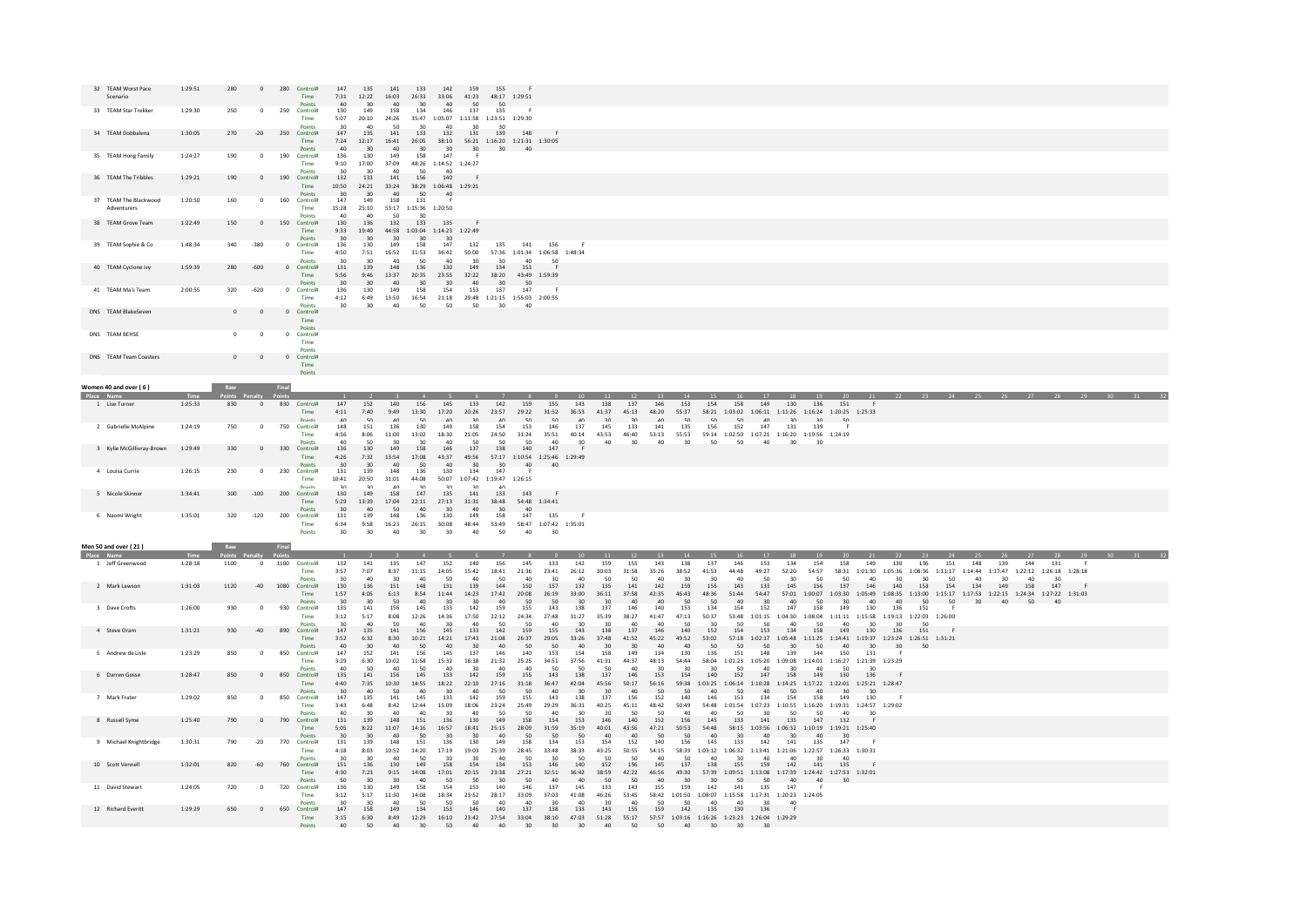| 32 TEAM Worst Pace<br>Scenario       | 1:29:51            | 280                                     | 280            | Control#<br>Time                      | 147<br>7:31<br>40                     | 135<br>12:22<br>30       | 141<br>16:03<br>40                                        | 133<br>26:33<br>30                         | 142<br>33:06                   | 159<br>41:23<br>50                         | 155<br>48:17 1:29:51<br>50               |                                         |                                             |                           |                              |                                 |                    |                           |                           |                                 |                                               |                                                   |                                     |                             |                                   |                                             |                  |                |            |                                                          |              |  |
|--------------------------------------|--------------------|-----------------------------------------|----------------|---------------------------------------|---------------------------------------|--------------------------|-----------------------------------------------------------|--------------------------------------------|--------------------------------|--------------------------------------------|------------------------------------------|-----------------------------------------|---------------------------------------------|---------------------------|------------------------------|---------------------------------|--------------------|---------------------------|---------------------------|---------------------------------|-----------------------------------------------|---------------------------------------------------|-------------------------------------|-----------------------------|-----------------------------------|---------------------------------------------|------------------|----------------|------------|----------------------------------------------------------|--------------|--|
| 33 TEAM Star Trekker                 | 1:29:30            | 250<br>$\Omega$                         | 250            | Points<br>Control#<br>Time            | 130<br>5:07                           | 149<br>20:10             | 158<br>24:26                                              | 134<br>35:47                               | 40<br>146<br>1:05:07           | 137<br>1:11:58 1:23:51 1:29:30             | 135                                      |                                         |                                             |                           |                              |                                 |                    |                           |                           |                                 |                                               |                                                   |                                     |                             |                                   |                                             |                  |                |            |                                                          |              |  |
| 34 TEAM Dobbalena                    | 1:30:05            | 270<br>$-20$                            |                | Points<br>250 Control#<br>Time        | 30 <sub>0</sub><br>147<br>7:24        | 40<br>135<br>12:17       | 50<br>141<br>16:41                                        | 30<br>133<br>26:05                         | 40<br>132<br>38:10             | 30<br>131<br>56:21 1:16:20 1:21:31 1:30:05 | 30<br>139                                | 148                                     |                                             |                           |                              |                                 |                    |                           |                           |                                 |                                               |                                                   |                                     |                             |                                   |                                             |                  |                |            |                                                          |              |  |
| 35 TEAM Hong Family                  | 1:24:27            | 190<br>$\Omega$                         |                | Points<br>190 Control#<br>Time        | 40<br>136<br>9:10                     | 30<br>130<br>17:00       | 40<br>149<br>37:09                                        | 30 <sub>2</sub><br>158<br>48:26            | 30<br>147<br>1:14:52 1:24:27   | 30                                         | 30 <sup>°</sup>                          | 40                                      |                                             |                           |                              |                                 |                    |                           |                           |                                 |                                               |                                                   |                                     |                             |                                   |                                             |                  |                |            |                                                          |              |  |
| 36 TEAM The Tribbles                 | 1:29:21            | 190<br>$\circ$                          |                | Points<br>190 Control#<br>Time        | 30<br>132<br>10:50                    | 30<br>133<br>24:21       | 40<br>141<br>33:24                                        | 50<br>156<br>38:29 1:06:48 1:29:21         | 40<br>140                      |                                            |                                          |                                         |                                             |                           |                              |                                 |                    |                           |                           |                                 |                                               |                                                   |                                     |                             |                                   |                                             |                  |                |            |                                                          |              |  |
| 37 TEAM The Blackwood<br>Adventurers | 1:20:50            | 160<br>$\Omega$                         |                | Points<br>160 Control#<br>Time        | 30 <sup>2</sup><br>147<br>15:28       | 30<br>149<br>25:10       | 40<br>158                                                 | 50<br>131<br>53:17 1:15:36 1:20:50         | 40<br>- F                      |                                            |                                          |                                         |                                             |                           |                              |                                 |                    |                           |                           |                                 |                                               |                                                   |                                     |                             |                                   |                                             |                  |                |            |                                                          |              |  |
| 38 TEAM Grove Team                   | 1:22:49            | 150<br>$\Omega$                         |                | Points<br>150 Control#<br>Time        | 40<br>130<br>9:33                     | 40<br>136<br>19:40       | 50<br>132                                                 | 30<br>133<br>44:58 1:03:04 1:14:23 1:22:49 | 135                            |                                            |                                          |                                         |                                             |                           |                              |                                 |                    |                           |                           |                                 |                                               |                                                   |                                     |                             |                                   |                                             |                  |                |            |                                                          |              |  |
| 39 TEAM Sophie & Co                  | 1:48:34            | $-380$<br>340                           |                | Points<br>0 Control#<br>Time          | 30 <sup>2</sup><br>136<br>4:50        | 30<br>130<br>7:51        | 30<br>149<br>16:52                                        | 30<br>158<br>31:53                         | 30<br>147<br>36:42             | 132<br>50:00                               | 135                                      | 141                                     | 156<br>57:36 1:01:34 1:06:58 1:48:34        |                           |                              |                                 |                    |                           |                           |                                 |                                               |                                                   |                                     |                             |                                   |                                             |                  |                |            |                                                          |              |  |
| 40 TEAM Cyclone ivy                  | 1:59:39            | $-600$<br>280                           |                | <b>Points</b><br>0 Control#<br>Time   | 30 <sup>o</sup><br>131<br>5:56        | 30<br>139<br>9:46        | 40<br>148<br>13:37                                        | 50<br>136<br>20:35                         | A <sub>0</sub><br>130<br>23:55 | 30<br>149<br>32:22                         | 30 <sub>2</sub><br>134<br>38:20          | $A \cap$<br>153                         | 50                                          |                           |                              |                                 |                    |                           |                           |                                 |                                               |                                                   |                                     |                             |                                   |                                             |                  |                |            |                                                          |              |  |
| 41 TEAM Ma's Team                    | 2:00:55            | 320<br>$-620$                           |                | Points<br>0 Controla                  | 20<br>136                             | 30<br>130                | $\Lambda$ <sup><math>\Omega</math></sup><br>149           | 30 <sup>2</sup><br>158                     | 30 <sub>0</sub><br>154         | 40<br>153                                  | 30 <sup>2</sup><br>137                   | 43:49 1:59:39<br>50 <sub>0</sub><br>147 |                                             |                           |                              |                                 |                    |                           |                           |                                 |                                               |                                                   |                                     |                             |                                   |                                             |                  |                |            |                                                          |              |  |
| DNS TEAM BlakeSeven                  |                    | $\overline{0}$<br>$\overline{0}$        |                | Time<br><b>Points</b><br>0 Control#   | 4:12<br>30 <sub>0</sub>               | 6:49<br>30               | 13:50<br>40                                               | 16:54<br>50                                | 21:18<br>50                    | 29:48 1:21:15 1:55:03 2:00:55<br>50        | 30 <sup>2</sup>                          | 40                                      |                                             |                           |                              |                                 |                    |                           |                           |                                 |                                               |                                                   |                                     |                             |                                   |                                             |                  |                |            |                                                          |              |  |
|                                      |                    |                                         |                | Time<br><b>Points</b>                 |                                       |                          |                                                           |                                            |                                |                                            |                                          |                                         |                                             |                           |                              |                                 |                    |                           |                           |                                 |                                               |                                                   |                                     |                             |                                   |                                             |                  |                |            |                                                          |              |  |
| DNS TEAM BEHSE                       |                    | $\Omega$<br>$\Omega$                    |                | 0 Controla<br>Time<br><b>Points</b>   |                                       |                          |                                                           |                                            |                                |                                            |                                          |                                         |                                             |                           |                              |                                 |                    |                           |                           |                                 |                                               |                                                   |                                     |                             |                                   |                                             |                  |                |            |                                                          |              |  |
| DNS TEAM Team Coasters               |                    | $\overline{0}$<br>$\overline{0}$        |                | 0 Control#<br>Time<br>Points          |                                       |                          |                                                           |                                            |                                |                                            |                                          |                                         |                                             |                           |                              |                                 |                    |                           |                           |                                 |                                               |                                                   |                                     |                             |                                   |                                             |                  |                |            |                                                          |              |  |
| Women 40 and over (6)                |                    | Raw                                     | Final          |                                       |                                       |                          |                                                           |                                            |                                |                                            |                                          |                                         |                                             |                           |                              |                                 |                    |                           |                           |                                 |                                               |                                                   |                                     |                             |                                   |                                             |                  |                |            |                                                          |              |  |
| Place Name<br>1 Lise Turner          | Time<br>1:25:33    | Points Penalty<br>830<br>$\overline{0}$ |                | 830 Control#<br>Time                  | 147<br>4:11                           | 152<br>7:40              | 140<br>9:49                                               | 156<br>13:30                               | 145<br>17:20                   | 133<br>20:26                               | 142<br>23:57                             | 159<br>29:22                            | 155<br>31:52                                | 143<br>36:53              | 138<br>41:37                 | 137<br>45:13                    | 146<br>48:20       | 153<br>55:37              | 154<br>58:21              | 158<br>1:03:02<br>1:06:11       | 130<br>149                                    | 136<br>1:11:26 1:16:24 1:20:25 1:25:33            | 151                                 | 21<br>- F                   | 22                                |                                             |                  |                |            |                                                          |              |  |
| 2 Gabrielle McAlpine                 | 1:24:19            | 750<br>$\Omega$                         | 750            | Points<br>Control#<br>Time            | AD<br>148<br>4:56                     | 50<br>151<br>8:06        | 40 <sup>°</sup><br>136<br>11:00                           | 50<br>130<br>13:02                         | 40<br>149<br>18:30             | 30<br>158<br>21:05                         | 40 <sup>2</sup><br>154<br>24:50          | 50<br>153<br>31:24                      | 50<br>146<br>35:51                          | 40<br>137<br>40:14        | $30^{\circ}$<br>145<br>43:53 | 30 <sup>°</sup><br>133<br>46:40 | 40<br>141<br>53:13 | 50<br>135<br>55:53        | 50<br>156<br>59:14        | 50<br>152<br>1:07:21<br>1:02:50 | 40<br>30<br>147<br>131                        | 30 <sup>°</sup><br>139<br>1:16:20 1:19:56 1:24:19 | -50<br>- 6                          |                             |                                   |                                             |                  |                |            |                                                          |              |  |
| 3 Kylie McGillivray-Brown            | 1:29:49            | 330<br>$\mathbf{0}$                     | 330            | Points<br>Control#                    | 40<br>136                             | 50<br>130                | 30<br>149                                                 | 30<br>158                                  | 40<br>146                      | 50<br>137                                  | 50<br>138                                | 50<br>140                               | 40<br>147                                   | 30                        | 40                           | 30                              | 40                 | 30                        | 50                        | 50                              | 40<br>30                                      | 30                                                |                                     |                             |                                   |                                             |                  |                |            |                                                          |              |  |
| 4 Louisa Currie                      | 1:26:15            | 230<br>$^{\circ}$                       | 230            | Time<br><b>Points</b><br>Control#     | 4:26<br>30 <sup>2</sup><br>131        | 7:32<br>30<br>139        | 13:54<br>$\Delta$ 0<br>148                                | 17:08<br>50<br>136                         | 43:37<br>40<br>130             | 49:56<br>30<br>134                         | 57:17<br>30 <sup>2</sup><br>147          | $\Delta \Omega$<br>- F                  | 1:10:54  1:25:46  1:29:49<br>A <sub>0</sub> |                           |                              |                                 |                    |                           |                           |                                 |                                               |                                                   |                                     |                             |                                   |                                             |                  |                |            |                                                          |              |  |
| 5 Nicole Skinner                     | 1:34:41            | $-100$<br>300                           |                | Time<br>Dointe<br>200 Control#        | 10:41<br>20<br>130                    | 20:50<br>20<br>149       | 31:01<br>$\Lambda$ <sup><math>\Lambda</math></sup><br>158 | 44:08<br>20 <sup>o</sup><br>147            | 50:07<br>20<br>135             | 1:07:42<br>20<br>141                       | 1:19:47 1:26:15<br>A <sup>0</sup><br>133 | 143                                     |                                             |                           |                              |                                 |                    |                           |                           |                                 |                                               |                                                   |                                     |                             |                                   |                                             |                  |                |            |                                                          |              |  |
|                                      |                    |                                         |                | Time<br><b>Points</b>                 | 5:29<br>30 <sub>0</sub>               | 13:39<br>40              | 17:04<br>50                                               | 22:11<br>40                                | 27:13<br>30 <sub>1</sub>       | 31:31<br>40                                | 38:48<br>30 <sup>2</sup>                 | 54:48 1:34:41<br>AD                     |                                             |                           |                              |                                 |                    |                           |                           |                                 |                                               |                                                   |                                     |                             |                                   |                                             |                  |                |            |                                                          |              |  |
| 6 Naomi Wright                       | 1:35:01            | 320<br>$-120$                           | 200            | Control#<br>Time<br>Points            | 131<br>6:34<br>30                     | 139<br>9:58<br>30        | 148<br>16:23<br>40                                        | 136<br>26:15<br>30 <sup>2</sup>            | 130<br>30:08<br>30             | 149<br>48:44<br>40                         | 158<br>53:49<br>50                       | 147<br>40                               | 135<br>58:47 1:07:42 1:35:01<br>30          | - F                       |                              |                                 |                    |                           |                           |                                 |                                               |                                                   |                                     |                             |                                   |                                             |                  |                |            |                                                          |              |  |
| Men 50 and over (21)                 |                    | Raw                                     | Final          |                                       |                                       |                          |                                                           |                                            |                                |                                            |                                          |                                         |                                             |                           |                              |                                 |                    |                           |                           |                                 |                                               |                                                   |                                     |                             |                                   |                                             |                  |                |            |                                                          |              |  |
| Place Name<br>1 Jeff Greenwood       | 1:28:18            | 1100                                    | $\overline{0}$ | 1100 Control#                         | 132                                   | 141<br>7:07              | 135                                                       | 147                                        | 152                            | 140                                        | 156                                      | 145<br>21:36                            | 133                                         | 142                       | 159                          | 155                             | 143                | 138                       | 137                       | 146                             | 153<br>134<br>52:20                           | 154                                               | 158                                 | 149                         | 130                               | 136                                         | 151              | 148            | 139<br>144 | 131                                                      | $\mathsf{F}$ |  |
|                                      |                    |                                         |                | Time<br>Points                        | 3:57<br>30 <sub>0</sub>               | 40                       | 8:37<br>30                                                | 11:15<br>40                                | 14:05<br>50                    | 15:42<br>40                                | 18:41<br>50                              | 40                                      | 23:41<br>30                                 | 26:12<br>40<br>132        | 30:03<br>50<br>135           | 31:58<br>50<br>141              | 35:26<br>40<br>142 | 38:52<br>30<br>159        | 41:53<br>30<br>155        | 44:48<br>40<br>143              | 49:27<br>50<br>30<br>133<br>145               | 54:57<br>50<br>156                                | 58:31<br>50<br>137                  | 1:01:30<br>40<br>146        | 1:05:36<br>30 <sub>0</sub><br>140 | 1:08:36<br>30<br>153                        | 1:11:17<br>50    | 40             | 30<br>40   | 1:14:44 1:17:47 1:22:12 1:26:18 1:28:18<br>30            |              |  |
| 2 Mark Lawson                        | 1:31:03            | 1120<br>$-40$                           | 1080           | <b>Control#</b>                       | 130                                   | 136                      | 151                                                       | 148                                        | 131                            | 139                                        | 144                                      | 150                                     | 157                                         |                           |                              |                                 |                    |                           |                           |                                 |                                               |                                                   |                                     |                             |                                   |                                             | 154              | 134            | 149<br>158 | 147                                                      |              |  |
| 3 Dave Crofts                        |                    | 930<br>$^{\circ}$                       |                | Time<br><b>Points</b><br>930 Control# | 1:57<br>30 <sup>2</sup>               | 4:05<br>30 <sup>1</sup>  | 6:13<br>50                                                | 8:54<br>AD                                 | 11:44<br>30 <sup>2</sup>       | 14:23<br>30<br>142                         | 17:42<br>AD                              | 20:08<br>50                             | 26:19<br>50                                 | 33:00<br>30               | 36:11<br>30 <sup>2</sup>     | 37:58<br>AD<br>146              | 42:35<br>40<br>140 | 46:43<br>50               | 48:36<br>50               | 51:44<br>40 <sup>2</sup><br>154 | 54:47<br>57:01<br>30<br>A <sub>0</sub><br>147 | 1:00:07<br>50                                     | 1:03:30<br>30                       | 1:05:49<br>$\Delta$ 0       | 1:08:35<br>40<br>136              | 1:13:00<br>50                               | $50 - 50$<br>- F | 30<br>$A \cap$ |            | 1:15:17 1:17:53 1:22:15 1:24:34 1:27:22 1:31:03<br>50 40 |              |  |
| 4 Steve Oram                         | 1:26:00<br>1:31:21 | 930<br>$-40$                            | 890            | Time<br>Points<br>Controla            | 135<br>3:12<br>30 <sup>o</sup><br>147 | 141<br>5:17<br>40<br>135 | 156<br>8:08<br>50<br>141                                  | 145<br>12:26<br>40<br>156                  | 133<br>14:36<br>30<br>145      | 17:50<br>A <sub>0</sub><br>133             | 159<br>22:12<br>-50<br>142               | 155<br>24:34<br>50<br>159               | 143<br>27:48<br>40<br>155                   | 138<br>31:27<br>30<br>143 | 137<br>35:39<br>30<br>138    | 38:27<br>40<br>137              | 41:47<br>40<br>146 | 153<br>47:13<br>50<br>140 | 134<br>50:37<br>30<br>152 | 53:48<br>1:01:15<br>50<br>154   | 152<br>1:04:30<br>50<br>40<br>134<br>153      | 158<br>50<br>158                                  | 149<br>1:08:04 1:11:11<br>40<br>149 | 130<br>1:15:58<br>30<br>130 | 30<br>136                         | 151<br>1:19:13 1:22:03 1:26:00<br>50<br>151 |                  |                |            |                                                          |              |  |

|                        |         |     |       | Points             |                 |           |       |                        |              |       |       |       |       |       |       |           |       |                        |         |         |                 |                 |                 |                 |                 |         |                 | $\mathsf{c}\,\mathsf{\Omega}$ |  | E <sub>0</sub> | 40 |  |
|------------------------|---------|-----|-------|--------------------|-----------------|-----------|-------|------------------------|--------------|-------|-------|-------|-------|-------|-------|-----------|-------|------------------------|---------|---------|-----------------|-----------------|-----------------|-----------------|-----------------|---------|-----------------|-------------------------------|--|----------------|----|--|
| 3 Dave Crofts          | 1:26:00 | 930 |       | 930<br>Control#    | 135             | 141       |       | 145                    |              |       |       |       |       |       |       |           |       |                        |         | 154     |                 |                 |                 | 149             |                 |         | 151             |                               |  |                |    |  |
|                        |         |     |       | Time               | 3:12            | 5:17      | 8:08  | 12:26                  | 14:36        |       | 22:12 | 24:34 | 27:48 | 11:27 |       |           |       |                        | 50:37   | 53:48   | :01:15          | 1:04:30         | L:08:04         | 1:11:11         | 1:15:58         | 1:19:13 | 1:22:03         | 1:26:00                       |  |                |    |  |
|                        |         |     |       | Points             | 30              | 40        | 50    |                        |              |       |       |       |       |       |       |           |       |                        |         |         |                 |                 |                 |                 |                 |         | 50              |                               |  |                |    |  |
| 4 Steve Oram           | 1:31:21 | 930 | $-40$ | 890<br>Control#    | 147             | 135       | 141   | 156                    | 145          | 133   | 142   | 159   | 155   | 143   | 138   | 137       | 146   | 140                    | 152     | 154     | 153             | 134             | 158             | 149             | 130             | 136     | 151             |                               |  |                |    |  |
|                        |         |     |       | <b>Time</b>        | 3:52            | 6:32      | 8:30  | 10:21                  | 14:21        | 17:43 | 21:08 | 26:37 | 29:05 | 33:26 | 17:48 |           |       | 49:52                  | 53:02   | 57:18   | :02:17          | 1:05:48         | 1:11:25         | 1:14:41         | 1:19:37         | 1:23:24 | 1:26:51 1:31:21 |                               |  |                |    |  |
|                        |         |     |       | Points             | 40              |           |       |                        |              |       |       |       |       |       |       |           |       |                        |         |         |                 |                 |                 |                 |                 |         | 50              |                               |  |                |    |  |
| 5 Andrew de Lisle      | 1:23:29 | 850 |       | 850<br>Control#    | 147             | 152       | 141   | 156                    | 145          |       |       | 140   | 153   | 154   |       |           |       | 130                    | 136     | 151     | 148             | 139             | 144             | 150             | 131             |         |                 |                               |  |                |    |  |
|                        |         |     |       | <b>Time</b>        | 3:29            | 6:30      | 10:02 | 11:58                  |              |       | 21:32 | 25:25 | 34:51 | 37:56 |       |           |       |                        | 58:04   | 1:01:23 | 1:05:20         | 1:09:08         | 1:14:01         | 1:16:27         | 1:21:39 1:23:29 |         |                 |                               |  |                |    |  |
|                        |         |     |       |                    |                 |           |       | 50                     |              |       |       |       | 50    |       | 50    |           |       |                        |         |         |                 |                 |                 |                 |                 |         |                 |                               |  |                |    |  |
|                        | 1:28:47 | 850 |       | Points<br>Control# | 40<br>135       | 50<br>141 | ΛO    |                        |              | 142   | 15    | 155   |       |       | 137   | 40<br>146 |       | 154                    | 140     | 152     | 147             |                 | 149             | 130             | 30<br>136       |         |                 |                               |  |                |    |  |
| 6 Darren Gosse         |         |     |       | 850                |                 |           | 156   | 145                    | 133          |       |       |       | 143   | 138   |       |           |       |                        |         |         |                 | 158             |                 |                 |                 |         |                 |                               |  |                |    |  |
|                        |         |     |       | Time               | 4:40            | 7:35      | 10:30 | 14:55                  | 18:22        |       | 27:16 |       |       |       |       |           |       |                        | 1:03:25 | 1:06:14 | 1:10:28         | 1:14:25         | 1:17:22         | 1:22:01         | 1:25:21 1:28:47 |         |                 |                               |  |                |    |  |
|                        |         |     |       | Points             | 30              | 40        |       |                        |              |       |       |       |       |       |       |           |       |                        |         |         |                 |                 |                 | ٩n              | 30              |         |                 |                               |  |                |    |  |
| 7 Mark Frater          | 1:29:02 | 850 |       | 850<br>Control#    | 147             | 135       | 141   | 145                    | 133          | 142   |       | 155   |       |       |       |           |       | 140                    |         | 153     |                 | 154             | 158             | 149             | 130             |         |                 |                               |  |                |    |  |
|                        |         |     |       | Time               | 3:43            | 6:48      | 8:42  | 12:44                  | 15:09        |       |       | 25:49 | 29:29 |       |       |           |       |                        | 54:48   | 1:01:54 | :07:23          | 1:10:55         | 1:16:20         | 1:19:31         | 1:24:57 1:29:02 |         |                 |                               |  |                |    |  |
|                        |         |     |       | Points             | 40              | ٩Ō        | 40    | $\Lambda$ <sup>C</sup> | $\mathbf{a}$ |       | 50    |       |       |       |       | 50        | 50    |                        |         | 50      | ₹∩              |                 | 50              | 40              | 30              |         |                 |                               |  |                |    |  |
| 8 Russell Syme         | 1:25:40 | 790 |       | 790<br>Control#    | 131             | 139       | 148   | 151                    | 136          |       |       | 158   |       | 153   |       | 140       | 152   | 156                    | 145     | 133     | 141             | 135             | 147             | 132             |                 |         |                 |                               |  |                |    |  |
|                        |         |     |       | Time               | 5:05            | 8:22      | 11:07 | 14:16                  | 16:57        |       | 25:15 | 28:09 |       |       |       |           |       | 50:53                  | 54:48   | 58:15   | 1:03:56         | 1:06:32         | 1:10:19         | 1:19:21 1:25:40 |                 |         |                 |                               |  |                |    |  |
|                        |         |     |       | Points             | 30 <sub>2</sub> | 30        |       |                        |              |       |       |       |       |       |       |           |       |                        |         |         |                 |                 |                 | 30              |                 |         |                 |                               |  |                |    |  |
| 9 Michael Knightbridge | 1:30:31 | 790 | $-20$ | 770<br>Control#    | 131             | 139       | 148   | 151                    |              |       |       |       |       |       |       | 52        |       | 156                    |         | 133     | 142             | 141             | 135             | 147             |                 |         |                 |                               |  |                |    |  |
|                        |         |     |       | Time               | 4:18            | 8:03      | 10:52 | 14:20                  | 17:19        | 19:03 | 25:39 | 28:45 | 33:48 | 38:33 |       |           |       |                        | 1:03:12 | :06:32  | 1:13:41         | 1:21:06         | 1:22:57         | 1:26:33 1:30:31 |                 |         |                 |                               |  |                |    |  |
|                        |         |     |       | Points             | 30 <sub>o</sub> | 30        | 40    | 50                     | 30           | ۹n    |       | 50    | ٩n    |       | 50    | 50        |       |                        |         |         |                 |                 | ۹Ñ              | 40              |                 |         |                 |                               |  |                |    |  |
| 10 Scott Vennell       | 1:32:01 | 820 | $-60$ | 760<br>Control#    | 151             | 136       | 130   | 149                    |              |       |       | 153   |       |       | 152   | 156       | 145   |                        | 138     | 155     | 159             | 142             | 141             | 135             |                 |         |                 |                               |  |                |    |  |
|                        |         |     |       | <b>Time</b>        | 4:30            | 7:23      | 9:15  | 14:08                  | 17:01        |       | 23:38 |       |       |       |       |           |       |                        |         | $-09.5$ | :13:08          | 1:17:39         | 1:24:42         | 1:27:53 1:32:01 |                 |         |                 |                               |  |                |    |  |
|                        |         |     |       | Points             | 50              |           |       |                        |              |       |       |       |       |       |       |           |       |                        |         |         |                 |                 |                 | 30              |                 |         |                 |                               |  |                |    |  |
| 11 David Stewart       | 1:24:05 | 720 |       | 720<br>Control#    | 136             | 130       | 149   | 158                    |              |       |       | 146   |       | 145   |       | .43       | 155   | 159                    |         |         |                 | 147             |                 |                 |                 |         |                 |                               |  |                |    |  |
|                        |         |     |       | Time               | 3:12            | 5:17      | 11:30 | 14:08                  | 18:34        | 23:52 | 28:17 | 33:09 | 37:03 | 41:08 |       | 53:45     | 58:42 | 1:01:50                | 1:08:07 | 1:15:58 | 1:17:31         |                 | 1:20:23 1:24:05 |                 |                 |         |                 |                               |  |                |    |  |
|                        |         |     |       | Points             | 30 <sub>0</sub> | ٩r        | 40    |                        |              |       |       |       |       |       |       |           |       |                        |         |         | ۹Ò              | 40              |                 |                 |                 |         |                 |                               |  |                |    |  |
| 12 Richard Everitt     | 1:29:29 | 650 |       | 650<br>Control#    | 147             | 158       | 149   | 134                    | 153          |       |       |       |       |       |       | 155       |       | 142                    | 135     | 130     | 136             |                 |                 |                 |                 |         |                 |                               |  |                |    |  |
|                        |         |     |       | <b>Time</b>        | 3:15            | 6:30      |       |                        |              |       |       |       |       |       |       |           |       | 1:03:16                | 1:16:26 | 1:23:23 |                 | 1:26:04 1:29:29 |                 |                 |                 |         |                 |                               |  |                |    |  |
|                        |         |     |       |                    |                 | 50        |       |                        |              |       |       |       |       |       |       |           |       |                        |         |         |                 |                 |                 |                 |                 |         |                 |                               |  |                |    |  |
|                        |         |     |       | <b>Points</b>      | 40              |           |       |                        |              |       |       |       |       |       |       |           | 50    | $\Lambda$ <sup>n</sup> |         | 30      | 30 <sup>2</sup> |                 |                 |                 |                 |         |                 |                               |  |                |    |  |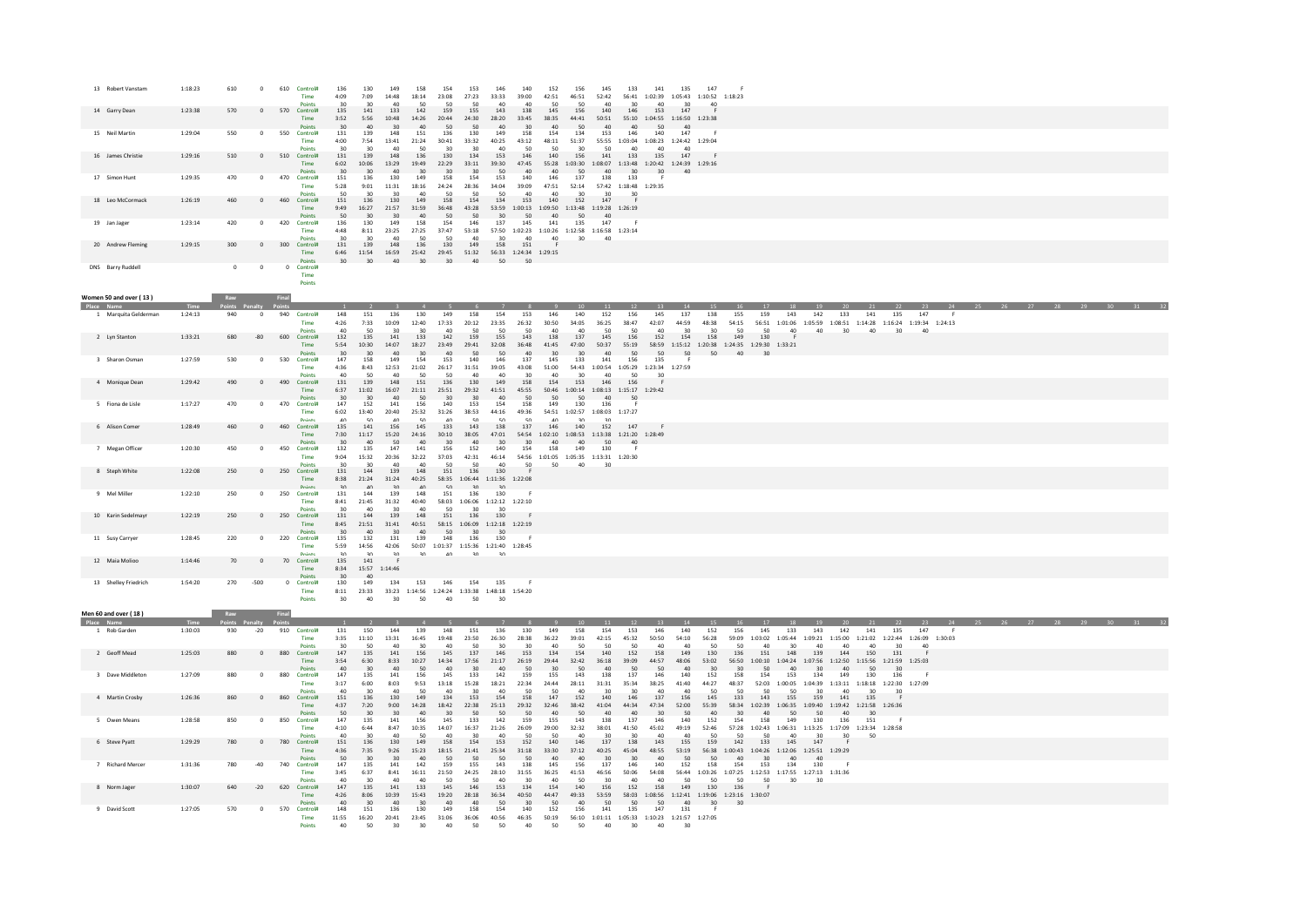|            | 13 Robert Vanstam      | 1:18:23 | 610         | $\circ$        | 610          | Control#<br>Time                               | 136<br>4:09                    | 130<br>7:09                             | 149<br>14:48                         | 158<br>18:14                 | 154<br>23:08                                                                                                       | 153<br>27:23                     | 146<br>33:33                    | 140<br>39:00                     | 152<br>42:51           | 156<br>46:51            | 145<br>52:42                                                                        | 133                                             | 141                                                | 135<br>56:41  1:02:39  1:05:43  1:10:52  1:18:23                              | 147                             |                            |                                                                                                          |                |                                                                                                                                    |                               |                 |           |    |  |  |          |  |
|------------|------------------------|---------|-------------|----------------|--------------|------------------------------------------------|--------------------------------|-----------------------------------------|--------------------------------------|------------------------------|--------------------------------------------------------------------------------------------------------------------|----------------------------------|---------------------------------|----------------------------------|------------------------|-------------------------|-------------------------------------------------------------------------------------|-------------------------------------------------|----------------------------------------------------|-------------------------------------------------------------------------------|---------------------------------|----------------------------|----------------------------------------------------------------------------------------------------------|----------------|------------------------------------------------------------------------------------------------------------------------------------|-------------------------------|-----------------|-----------|----|--|--|----------|--|
|            | 14 Garry Dean          | 1:23:38 | 570         | $\overline{0}$ | 570 Control# | Time<br><b>Points</b>                          | 135<br>3:52<br>30 <sup>2</sup> | 141<br>5:56<br>40                       | 133<br>10:48<br>30                   | 142<br>14:26<br>40           | 159<br>20:44<br>50                                                                                                 | $\epsilon$<br>155<br>24:30<br>50 | 143<br>28:20<br>40 <sup>2</sup> | 138<br>33:45<br>30               | 145<br>38:35<br>40     | 156<br>44:41<br>50      | 140<br>50:51<br>40                                                                  | 146<br>AD                                       | 153<br>50                                          | 147<br>55:10 1:04:55 1:16:50 1:23:38<br>40                                    |                                 |                            |                                                                                                          |                |                                                                                                                                    |                               |                 |           |    |  |  |          |  |
|            | 15 Neil Martin         | 1:29:04 | 550         | $\circ$        | 550          | Control#<br>Time                               | 131<br>4:00                    | 139<br>7:54                             | 148<br>13:41                         | 151                          | 136<br>21:24 30:41 33:32                                                                                           | 130                              | 149<br>40:25 43:12              | 158                              | 154<br>48:11  51:37    | 134                     | 153                                                                                 | 146                                             | 140                                                | 147<br>55:55 1:03:04 1:08:23 1:24:42 1:29:04                                  |                                 |                            |                                                                                                          |                |                                                                                                                                    |                               |                 |           |    |  |  |          |  |
|            | 16 James Christie      | 1:29:16 | 510         | $\circ$        | 510 Control# | Points<br>Time                                 | 131<br>6:02                    | 139<br>10:06                            | 148<br>13:29                         | 50<br>136<br>19:49           | 130<br>22:29                                                                                                       | 30<br>134<br>33:11               | 40<br>153<br>39:30              | 50<br>146<br>47:45               | 50<br>140              | 30<br>156               | 50<br>141                                                                           | 133                                             | 135                                                | 147<br>55:28 1:03:30 1:08:07 1:13:48 1:20:42 1:24:39 1:29:16                  |                                 |                            |                                                                                                          |                |                                                                                                                                    |                               |                 |           |    |  |  |          |  |
|            | 17 Simon Hunt          | 1:29:35 | 470         | $\mathbf 0$    | 470          | Points<br>Control#<br>Time                     | 30 <sup>°</sup><br>151<br>5:28 | 30 <sub>1</sub><br>136<br>9:01          | 40<br>130<br>11:31                   | 30<br>149<br>18:16           | 30 <sub>2</sub><br>158<br>24:24                                                                                    | 30 <sup>2</sup><br>154<br>28:36  | $50^{\circ}$<br>153<br>34:04    | 40<br>140<br>39:09               | 40<br>146<br>47:51     | 50<br>137<br>52:14      | 40<br>138                                                                           | 30 <sup>°</sup><br>133<br>57:42 1:18:48 1:29:35 | 30 <sup>°</sup>                                    | 40                                                                            |                                 |                            |                                                                                                          |                |                                                                                                                                    |                               |                 |           |    |  |  |          |  |
|            | 18 Leo McCormack       | 1:26:19 | 460         | $\Omega$       | 460          | Control#<br>Time                               | 151<br>9:49                    | 136                                     | 130<br>16:27 21:57 31:59             | 149                          | 158<br>36:48                                                                                                       | $\epsilon$<br>154                | $\epsilon$<br>134               | 153                              | 140                    | 152                     | 20 <sub>0</sub><br>147<br>43:28  53:59  1:00:13  1:09:50  1:13:48  1:19:28  1:26:19 | $\mathbf{F}$                                    |                                                    |                                                                               |                                 |                            |                                                                                                          |                |                                                                                                                                    |                               |                 |           |    |  |  |          |  |
|            | 19 Jan Jager           | 1:23:14 | 420         | $\circ$        | 420          | Points<br>Control#<br>Time                     | $\epsilon$<br>136<br>4:48      | 130<br>8:11                             | 20<br>149<br>23:25                   | $\Delta$ 0<br>158<br>27:25   | 50<br>154<br>37:47                                                                                                 | 50<br>146<br>53:18               | 20<br>137                       | 50<br>145                        | A <sub>0</sub><br>141  | 50 <sub>0</sub><br>135  | $\Lambda$ 0<br>147<br>57:50 1:02:23 1:10:26 1:12:58 1:16:58 1:23:14                 |                                                 |                                                    |                                                                               |                                 |                            |                                                                                                          |                |                                                                                                                                    |                               |                 |           |    |  |  |          |  |
|            | 20 Andrew Fleming      | 1:29:15 | 300         |                | 300          | Points<br>Control#<br>Time                     | 30<br>131                      | 30 <sub>0</sub><br>139                  | 40<br>148                            | 50<br>136                    | 50<br>130<br>6:46 11:54 16:59 25:42 29:45 51:32 56:33 1:24:34 1:29:15                                              | 40<br>149                        | 30 <sub>0</sub><br>158          | 40<br>151                        | 40                     | 30 <sup>°</sup>         | 40                                                                                  |                                                 |                                                    |                                                                               |                                 |                            |                                                                                                          |                |                                                                                                                                    |                               |                 |           |    |  |  |          |  |
|            | DNS Barry Ruddell      |         | $\mathbb O$ | $\circ$        |              | Points<br>0 Control#<br>Time<br>Points         | 30 <sup>°</sup>                | 30                                      | 40                                   | 30                           | $30^{\circ}$                                                                                                       | 40                               | 50                              | -50                              |                        |                         |                                                                                     |                                                 |                                                    |                                                                               |                                 |                            |                                                                                                          |                |                                                                                                                                    |                               |                 |           |    |  |  |          |  |
|            | Women 50 and over (13) |         | Raw         |                | Final        |                                                |                                |                                         |                                      |                              |                                                                                                                    |                                  |                                 |                                  |                        |                         |                                                                                     |                                                 |                                                    |                                                                               |                                 |                            |                                                                                                          |                |                                                                                                                                    |                               |                 |           |    |  |  |          |  |
| Place Name | 1 Marquita Gelderman   | 1:24:13 | 940         | $^{\circ}$     | 940 Control# | Time                                           | $-1$<br>148<br>4:26            | $\overline{\phantom{a}}$<br>151<br>7:33 | 136<br>10:09                         | $\sqrt{4}$<br>130<br>12:40   | 149<br>17:33                                                                                                       | $-6$<br>158<br>20:12             | $\overline{7}$<br>154<br>23:35  | $_{\rm R}$<br>153<br>26:32 30:50 | $\bullet$<br>146       | $10-10$<br>140<br>34:05 | $-11 -$<br>152<br>36:25                                                             | $12-12$<br>156<br>38:47                         | 13 <sup>°</sup><br>145<br>42:07                    | 14<br>137<br>44:59                                                            | 15<br>138<br>48:38              | 16<br>155<br>54:15         | 17 18<br>159                                                                                             | 143            | 19<br>142<br>$56:51 \quad 1:01:06 \quad \ 1:05:59 \quad \ 1:08:51 \quad \ 1:14:28 \quad \ 1:16:24 \quad \ 1:19:34 \quad \ 1:24:13$ | $20 -$<br>133<br>141          | 21 22<br>135    | 23<br>147 | 24 |  |  | 20 30 31 |  |
|            | 2 Lyn Stanton          | 1:33:21 | 680         | $-80$          | 600          | Control#<br>Time                               | 132<br>5:54                    | 135<br>10:30                            | 141<br>14:07                         | 133<br>18:27 23:49           | 142                                                                                                                | $\epsilon$<br>159<br>29:41       | co.<br>155<br>32:08             | c c<br>143<br>36:48              | 138                    | 137                     | 145                                                                                 | $\epsilon$<br>156                               | 152                                                | 20<br>154                                                                     | 30 <sub>0</sub><br>158          | 50<br>149                  | 50<br>130<br>41:45 47:00 50:37 55:19 58:59 1:15:12 1:20:38 1:24:35 1:29:30 1:33:21                       | A <sub>0</sub> | $A\Omega$                                                                                                                          | 30 <sub>o</sub>               | $\Delta \Omega$ |           |    |  |  |          |  |
|            | 3 Sharon Osman         | 1:27:59 | 530         | $\circ$        | 530          | Points<br>Control#<br>Time                     | 30<br>147<br>4:36              | 30<br>158<br>8:43                       | 40<br>149<br>12:53                   | 30<br>$154\,$<br>21:02       | 40<br>153<br>26:17                                                                                                 | 50<br>140<br>31:51               | 50<br>146<br>39:05              | 40<br>137<br>43:08               | 30<br>145<br>51:00     | 30 <sup>°</sup><br>133  | 40<br>141                                                                           | 50<br>156                                       | 50<br>135<br>54:43 1:00:54 1:05:29 1:23:34 1:27:59 | 50                                                                            | 50                              | 40                         | 30                                                                                                       |                |                                                                                                                                    |                               |                 |           |    |  |  |          |  |
|            | 4 Monique Dean         | 1:29:42 | 490         | $\overline{0}$ | 490 Control# | Paints<br>Time                                 | 131<br>6:37                    | 139<br>11:02                            | 148<br>16:07                         | 151<br>21:11                 | 136<br>25:51                                                                                                       | 130<br>29:32                     | 149<br>41:51                    | 158<br>45:55                     | 154<br>50:46           | 153                     | 146<br>$1:00:14 \qquad 1:08:13 \qquad 1:15:17 \qquad 1:29:42$                       | 156                                             |                                                    |                                                                               |                                 |                            |                                                                                                          |                |                                                                                                                                    |                               |                 |           |    |  |  |          |  |
|            | 5 Finna de Lisle       | 1:17:27 | 470         | $\Omega$       | 470          | Points<br>Control#<br>Time                     | 30<br>147<br>6:02              | 152<br>13:40                            | 40<br>141<br>20:40                   | 50<br>156<br>25:32           | 30<br>140<br>31:26                                                                                                 | 30 <sup>2</sup><br>153<br>38:53  | 40<br>154<br>44:16              | 50<br>158<br>49:36               | $50$<br>149            | 50<br>130               | 40<br>136<br>54:51 1:02:57 1:08:03 1:17:27                                          | 50                                              |                                                    |                                                                               |                                 |                            |                                                                                                          |                |                                                                                                                                    |                               |                 |           |    |  |  |          |  |
|            | 6 Alison Comer         | 1:28:49 | 460         | $\Omega$       | 460          | <b>Points</b><br>Control#<br>Time              | 40<br>135                      | 141<br>7:30 11:17 15:20                 | 156                                  | 145<br>24:16                 | 133<br>30:10                                                                                                       | 50<br>143<br>38:05 47:01         | co.<br>138                      | 50<br>137                        | $\Delta$ 0<br>146      | 20<br>140               | 152<br>54:54 1:02:10 1:08:53 1:13:38 1:21:20 1:28:49                                | 147                                             |                                                    |                                                                               |                                 |                            |                                                                                                          |                |                                                                                                                                    |                               |                 |           |    |  |  |          |  |
|            | 7 Megan Officer        | 1:20:30 | 450         | $\circ$        | 450          | Points<br>Control#<br>Time                     | 30<br>132<br>9:04              | 40<br>135<br>15:32 20:36                | 50<br>147                            | 40<br>141<br>32:22 37:03     | 30 <sub>o</sub><br>156                                                                                             | 40<br>152                        | 30<br>140                       | 30 <sub>2</sub><br>154           | 40<br>158              | 40<br>149               | 50<br>130<br>42:31  46:14  54:56  1:01:05  1:05:35  1:13:31  1:20:30                | 40                                              |                                                    |                                                                               |                                 |                            |                                                                                                          |                |                                                                                                                                    |                               |                 |           |    |  |  |          |  |
|            | 8 Steph White          | 1:22:08 | 250         | $\overline{0}$ | 250          | Points<br>Control#<br>Time                     | 131<br>8:38                    | 144<br>21:24 31:24                      | 40<br>139                            | 40<br>148<br>40:25           | 50<br>151<br>58:35  1:06:44  1:11:36  1:22:08                                                                      | 50<br>136                        | 40<br>130                       | 50                               | 50                     | 40                      | 30                                                                                  |                                                 |                                                    |                                                                               |                                 |                            |                                                                                                          |                |                                                                                                                                    |                               |                 |           |    |  |  |          |  |
|            | 9 Mel Miller           | 1:22:10 | 250         | $^{\circ}$     | 250          | Control#<br>Time                               | 131<br>8:41                    | 144<br>21:45                            | 139<br>31:32                         | 148<br>40:40                 | 151<br>${\bf 58:03 \quad 1:06:06 \quad 1:12:12 \quad 1:22:10}$                                                     | 136                              | 130                             |                                  |                        |                         |                                                                                     |                                                 |                                                    |                                                                               |                                 |                            |                                                                                                          |                |                                                                                                                                    |                               |                 |           |    |  |  |          |  |
|            | 10 Karin Sedelmayr     | 1:22:19 | 250         | $\overline{0}$ | 250 Control# | <b>Point</b><br>Time                           | 131<br>8:45                    | 144<br>21:51 31:41                      | 30<br>139                            | 148<br>40:51                 | 50<br>151<br>58:15 1:06:09 1:12:18 1:22:19                                                                         | $\mathfrak{a}$<br>136            | 20<br>130                       |                                  |                        |                         |                                                                                     |                                                 |                                                    |                                                                               |                                 |                            |                                                                                                          |                |                                                                                                                                    |                               |                 |           |    |  |  |          |  |
|            | 11 Susy Carryer        | 1:28:45 | 220         | $\circ$        | 220          | Points<br>Control#<br>$\mathop{\mathsf{Time}}$ | 30<br>135<br>5:59              | 40<br>132<br>14:56                      | 30<br>131<br>42:06                   | 40<br>139                    | 50<br>148<br>50:07  1:01:37  1:15:36  1:21:40  1:28:45                                                             | $30^{\circ}$<br>136              | 30 <sup>2</sup><br>130          |                                  |                        |                         |                                                                                     |                                                 |                                                    |                                                                               |                                 |                            |                                                                                                          |                |                                                                                                                                    |                               |                 |           |    |  |  |          |  |
|            | 12 Maia Molioo         | 1:14:46 | 70          |                | 70           | Points<br>Control#<br>Time                     | 30<br>135<br>8:34              | 30<br>141<br>15:57 1:14:46              | 30                                   | 30                           | 40                                                                                                                 | 30 <sub>1</sub>                  | 30 <sub>o</sub>                 |                                  |                        |                         |                                                                                     |                                                 |                                                    |                                                                               |                                 |                            |                                                                                                          |                |                                                                                                                                    |                               |                 |           |    |  |  |          |  |
|            | 13 Shelley Friedrich   | 1:54:20 | 270         | $-500$         |              | Points<br>0 Control#<br>Time                   | 30<br>130                      | 40<br>149                               | 134                                  | 153                          | 146<br>$8:11 \qquad 23:33 \qquad 33:23 \qquad 1:14:56 \qquad 1:24:24 \qquad 1:33:38 \qquad 1:48:18 \qquad 1:54:20$ | 154                              | 135                             |                                  |                        |                         |                                                                                     |                                                 |                                                    |                                                                               |                                 |                            |                                                                                                          |                |                                                                                                                                    |                               |                 |           |    |  |  |          |  |
|            | Men 60 and over (18)   |         | Raw         |                | Final        | Points                                         | 30                             | 40                                      | $30$                                 | 50                           | 40                                                                                                                 | 50                               | 30                              |                                  |                        |                         |                                                                                     |                                                 |                                                    |                                                                               |                                 |                            |                                                                                                          |                |                                                                                                                                    |                               |                 |           |    |  |  |          |  |
| Place Name | 1 Rob Garden           | 1:30:03 | 930         | $-20$          | 910 Control# |                                                | 131                            | $1 \quad 2$<br>150                      | $\sim$ 3<br>144                      | $-4$<br>139                  | 148                                                                                                                | $-6$<br>151                      | $\overline{z}$<br>136           | 8 <sup>1</sup><br>130            | 149                    | $10-10$<br>158          | 154                                                                                 | 153                                             | 11 12 13<br>146                                    | 14<br>140                                                                     | 152                             | 156                        | 15 16 17 18<br>145                                                                                       | 133            | 19<br>143                                                                                                                          | 20<br>142<br>141              | 21 22 23<br>135 | 147       |    |  |  |          |  |
|            |                        |         |             |                |              | Time<br>Points                                 | 3:35                           | 11:10                                   | 13:31                                | 16:45                        | 19:48                                                                                                              | 23:50<br>50                      | 26:30                           | 28:38                            | 36:22<br>40            | 39:01                   | 42:15                                                                               | 45:32                                           | 50:50                                              | 54:10<br>40                                                                   | 56:28                           |                            | 59:09 1:03:02 1:05:44 1:09:21 1:15:00 1:21:02 1:22:44 1:26:09 1:30:03<br>40                              |                | 40                                                                                                                                 | 40                            | 40              | 40        |    |  |  |          |  |
|            | 2 Geoff Mead           | 1:25:03 | 880         | $\mathbf{0}$   | 880          | Control#<br>Time<br>Points                     | 147<br>3:54<br>40              | 135<br>6:30<br>30                       | 141<br>8:33<br>40                    | 156<br>10:27  14:34<br>50    | 145<br>40                                                                                                          | 137<br>30                        | 146<br>17:56 21:17 26:19<br>40  | 153<br>50                        | 134<br>29:44<br>30     | 154<br>32:42<br>50      | 140<br>36:18<br>40                                                                  | 152<br>39:09<br>50                              | 158<br>44:57<br>50                                 | 149<br>48:06<br>40                                                            | 130<br>30                       | 136<br>30 <sub>o</sub>     | 151<br>53:02  56:50  1:00:10  1:04:24  1:07:56  1:12:50  1:15:56  1:21:59  1:25:03<br>50                 | 148<br>40      | 139<br>30                                                                                                                          | 144<br>150<br>40              | 131<br>50<br>30 |           |    |  |  |          |  |
|            | 3 Dave Middletor       | 1:27:09 | 880         | $\circ$        | 880          | Control#<br>Time<br><b>Point</b>               | 147<br>3:17<br>$\Delta$ 0      | 135<br>6:00                             | 141<br>8:03<br>40                    | 156<br>9:53<br>50            | 145<br>13:18                                                                                                       | 133<br>15:28<br>20               | 142<br>18:21 22:34<br>40        | 159<br>50                        | 155<br>24:44           | 143<br>28:11            | 138<br>31:31 35:34 38:25<br>20                                                      | 137                                             | 146                                                | 140<br>41:40<br>$\Delta$ 0                                                    | 152<br>44:27<br>50              | 158<br>48:37<br>$\epsilon$ | 154<br>$52:03 \quad 1:00:05 \quad 1:04:39 \quad 1:13:11 \quad 1:18:18 \quad 1:22:30 \quad 1:27:09$<br>50 | 153<br>50      | 134<br>20                                                                                                                          | 149<br>130                    | 136             |           |    |  |  |          |  |
|            | 4 Martin Crosby        | 1:26:36 | 860         | $\overline{0}$ | 860 Control# | Time<br><b>Points</b>                          | 151<br>4:37                    | 136<br>7:20<br>30 <sup>2</sup>          | 130<br>9:00<br>30                    | 149<br>14:28<br>40           | 134<br>18:42<br>30 <sup>2</sup>                                                                                    | 153<br>22:38<br>50               | 154<br>25:13 29:32<br>50        | 158<br>50                        | 147<br>32:46<br>40     | 152<br>38:42<br>50      | 140<br>41:04<br>40 <sup>1</sup>                                                     | 146<br>44:34<br>40                              | 137<br>47:34<br>30                                 | 156<br>52:00<br>50                                                            | 145<br>55:39<br>40 <sup>1</sup> | 133<br>30 <sup>2</sup>     | 143<br>58:34  1:02:39  1:06:35  1:09:40  1:19:42  1:21:58  1:26:36<br>40                                 | 155<br>50      | 159<br>50                                                                                                                          | 141<br>135<br>40 <sup>1</sup> | 30 <sup>2</sup> |           |    |  |  |          |  |
|            | 5 Owen Means           | 1:28:58 | 850         | $^{\circ}$     | 850          | Control#<br>Time<br>Points                     | 50<br>147<br>4:10<br>40        | 135<br>6:44                             | 141<br>8:47                          | 156<br>10:35                 | 145<br>14:07<br>A <sup>0</sup>                                                                                     | 133<br>16:37 21:26<br>30         | 142<br>40 <sup>2</sup>          | 159<br>26:09<br>50               | 155<br>29:00<br>50     | 143<br>32:32<br>AC      | 138<br>38:01<br>30                                                                  | 137<br>41:50                                    | 146<br>45:02<br>$\Delta$ 0                         | 140<br>49:19<br>40                                                            | 152<br>52:46<br>50              | 154<br>50                  | 158<br>57:28 1:02:43 1:06:31 1:13:25 1:17:09 1:23:34 1:28:58<br>50                                       | 149<br>40      | 130<br>30                                                                                                                          | 136<br>151<br>30 <sub>o</sub> | 50              |           |    |  |  |          |  |
|            | 6 Steve Pyatt          | 1:29:29 | 780         | $\overline{0}$ | 780          | Control#<br>Time<br>Pnints                     | $151\,$<br>4:36                | 136<br>7:35                             | 130<br>9:26                          | 149                          | 158<br>15:23  18:15  21:41                                                                                         | 154                              | 153<br>25:34 31:18              | 152                              | $140\,$<br>33:30<br>40 | 146<br>37:12            | 137<br>40:25                                                                        | 138<br>45:04                                    | 143<br>48:55                                       | 155<br>53:19<br>50                                                            | 159                             | 142                        | 133<br>56:38 1:00:43 1:04:26 1:12:06 1:25:51 1:29:29                                                     | 145            | 147                                                                                                                                |                               |                 |           |    |  |  |          |  |
|            | 7 Richard Merce        | 1:31:36 | 780         | $-40$          | 740          | Control#<br>Time                               | 147<br>3:45                    | 135<br>6:37                             | 141<br>8:41                          | 142<br>16:11                 | 159<br>21:50                                                                                                       | 155<br>24:25<br>50               | 143<br>28:10                    | 138<br>31:55                     | 145<br>36:25           | 156<br>41:53<br>50      | 137<br>46:56                                                                        | 146<br>50:06                                    | 140<br>54:08                                       | 152<br>50                                                                     | 158<br>50                       | 154<br>50                  | 153<br>$56:44 \qquad 1:03:26 \qquad 1:07:25 \qquad 1:12:53 \qquad 1:17:55 \qquad 1:27:13 \qquad 1:31:36$ | 134<br>30      | 130<br>30                                                                                                                          |                               |                 |           |    |  |  |          |  |
|            | 8 Norm Jager           | 1:30:07 | 640         | $-20$          | 620          | Control#<br>Time                               | $\frac{40}{147}$<br>4:26       | 135<br>8:06                             | 141<br>10:39                         | 133<br>15:43                 | 145<br>19:20                                                                                                       | 146<br>28:18                     | 153<br>36:34                    | 134<br>40:50                     | 154<br>44:47           | 140<br>49:33            | 156<br>53:59                                                                        | 152                                             | 158                                                | 149<br>58:03  1:08:56  1:12:41  1:19:06  1:23:16  1:30:07                     | 130                             | 136                        | $50$<br>$\mathbf{F}$                                                                                     |                |                                                                                                                                    |                               |                 |           |    |  |  |          |  |
|            | 9 David Scott          | 1:27:05 | 570         | $\mathbf{0}$   | 570 Control# | <b>Points</b><br>Time<br>Points                | 40<br>148<br>11:55<br>40       | 30<br>151<br>16:20<br>50                | AD<br>136<br>20:41 23:45 31:06<br>30 | 20<br>130<br>30 <sub>2</sub> | A <sub>0</sub><br>149<br>40 <sup>°</sup>                                                                           | AD<br>158<br>36:06<br>50         | 50<br>154<br>40:56<br>50        | 30<br>140<br>46:35 50:19<br>40   | 50<br>152<br>50        | 40<br>156<br>50         | 50<br>141<br>40                                                                     | 50<br>135<br>30                                 | 50<br>147<br>40                                    | $\Delta$ 0<br>131<br>56:10  1:01:11  1:05:33  1:10:23  1:21:57  1:27:05<br>30 | 30 <sup>2</sup>                 | 30 <sup>2</sup>            |                                                                                                          |                |                                                                                                                                    |                               |                 |           |    |  |  |          |  |